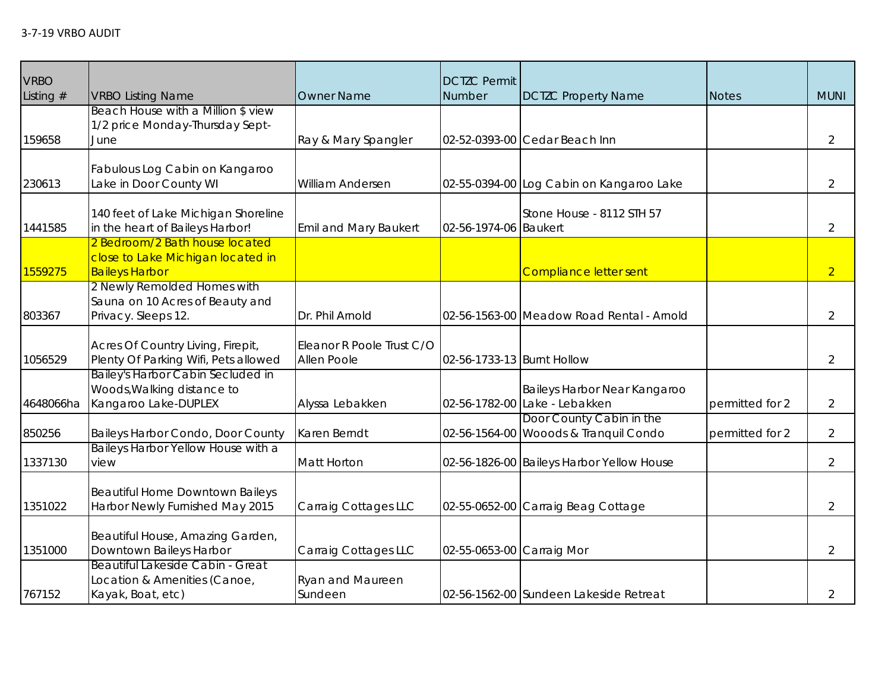| <b>VRBO</b><br>Listing # | <b>VRBO Listing Name</b>                                                                     | <b>Owner Name</b>                        | <b>DCTZC Permit</b><br>Number | <b>DCTZC Property Name</b>                                        | <b>Notes</b>    | <b>MUNI</b>    |
|--------------------------|----------------------------------------------------------------------------------------------|------------------------------------------|-------------------------------|-------------------------------------------------------------------|-----------------|----------------|
|                          | Beach House with a Million \$ view                                                           |                                          |                               |                                                                   |                 |                |
|                          | 1/2 price Monday-Thursday Sept-                                                              |                                          |                               |                                                                   |                 |                |
| 159658                   | June                                                                                         | Ray & Mary Spangler                      |                               | 02-52-0393-00 Cedar Beach Inn                                     |                 | $\overline{2}$ |
|                          | Fabulous Log Cabin on Kangaroo                                                               |                                          |                               |                                                                   |                 |                |
| 230613                   | Lake in Door County WI                                                                       | William Andersen                         |                               | 02-55-0394-00 Log Cabin on Kangaroo Lake                          |                 | $\overline{2}$ |
| 1441585                  | 140 feet of Lake Michigan Shoreline<br>in the heart of Baileys Harbor!                       | <b>Emil and Mary Baukert</b>             | 02-56-1974-06 Baukert         | Stone House - 8112 STH 57                                         |                 | $\overline{2}$ |
| 1559275                  | 2 Bedroom/2 Bath house located<br>close to Lake Michigan located in<br><b>Baileys Harbor</b> |                                          |                               | <b>Compliance letter sent</b>                                     |                 | $\overline{2}$ |
| 803367                   | 2 Newly Remolded Homes with<br>Sauna on 10 Acres of Beauty and<br>Privacy. Sleeps 12.        | Dr. Phil Arnold                          |                               | 02-56-1563-00 Meadow Road Rental - Arnold                         |                 | $\overline{2}$ |
| 1056529                  | Acres Of Country Living, Firepit,<br>Plenty Of Parking Wifi, Pets allowed                    | Eleanor R Poole Trust C/O<br>Allen Poole | 02-56-1733-13 Burnt Hollow    |                                                                   |                 | $\overline{2}$ |
| 4648066ha                | Bailey's Harbor Cabin Secluded in<br>Woods, Walking distance to<br>Kangaroo Lake-DUPLEX      | Alyssa Lebakken                          |                               | Baileys Harbor Near Kangaroo<br>02-56-1782-00 Lake - Lebakken     | permitted for 2 | $\overline{2}$ |
| 850256                   | Baileys Harbor Condo, Door County                                                            | Karen Berndt                             |                               | Door County Cabin in the<br>02-56-1564-00 Wooods & Tranquil Condo | permitted for 2 | $\overline{2}$ |
| 1337130                  | Baileys Harbor Yellow House with a<br>view                                                   | <b>Matt Horton</b>                       |                               | 02-56-1826-00 Baileys Harbor Yellow House                         |                 | $\overline{2}$ |
| 1351022                  | Beautiful Home Downtown Baileys<br>Harbor Newly Furnished May 2015                           | Carraig Cottages LLC                     |                               | 02-55-0652-00 Carraig Beag Cottage                                |                 | $\overline{2}$ |
| 1351000                  | Beautiful House, Amazing Garden,<br>Downtown Baileys Harbor                                  | Carraig Cottages LLC                     | 02-55-0653-00 Carraig Mor     |                                                                   |                 | $\overline{2}$ |
| 767152                   | Beautiful Lakeside Cabin - Great<br>Location & Amenities (Canoe,<br>Kayak, Boat, etc)        | <b>Ryan and Maureen</b><br>Sundeen       |                               | 02-56-1562-00 Sundeen Lakeside Retreat                            |                 | $\overline{2}$ |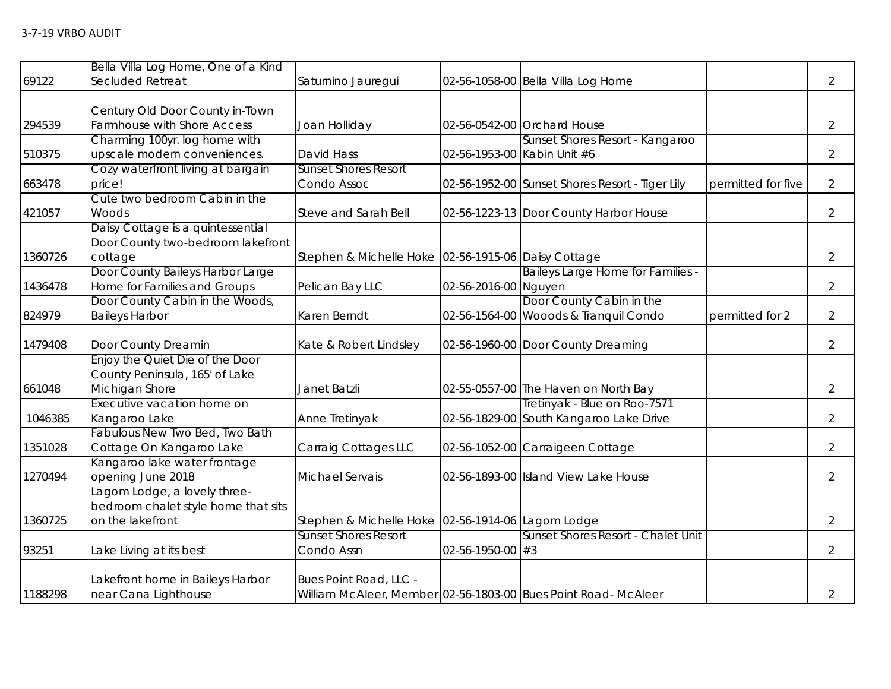| 69122   | Bella Villa Log Home, One of a Kind<br>Secluded Retreat                                 | Saturnino Jauregui                                  |                             | 02-56-1058-00 Bella Villa Log Home                                      |                    | $\overline{2}$ |
|---------|-----------------------------------------------------------------------------------------|-----------------------------------------------------|-----------------------------|-------------------------------------------------------------------------|--------------------|----------------|
| 294539  | Century Old Door County in-Town<br>Farmhouse with Shore Access                          | Joan Holliday                                       |                             | 02-56-0542-00 Orchard House                                             |                    | $\overline{2}$ |
|         | Charming 100yr. log home with                                                           |                                                     |                             | Sunset Shores Resort - Kangaroo                                         |                    |                |
| 510375  | upscale modern conveniences.                                                            | David Hass                                          | 02-56-1953-00 Kabin Unit #6 |                                                                         |                    | $\overline{2}$ |
| 663478  | Cozy waterfront living at bargain<br>price!                                             | <b>Sunset Shores Resort</b><br>Condo Assoc          |                             | 02-56-1952-00 Sunset Shores Resort - Tiger Lily                         | permitted for five | $\overline{2}$ |
| 421057  | Cute two bedroom Cabin in the<br>Woods                                                  | Steve and Sarah Bell                                |                             | 02-56-1223-13 Door County Harbor House                                  |                    | $\overline{2}$ |
| 1360726 | Daisy Cottage is a quintessential<br>Door County two-bedroom lakefront<br>cottage       | Stephen & Michelle Hoke 02-56-1915-06 Daisy Cottage |                             |                                                                         |                    | $\overline{2}$ |
| 1436478 | Door County Baileys Harbor Large<br>Home for Families and Groups                        | Pelican Bay LLC                                     | 02-56-2016-00 Nguyen        | Baileys Large Home for Families -                                       |                    | $\overline{2}$ |
| 824979  | Door County Cabin in the Woods,<br><b>Baileys Harbor</b>                                | Karen Berndt                                        |                             | Door County Cabin in the<br>02-56-1564-00 Wooods & Tranquil Condo       | permitted for 2    | $\overline{2}$ |
| 1479408 | Door County Dreamin                                                                     | Kate & Robert Lindsley                              |                             | 02-56-1960-00 Door County Dreaming                                      |                    | $\overline{2}$ |
| 661048  | Enjoy the Quiet Die of the Door<br>County Peninsula, 165' of Lake<br>Michigan Shore     | Janet Batzli                                        |                             | 02-55-0557-00 The Haven on North Bay                                    |                    | $\overline{2}$ |
| 1046385 | Executive vacation home on<br>Kangaroo Lake                                             | Anne Tretinyak                                      |                             | Tretinyak - Blue on Roo-7571<br>02-56-1829-00 South Kangaroo Lake Drive |                    | $\overline{2}$ |
| 1351028 | Fabulous New Two Bed, Two Bath<br>Cottage On Kangaroo Lake                              | Carraig Cottages LLC                                |                             | 02-56-1052-00 Carraigeen Cottage                                        |                    | $\overline{2}$ |
| 1270494 | Kangaroo lake water frontage<br>opening June 2018                                       | <b>Michael Servais</b>                              |                             | 02-56-1893-00 Island View Lake House                                    |                    | $\overline{2}$ |
| 1360725 | Lagom Lodge, a lovely three-<br>bedroom chalet style home that sits<br>on the lakefront | Stephen & Michelle Hoke 02-56-1914-06 Lagom Lodge   |                             |                                                                         |                    | $\overline{2}$ |
| 93251   | Lake Living at its best                                                                 | <b>Sunset Shores Resort</b><br>Condo Assn           | $02 - 56 - 1950 - 00$ #3    | Sunset Shores Resort - Chalet Unit                                      |                    | $\overline{2}$ |
| 1188298 | Lakefront home in Baileys Harbor<br>near Cana Lighthouse                                | Bues Point Road, LLC -                              |                             | William McAleer, Member 02-56-1803-00 Bues Point Road- McAleer          |                    | $\overline{2}$ |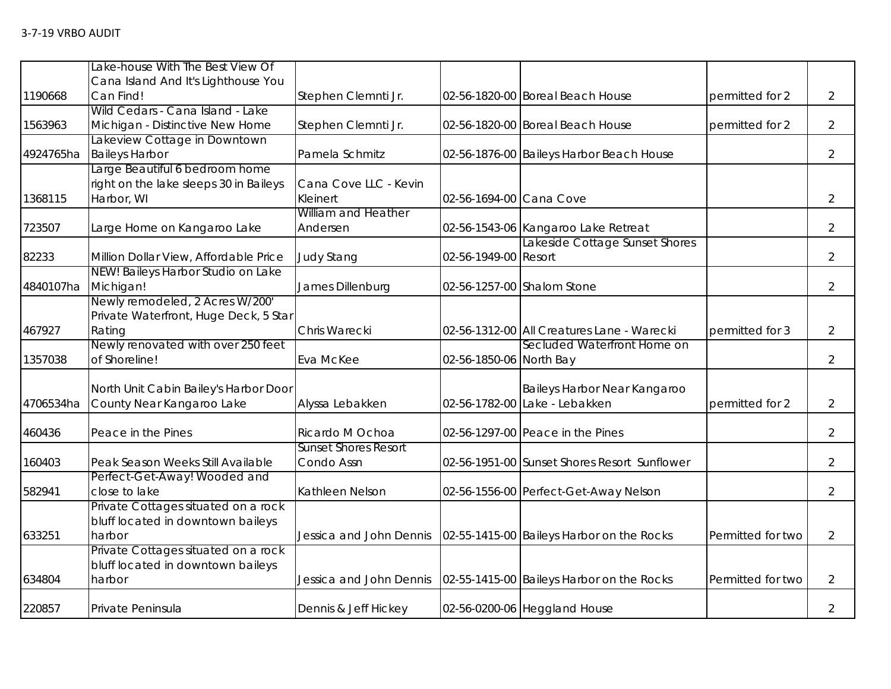|           | Lake-house With The Best View Of                 |                             |                         |                                              |                   |                |
|-----------|--------------------------------------------------|-----------------------------|-------------------------|----------------------------------------------|-------------------|----------------|
| 1190668   | Cana Island And It's Lighthouse You<br>Can Find! | Stephen Clemnti Jr.         |                         | 02-56-1820-00 Boreal Beach House             | permitted for 2   | $\overline{2}$ |
|           | Wild Cedars - Cana Island - Lake                 |                             |                         |                                              |                   |                |
| 1563963   | Michigan - Distinctive New Home                  | Stephen Clemnti Jr.         |                         | 02-56-1820-00 Boreal Beach House             | permitted for 2   | $\overline{2}$ |
|           | Lakeview Cottage in Downtown                     |                             |                         |                                              |                   |                |
| 4924765ha | <b>Baileys Harbor</b>                            | Pamela Schmitz              |                         | 02-56-1876-00 Baileys Harbor Beach House     |                   | $\overline{2}$ |
|           | Large Beautiful 6 bedroom home                   |                             |                         |                                              |                   |                |
|           | right on the lake sleeps 30 in Baileys           | Cana Cove LLC - Kevin       |                         |                                              |                   |                |
| 1368115   | Harbor, WI                                       | Kleinert                    | 02-56-1694-00 Cana Cove |                                              |                   | $\overline{2}$ |
|           |                                                  | William and Heather         |                         |                                              |                   |                |
| 723507    | Large Home on Kangaroo Lake                      | Andersen                    |                         | 02-56-1543-06 Kangaroo Lake Retreat          |                   | $\overline{2}$ |
|           |                                                  |                             |                         | Lakeside Cottage Sunset Shores               |                   |                |
| 82233     | Million Dollar View, Affordable Price            | <b>Judy Stang</b>           | 02-56-1949-00 Resort    |                                              |                   | $\overline{2}$ |
|           | NEW! Baileys Harbor Studio on Lake               |                             |                         |                                              |                   |                |
| 4840107ha | Michigan!                                        | James Dillenburg            |                         | 02-56-1257-00 Shalom Stone                   |                   | $\overline{2}$ |
|           | Newly remodeled, 2 Acres W/200'                  |                             |                         |                                              |                   |                |
|           | Private Waterfront, Huge Deck, 5 Star            | Chris Warecki               |                         |                                              | permitted for 3   | $\overline{2}$ |
| 467927    | Rating<br>Newly renovated with over 250 feet     |                             |                         | 02-56-1312-00 All Creatures Lane - Warecki   |                   |                |
| 1357038   | of Shoreline!                                    | Eva McKee                   | 02-56-1850-06 North Bay | Secluded Waterfront Home on                  |                   | $\overline{2}$ |
|           |                                                  |                             |                         |                                              |                   |                |
|           | North Unit Cabin Bailey's Harbor Door            |                             |                         | Baileys Harbor Near Kangaroo                 |                   |                |
| 4706534ha | County Near Kangaroo Lake                        | Alyssa Lebakken             |                         | 02-56-1782-00 Lake - Lebakken                | permitted for 2   | $\overline{2}$ |
|           |                                                  |                             |                         |                                              |                   |                |
| 460436    | Peace in the Pines                               | Ricardo M Ochoa             |                         | 02-56-1297-00 Peace in the Pines             |                   | $\overline{2}$ |
|           |                                                  | <b>Sunset Shores Resort</b> |                         |                                              |                   |                |
| 160403    | Peak Season Weeks Still Available                | Condo Assn                  |                         | 02-56-1951-00 Sunset Shores Resort Sunflower |                   | $\overline{2}$ |
|           | Perfect-Get-Away! Wooded and                     |                             |                         |                                              |                   |                |
| 582941    | close to lake                                    | Kathleen Nelson             |                         | 02-56-1556-00 Perfect-Get-Away Nelson        |                   | $\overline{2}$ |
|           | Private Cottages situated on a rock              |                             |                         |                                              |                   |                |
|           | bluff located in downtown baileys                |                             |                         |                                              |                   |                |
| 633251    | harbor                                           | Jessica and John Dennis     |                         | 02-55-1415-00 Baileys Harbor on the Rocks    | Permitted for two | $\overline{2}$ |
|           | Private Cottages situated on a rock              |                             |                         |                                              |                   |                |
|           | bluff located in downtown baileys                |                             |                         |                                              |                   |                |
| 634804    | harbor                                           | Jessica and John Dennis     |                         | 02-55-1415-00 Baileys Harbor on the Rocks    | Permitted for two | $\overline{2}$ |
| 220857    | Private Peninsula                                | Dennis & Jeff Hickey        |                         | 02-56-0200-06 Heggland House                 |                   | $\overline{2}$ |
|           |                                                  |                             |                         |                                              |                   |                |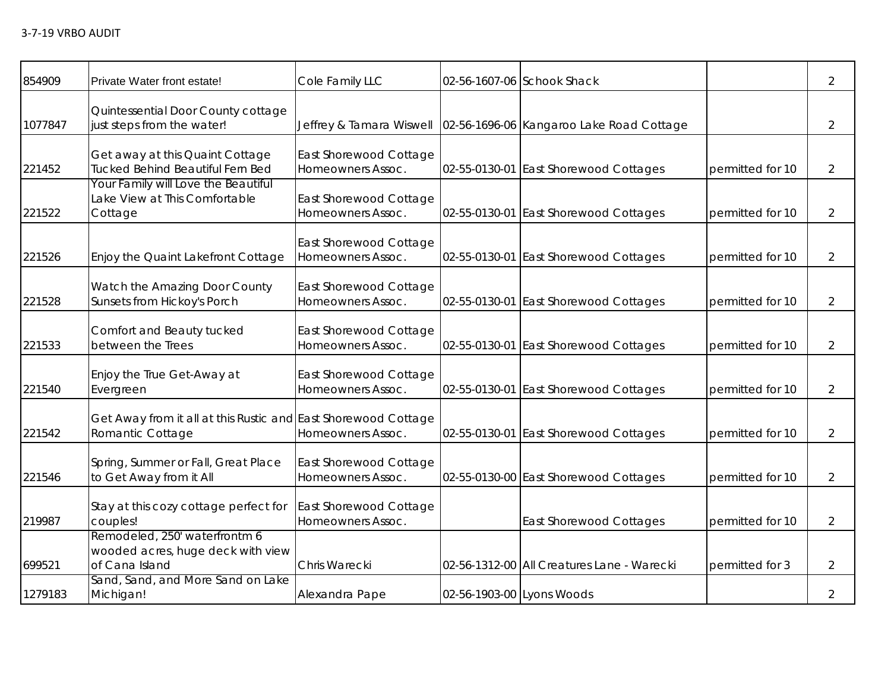| 854909  | Private Water front estate!                                                          | Cole Family LLC                             |                           | 02-56-1607-06 Schook Shack                 |                  | $\overline{2}$ |
|---------|--------------------------------------------------------------------------------------|---------------------------------------------|---------------------------|--------------------------------------------|------------------|----------------|
| 1077847 | Quintessential Door County cottage<br>just steps from the water!                     | Jeffrey & Tamara Wiswell                    |                           | 02-56-1696-06 Kangaroo Lake Road Cottage   |                  | $\overline{2}$ |
| 221452  | Get away at this Quaint Cottage<br>Tucked Behind Beautiful Fern Bed                  | East Shorewood Cottage<br>Homeowners Assoc. | 02-55-0130-01             | <b>East Shorewood Cottages</b>             | permitted for 10 | $\overline{2}$ |
| 221522  | Your Family will Love the Beautiful<br>Lake View at This Comfortable<br>Cottage      | East Shorewood Cottage<br>Homeowners Assoc. | 02-55-0130-01             | <b>East Shorewood Cottages</b>             | permitted for 10 | $\overline{2}$ |
| 221526  | Enjoy the Quaint Lakefront Cottage                                                   | East Shorewood Cottage<br>Homeowners Assoc. | 02-55-0130-01             | <b>East Shorewood Cottages</b>             | permitted for 10 | $\overline{2}$ |
| 221528  | Watch the Amazing Door County<br>Sunsets from Hickoy's Porch                         | East Shorewood Cottage<br>Homeowners Assoc. | 02-55-0130-01             | <b>East Shorewood Cottages</b>             | permitted for 10 | 2              |
| 221533  | Comfort and Beauty tucked<br>between the Trees                                       | East Shorewood Cottage<br>Homeowners Assoc. | 02-55-0130-01             | <b>East Shorewood Cottages</b>             | permitted for 10 | $\overline{2}$ |
| 221540  | Enjoy the True Get-Away at<br>Evergreen                                              | East Shorewood Cottage<br>Homeowners Assoc. | 02-55-0130-01             | <b>East Shorewood Cottages</b>             | permitted for 10 | $\overline{2}$ |
| 221542  | Get Away from it all at this Rustic and East Shorewood Cottage<br>Romantic Cottage   | Homeowners Assoc.                           |                           | 02-55-0130-01 East Shorewood Cottages      | permitted for 10 | $\overline{2}$ |
| 221546  | Spring, Summer or Fall, Great Place<br>to Get Away from it All                       | East Shorewood Cottage<br>Homeowners Assoc. |                           | 02-55-0130-00 East Shorewood Cottages      | permitted for 10 | $\overline{2}$ |
| 219987  | Stay at this cozy cottage perfect for<br>couples!                                    | East Shorewood Cottage<br>Homeowners Assoc. |                           | <b>East Shorewood Cottages</b>             | permitted for 10 | $\overline{2}$ |
| 699521  | Remodeled, 250' waterfrontm 6<br>wooded acres, huge deck with view<br>of Cana Island | Chris Warecki                               |                           | 02-56-1312-00 All Creatures Lane - Warecki | permitted for 3  | $\overline{2}$ |
| 1279183 | Sand, Sand, and More Sand on Lake<br>Michigan!                                       | Alexandra Pape                              | 02-56-1903-00 Lyons Woods |                                            |                  | $\overline{2}$ |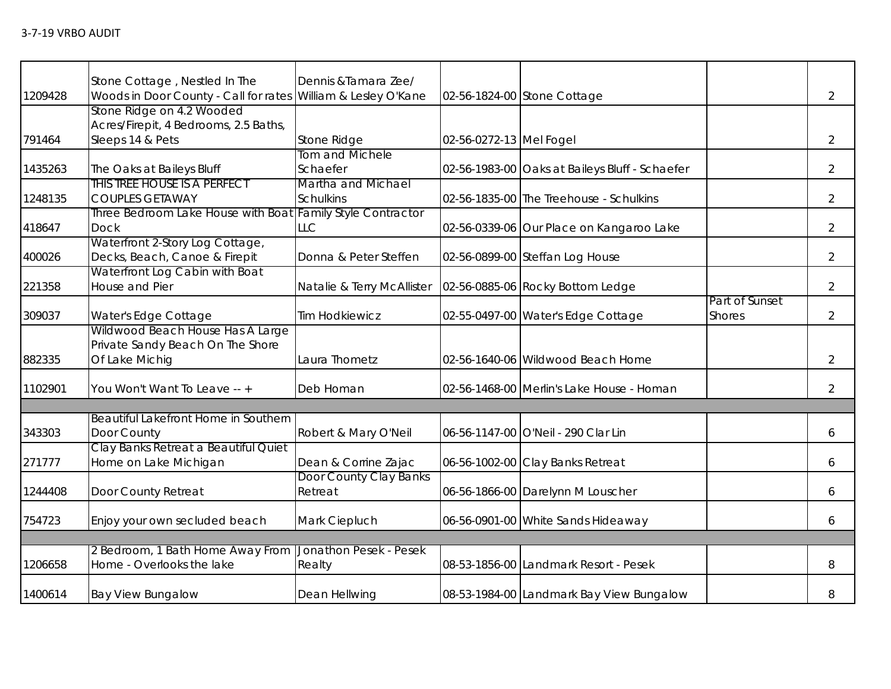|         | Stone Cottage, Nestled In The                                 | Dennis & Tamara Zee/       |                         |                                                |                |                |
|---------|---------------------------------------------------------------|----------------------------|-------------------------|------------------------------------------------|----------------|----------------|
| 1209428 | Woods in Door County - Call for rates William & Lesley O'Kane |                            |                         | 02-56-1824-00 Stone Cottage                    |                | $\overline{2}$ |
|         | Stone Ridge on 4.2 Wooded                                     |                            |                         |                                                |                |                |
|         | Acres/Firepit, 4 Bedrooms, 2.5 Baths,                         |                            |                         |                                                |                |                |
| 791464  | Sleeps 14 & Pets                                              | Stone Ridge                | 02-56-0272-13 Mel Fogel |                                                |                | $\overline{2}$ |
|         |                                                               | Tom and Michele            |                         |                                                |                |                |
| 1435263 | The Oaks at Baileys Bluff                                     | Schaefer                   |                         | 02-56-1983-00 Oaks at Baileys Bluff - Schaefer |                | $\overline{2}$ |
|         | THIS TREE HOUSE IS A PERFECT                                  | Martha and Michael         |                         |                                                |                |                |
| 1248135 | <b>COUPLES GETAWAY</b>                                        | <b>Schulkins</b>           |                         | 02-56-1835-00 The Treehouse - Schulkins        |                | $\overline{2}$ |
|         | Three Bedroom Lake House with Boat Family Style Contractor    |                            |                         |                                                |                |                |
| 418647  | <b>Dock</b>                                                   | LLC                        |                         | 02-56-0339-06 Our Place on Kangaroo Lake       |                | $\overline{2}$ |
|         | Waterfront 2-Story Log Cottage,                               |                            |                         |                                                |                |                |
| 400026  | Decks, Beach, Canoe & Firepit                                 | Donna & Peter Steffen      |                         | 02-56-0899-00 Steffan Log House                |                | $\overline{2}$ |
|         | Waterfront Log Cabin with Boat                                |                            |                         |                                                |                |                |
| 221358  | House and Pier                                                | Natalie & Terry McAllister |                         | 02-56-0885-06 Rocky Bottom Ledge               |                | $\overline{2}$ |
|         |                                                               |                            |                         |                                                | Part of Sunset |                |
| 309037  | Water's Edge Cottage                                          | <b>Tim Hodkiewicz</b>      |                         | 02-55-0497-00 Water's Edge Cottage             | <b>Shores</b>  | $\overline{2}$ |
|         | Wildwood Beach House Has A Large                              |                            |                         |                                                |                |                |
|         | Private Sandy Beach On The Shore                              |                            |                         |                                                |                |                |
| 882335  | Of Lake Michig                                                | Laura Thometz              |                         | 02-56-1640-06 Wildwood Beach Home              |                | $\overline{2}$ |
| 1102901 | You Won't Want To Leave -- +                                  | Deb Homan                  |                         | 02-56-1468-00 Merlin's Lake House - Homan      |                | $\overline{2}$ |
|         |                                                               |                            |                         |                                                |                |                |
|         | Beautiful Lakefront Home in Southern                          |                            |                         |                                                |                |                |
| 343303  | Door County                                                   | Robert & Mary O'Neil       |                         | 06-56-1147-00 O'Neil - 290 Clar Lin            |                | 6              |
|         | Clay Banks Retreat a Beautiful Quiet                          |                            |                         |                                                |                |                |
| 271777  | Home on Lake Michigan                                         | Dean & Corrine Zajac       |                         | 06-56-1002-00 Clay Banks Retreat               |                | 6              |
|         |                                                               | Door County Clay Banks     |                         |                                                |                |                |
| 1244408 | Door County Retreat                                           | Retreat                    |                         | 06-56-1866-00 Darelynn M Louscher              |                | 6              |
|         |                                                               |                            |                         |                                                |                |                |
| 754723  | Enjoy your own secluded beach                                 | Mark Ciepluch              |                         | 06-56-0901-00 White Sands Hideaway             |                | 6              |
|         |                                                               |                            |                         |                                                |                |                |
|         | 2 Bedroom, 1 Bath Home Away From                              | Jonathon Pesek - Pesek     |                         |                                                |                |                |
| 1206658 | Home - Overlooks the lake                                     | Realty                     |                         | 08-53-1856-00 Landmark Resort - Pesek          |                | 8              |
| 1400614 | <b>Bay View Bungalow</b>                                      | Dean Hellwing              |                         | 08-53-1984-00 Landmark Bay View Bungalow       |                | 8              |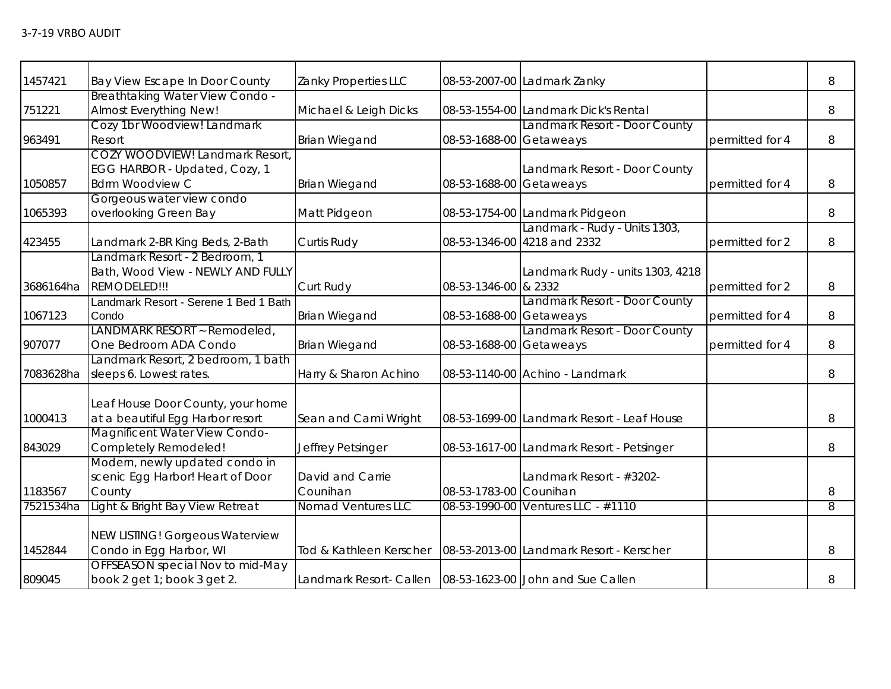| 1457421   | Bay View Escape In Door County         | Zanky Properties LLC                                        |                         | 08-53-2007-00 Ladmark Zanky                |                 | 8              |
|-----------|----------------------------------------|-------------------------------------------------------------|-------------------------|--------------------------------------------|-----------------|----------------|
|           | Breathtaking Water View Condo -        |                                                             |                         |                                            |                 |                |
| 751221    | Almost Everything New!                 | Michael & Leigh Dicks                                       |                         | 08-53-1554-00 Landmark Dick's Rental       |                 | 8              |
|           | Cozy 1br Woodview! Landmark            |                                                             |                         | Landmark Resort - Door County              |                 |                |
| 963491    | Resort                                 | <b>Brian Wiegand</b>                                        | 08-53-1688-00 Getaweays |                                            | permitted for 4 | 8              |
|           | <b>COZY WOODVIEW! Landmark Resort</b>  |                                                             |                         |                                            |                 |                |
|           | EGG HARBOR - Updated, Cozy, 1          |                                                             |                         | Landmark Resort - Door County              |                 |                |
| 1050857   | <b>Bdrm Woodview C</b>                 | <b>Brian Wiegand</b>                                        | 08-53-1688-00 Getaweays |                                            | permitted for 4 | 8              |
|           | Gorgeous water view condo              |                                                             |                         |                                            |                 |                |
| 1065393   | overlooking Green Bay                  | Matt Pidgeon                                                |                         | 08-53-1754-00 Landmark Pidgeon             |                 | 8              |
|           |                                        |                                                             |                         | Landmark - Rudy - Units 1303,              |                 |                |
| 423455    | Landmark 2-BR King Beds, 2-Bath        | Curtis Rudy                                                 |                         | 08-53-1346-00 4218 and 2332                | permitted for 2 | 8              |
|           | Landmark Resort - 2 Bedroom, 1         |                                                             |                         |                                            |                 |                |
|           | Bath, Wood View - NEWLY AND FULLY      |                                                             |                         | Landmark Rudy - units 1303, 4218           |                 |                |
| 3686164ha | REMODELED!!!                           | Curt Rudy                                                   | 08-53-1346-00 & 2332    |                                            | permitted for 2 | 8              |
|           | Landmark Resort - Serene 1 Bed 1 Bath  |                                                             |                         | Landmark Resort - Door County              |                 |                |
| 1067123   | Condo                                  | <b>Brian Wiegand</b>                                        | 08-53-1688-00 Getaweays |                                            | permitted for 4 | 8              |
|           | LANDMARK RESORT ~ Remodeled,           |                                                             |                         | Landmark Resort - Door County              |                 |                |
| 907077    | One Bedroom ADA Condo                  | <b>Brian Wiegand</b>                                        | 08-53-1688-00 Getaweays |                                            | permitted for 4 | 8              |
|           | Landmark Resort, 2 bedroom, 1 bath     |                                                             |                         |                                            |                 |                |
| 7083628ha | sleeps 6. Lowest rates.                | Harry & Sharon Achino                                       |                         | 08-53-1140-00 Achino - Landmark            |                 | 8              |
|           | Leaf House Door County, your home      |                                                             |                         |                                            |                 |                |
| 1000413   | at a beautiful Egg Harbor resort       | Sean and Cami Wright                                        |                         | 08-53-1699-00 Landmark Resort - Leaf House |                 | 8              |
|           | Magnificent Water View Condo-          |                                                             |                         |                                            |                 |                |
| 843029    | Completely Remodeled!                  | Jeffrey Petsinger                                           |                         | 08-53-1617-00 Landmark Resort - Petsinger  |                 | 8              |
|           | Modern, newly updated condo in         |                                                             |                         |                                            |                 |                |
|           | scenic Egg Harbor! Heart of Door       | David and Carrie                                            |                         | Landmark Resort - #3202-                   |                 |                |
| 1183567   | County                                 | Counihan                                                    | 08-53-1783-00 Counihan  |                                            |                 | 8              |
| 7521534ha | Light & Bright Bay View Retreat        | <b>Nomad Ventures LLC</b>                                   |                         | 08-53-1990-00 Ventures LLC - #1110         |                 | $\overline{8}$ |
|           |                                        |                                                             |                         |                                            |                 |                |
|           | <b>NEW LISTING! Gorgeous Waterview</b> |                                                             |                         |                                            |                 |                |
| 1452844   | Condo in Egg Harbor, WI                | Tod & Kathleen Kerscher                                     |                         | 08-53-2013-00 Landmark Resort - Kerscher   |                 | 8              |
|           | OFFSEASON special Nov to mid-May       |                                                             |                         |                                            |                 |                |
| 809045    | book 2 get 1; book 3 get 2.            | Landmark Resort- Callen   08-53-1623-00 John and Sue Callen |                         |                                            |                 | 8              |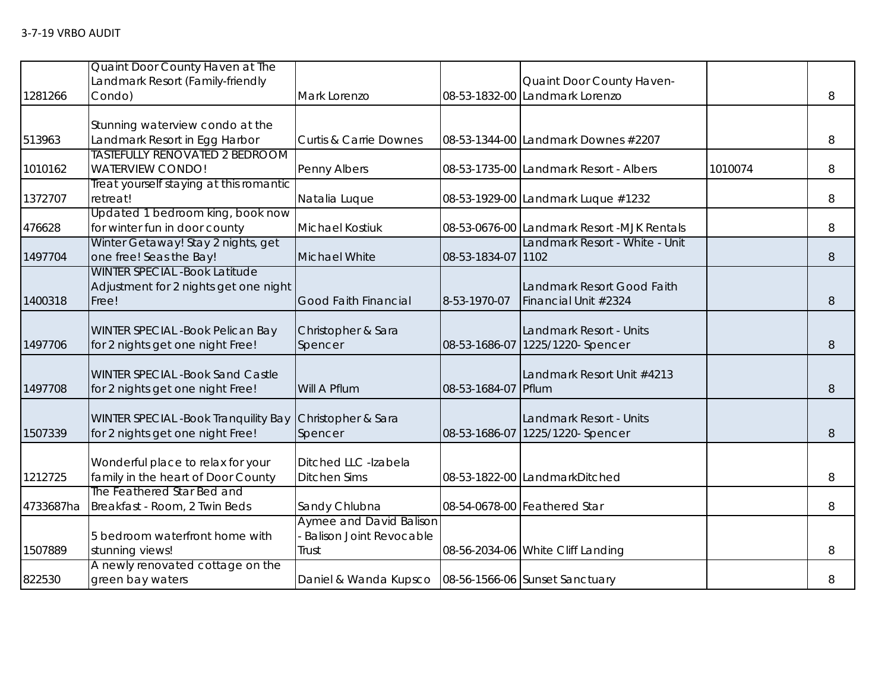|           | Quaint Door County Haven at The            |                                                        |                    |                                                             |         |   |
|-----------|--------------------------------------------|--------------------------------------------------------|--------------------|-------------------------------------------------------------|---------|---|
| 1281266   | Landmark Resort (Family-friendly<br>Condo) | Mark Lorenzo                                           |                    | Quaint Door County Haven-<br>08-53-1832-00 Landmark Lorenzo |         | 8 |
|           |                                            |                                                        |                    |                                                             |         |   |
|           | Stunning waterview condo at the            |                                                        |                    |                                                             |         |   |
| 513963    | Landmark Resort in Egg Harbor              | <b>Curtis &amp; Carrie Downes</b>                      |                    | 08-53-1344-00 Landmark Downes #2207                         |         | 8 |
|           | <b>TASTEFULLY RENOVATED 2 BEDROOM</b>      |                                                        |                    |                                                             |         |   |
| 1010162   | <b>WATERVIEW CONDO!</b>                    | Penny Albers                                           |                    | 08-53-1735-00 Landmark Resort - Albers                      | 1010074 | 8 |
|           | Treat yourself staying at this romantic    |                                                        |                    |                                                             |         |   |
| 1372707   | retreat!                                   | Natalia Luque                                          |                    | 08-53-1929-00 Landmark Luque #1232                          |         | 8 |
|           | Updated 1 bedroom king, book now           |                                                        |                    |                                                             |         |   |
| 476628    | for winter fun in door county              | Michael Kostiuk                                        |                    | 08-53-0676-00 Landmark Resort -MJK Rentals                  |         | 8 |
|           | Winter Getaway! Stay 2 nights, get         |                                                        |                    | Landmark Resort - White - Unit                              |         |   |
| 1497704   | one free! Seas the Bay!                    | Michael White                                          | 08-53-1834-07 1102 |                                                             |         | 8 |
|           | <b>WINTER SPECIAL - Book Latitude</b>      |                                                        |                    |                                                             |         |   |
|           | Adjustment for 2 nights get one night      |                                                        |                    | Landmark Resort Good Faith                                  |         |   |
| 1400318   | Free!                                      | <b>Good Faith Financial</b>                            | 8-53-1970-07       | Financial Unit #2324                                        |         | 8 |
|           |                                            |                                                        |                    |                                                             |         |   |
|           | WINTER SPECIAL - Book Pelican Bay          | Christopher & Sara                                     |                    | Landmark Resort - Units                                     |         |   |
| 1497706   | for 2 nights get one night Free!           | Spencer                                                | 08-53-1686-07      | 1225/1220-Spencer                                           |         | 8 |
|           | <b>WINTER SPECIAL -Book Sand Castle</b>    |                                                        |                    | Landmark Resort Unit #4213                                  |         |   |
| 1497708   | for 2 nights get one night Free!           | Will A Pflum                                           | 08-53-1684-07      | Pflum                                                       |         | 8 |
|           |                                            |                                                        |                    |                                                             |         |   |
|           | WINTER SPECIAL -Book Tranquility Bay       | Christopher & Sara                                     |                    | Landmark Resort - Units                                     |         |   |
| 1507339   | for 2 nights get one night Free!           | Spencer                                                | 08-53-1686-07      | 1225/1220- Spencer                                          |         | 8 |
|           |                                            |                                                        |                    |                                                             |         |   |
|           | Wonderful place to relax for your          | Ditched LLC -Izabela                                   |                    |                                                             |         |   |
| 1212725   | family in the heart of Door County         | <b>Ditchen Sims</b>                                    |                    | 08-53-1822-00 LandmarkDitched                               |         | 8 |
|           | The Feathered Star Bed and                 |                                                        |                    |                                                             |         |   |
| 4733687ha | Breakfast - Room, 2 Twin Beds              | Sandy Chlubna                                          |                    | 08-54-0678-00 Feathered Star                                |         | 8 |
|           |                                            | <b>Aymee and David Balison</b>                         |                    |                                                             |         |   |
|           | 5 bedroom waterfront home with             | <b>Balison Joint Revocable</b>                         |                    |                                                             |         |   |
| 1507889   | stunning views!                            | Trust                                                  |                    | 08-56-2034-06 White Cliff Landing                           |         | 8 |
|           | A newly renovated cottage on the           |                                                        |                    |                                                             |         |   |
| 822530    | green bay waters                           | Daniel & Wanda Kupsco   08-56-1566-06 Sunset Sanctuary |                    |                                                             |         | 8 |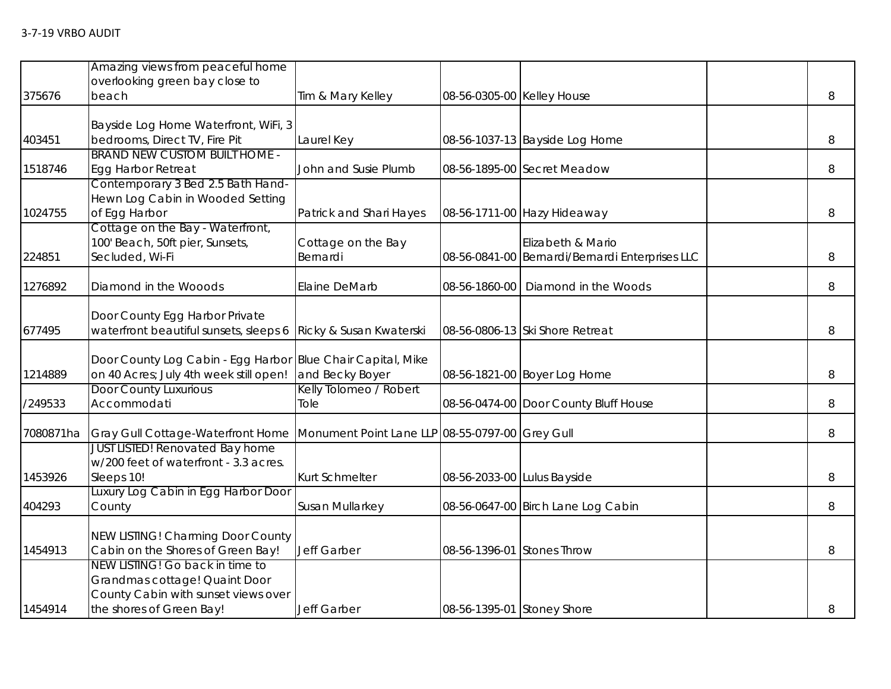|           | Amazing views from peaceful home                                     |                                                 |                            |                                                 |   |
|-----------|----------------------------------------------------------------------|-------------------------------------------------|----------------------------|-------------------------------------------------|---|
| 375676    | overlooking green bay close to<br>beach                              | Tim & Mary Kelley                               | 08-56-0305-00 Kelley House |                                                 | 8 |
|           |                                                                      |                                                 |                            |                                                 |   |
|           | Bayside Log Home Waterfront, WiFi, 3                                 |                                                 |                            |                                                 |   |
| 403451    | bedrooms, Direct TV, Fire Pit                                        | Laurel Key                                      |                            | 08-56-1037-13 Bayside Log Home                  | 8 |
|           | <b>BRAND NEW CUSTOM BUILT HOME -</b>                                 |                                                 |                            |                                                 |   |
| 1518746   | <b>Egg Harbor Retreat</b>                                            | John and Susie Plumb                            |                            | 08-56-1895-00 Secret Meadow                     | 8 |
|           | Contemporary 3 Bed 2.5 Bath Hand-                                    |                                                 |                            |                                                 |   |
| 1024755   | Hewn Log Cabin in Wooded Setting<br>of Egg Harbor                    | Patrick and Shari Hayes                         |                            | 08-56-1711-00 Hazy Hideaway                     | 8 |
|           | Cottage on the Bay - Waterfront,                                     |                                                 |                            |                                                 |   |
|           | 100' Beach, 50ft pier, Sunsets,                                      | Cottage on the Bay                              |                            | Elizabeth & Mario                               |   |
| 224851    | Secluded, Wi-Fi                                                      | Bernardi                                        |                            | 08-56-0841-00 Bernardi/Bernardi Enterprises LLC | 8 |
|           |                                                                      |                                                 |                            |                                                 |   |
| 1276892   | Diamond in the Wooods                                                | Elaine DeMarb                                   | 08-56-1860-00              | Diamond in the Woods                            | 8 |
|           |                                                                      |                                                 |                            |                                                 |   |
|           | Door County Egg Harbor Private                                       |                                                 |                            |                                                 |   |
| 677495    | waterfront beautiful sunsets, sleeps 6                               | Ricky & Susan Kwaterski                         |                            | 08-56-0806-13 Ski Shore Retreat                 | 8 |
|           |                                                                      |                                                 |                            |                                                 |   |
|           | Door County Log Cabin - Egg Harbor                                   | <b>Blue Chair Capital, Mike</b>                 |                            |                                                 |   |
| 1214889   | on 40 Acres; July 4th week still open!                               | and Becky Boyer                                 |                            | 08-56-1821-00 Boyer Log Home                    | 8 |
|           | Door County Luxurious                                                | Kelly Tolomeo / Robert                          |                            |                                                 |   |
| /249533   | Accommodati                                                          | Tole                                            |                            | 08-56-0474-00 Door County Bluff House           | 8 |
| 7080871ha | Gray Gull Cottage-Waterfront Home                                    | Monument Point Lane LLP 08-55-0797-00 Grey Gull |                            |                                                 | 8 |
|           | <b>JUST LISTED! Renovated Bay home</b>                               |                                                 |                            |                                                 |   |
|           | w/200 feet of waterfront - 3.3 acres.                                |                                                 |                            |                                                 |   |
| 1453926   | Sleeps 10!                                                           | Kurt Schmelter                                  |                            | 08-56-2033-00 Lulus Bayside                     | 8 |
|           | Luxury Log Cabin in Egg Harbor Door                                  |                                                 |                            |                                                 |   |
| 404293    | County                                                               | Susan Mullarkey                                 |                            | 08-56-0647-00 Birch Lane Log Cabin              | 8 |
|           |                                                                      |                                                 |                            |                                                 |   |
|           | NEW LISTING! Charming Door County                                    |                                                 |                            |                                                 |   |
| 1454913   | Cabin on the Shores of Green Bay!                                    | Jeff Garber                                     | 08-56-1396-01              | <b>Stones Throw</b>                             | 8 |
|           | NEW LISTING! Go back in time to                                      |                                                 |                            |                                                 |   |
|           | Grandmas cottage! Quaint Door<br>County Cabin with sunset views over |                                                 |                            |                                                 |   |
| 1454914   | the shores of Green Bay!                                             | Jeff Garber                                     | 08-56-1395-01 Stoney Shore |                                                 | 8 |
|           |                                                                      |                                                 |                            |                                                 |   |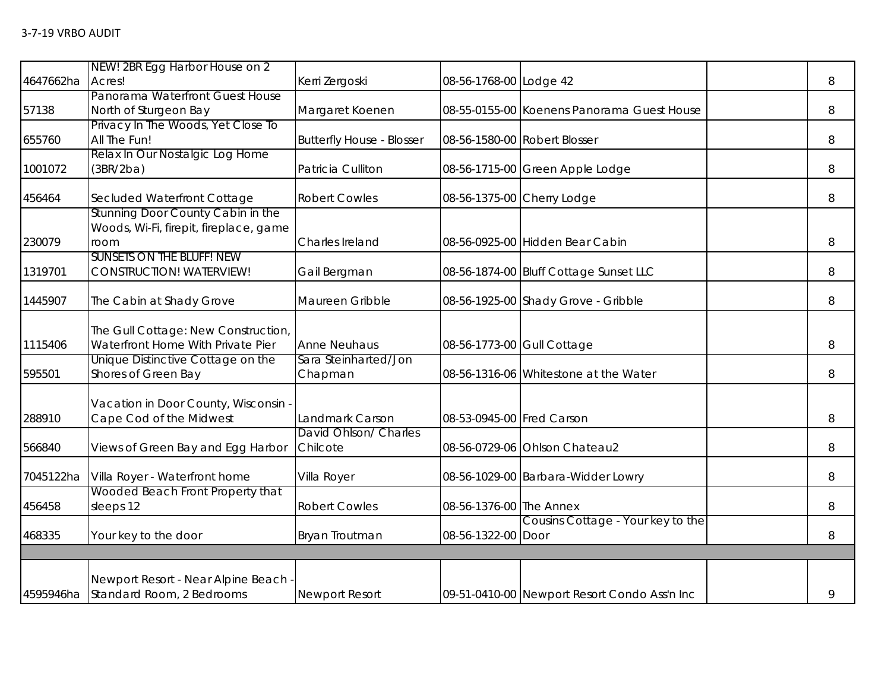|           | NEW! 2BR Egg Harbor House on 2         |                                          |                            |                                              |   |
|-----------|----------------------------------------|------------------------------------------|----------------------------|----------------------------------------------|---|
| 4647662ha | Acres!                                 | Kerri Zergoski                           | 08-56-1768-00 Lodge 42     |                                              | 8 |
|           | Panorama Waterfront Guest House        |                                          |                            |                                              |   |
| 57138     | North of Sturgeon Bay                  | Margaret Koenen                          |                            | 08-55-0155-00 Koenens Panorama Guest House   | 8 |
|           | Privacy In The Woods, Yet Close To     |                                          |                            |                                              |   |
| 655760    | All The Fun!                           | <b>Butterfly House - Blosser</b>         |                            | 08-56-1580-00 Robert Blosser                 | 8 |
|           | Relax In Our Nostalgic Log Home        |                                          |                            |                                              |   |
| 1001072   | (3BR/2ba)                              | Patricia Culliton                        |                            | 08-56-1715-00 Green Apple Lodge              | 8 |
| 456464    | Secluded Waterfront Cottage            | <b>Robert Cowles</b>                     |                            | 08-56-1375-00 Cherry Lodge                   | 8 |
|           | Stunning Door County Cabin in the      |                                          |                            |                                              |   |
|           | Woods, Wi-Fi, firepit, fireplace, game |                                          |                            |                                              |   |
| 230079    | room                                   | Charles Ireland                          |                            | 08-56-0925-00 Hidden Bear Cabin              | 8 |
|           | <b>SUNSETS ON THE BLUFF! NEW</b>       |                                          |                            |                                              |   |
| 1319701   | CONSTRUCTION! WATERVIEW!               | Gail Bergman                             |                            | 08-56-1874-00 Bluff Cottage Sunset LLC       | 8 |
|           |                                        |                                          |                            |                                              |   |
| 1445907   | The Cabin at Shady Grove               | Maureen Gribble                          |                            | 08-56-1925-00 Shady Grove - Gribble          | 8 |
|           |                                        |                                          |                            |                                              |   |
|           | The Gull Cottage: New Construction,    |                                          |                            |                                              |   |
| 1115406   | Waterfront Home With Private Pier      | <b>Anne Neuhaus</b>                      | 08-56-1773-00 Gull Cottage |                                              | 8 |
|           | Unique Distinctive Cottage on the      | Sara Steinharted/Jon                     |                            |                                              |   |
| 595501    | Shores of Green Bay                    | Chapman                                  |                            | 08-56-1316-06 Whitestone at the Water        | 8 |
|           |                                        |                                          |                            |                                              |   |
|           | Vacation in Door County, Wisconsin     |                                          |                            |                                              |   |
| 288910    | Cape Cod of the Midwest                | Landmark Carson<br>David Ohlson/ Charles | 08-53-0945-00 Fred Carson  |                                              | 8 |
| 566840    |                                        | Chilcote                                 |                            | 08-56-0729-06 Ohlson Chateau2                | 8 |
|           | Views of Green Bay and Egg Harbor      |                                          |                            |                                              |   |
| 7045122ha | Villa Royer - Waterfront home          | Villa Royer                              |                            | 08-56-1029-00 Barbara-Widder Lowry           | 8 |
|           | Wooded Beach Front Property that       |                                          |                            |                                              |   |
| 456458    | sleeps 12                              | <b>Robert Cowles</b>                     | 08-56-1376-00 The Annex    |                                              | 8 |
|           |                                        |                                          |                            | Cousins Cottage - Your key to the            |   |
| 468335    | Your key to the door                   | Bryan Troutman                           | 08-56-1322-00 Door         |                                              | 8 |
|           |                                        |                                          |                            |                                              |   |
|           |                                        |                                          |                            |                                              |   |
|           | Newport Resort - Near Alpine Beach -   |                                          |                            |                                              |   |
|           | 4595946ha Standard Room, 2 Bedrooms    | Newport Resort                           |                            | 09-51-0410-00 Newport Resort Condo Ass'n Inc | 9 |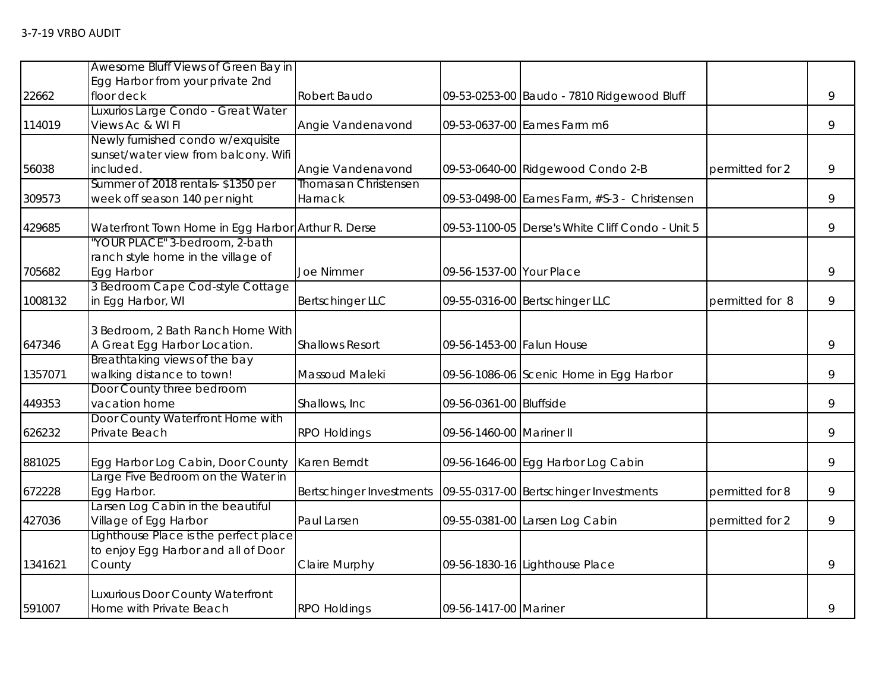|         | Awesome Bluff Views of Green Bay in                |                                 |                           |                                                  |                 |   |
|---------|----------------------------------------------------|---------------------------------|---------------------------|--------------------------------------------------|-----------------|---|
|         | Egg Harbor from your private 2nd                   |                                 |                           |                                                  |                 |   |
| 22662   | floor deck                                         | Robert Baudo                    |                           | 09-53-0253-00 Baudo - 7810 Ridgewood Bluff       |                 | 9 |
|         | Luxurios Large Condo - Great Water                 |                                 |                           |                                                  |                 |   |
| 114019  | Views Ac & WI FI                                   | Angie Vandenavond               |                           | 09-53-0637-00 Eames Farm m6                      |                 | 9 |
|         | Newly furnished condo w/exquisite                  |                                 |                           |                                                  |                 |   |
|         | sunset/water view from balcony. Wifi               |                                 |                           |                                                  |                 |   |
| 56038   | included.                                          | Angie Vandenavond               |                           | 09-53-0640-00 Ridgewood Condo 2-B                | permitted for 2 | 9 |
|         | Summer of 2018 rentals-\$1350 per                  | <b>Thomasan Christensen</b>     |                           |                                                  |                 |   |
| 309573  | week off season 140 per night                      | Harnack                         |                           | 09-53-0498-00 Eames Farm, #S-3 - Christensen     |                 | 9 |
| 429685  | Waterfront Town Home in Egg Harbor Arthur R. Derse |                                 |                           | 09-53-1100-05 Derse's White Cliff Condo - Unit 5 |                 | 9 |
|         | "YOUR PLACE" 3-bedroom, 2-bath                     |                                 |                           |                                                  |                 |   |
|         | ranch style home in the village of                 |                                 |                           |                                                  |                 |   |
| 705682  | Egg Harbor                                         | <b>Joe Nimmer</b>               | 09-56-1537-00 Your Place  |                                                  |                 | 9 |
|         | 3 Bedroom Cape Cod-style Cottage                   |                                 |                           |                                                  |                 |   |
| 1008132 | in Egg Harbor, WI                                  | <b>Bertschinger LLC</b>         |                           | 09-55-0316-00 Bertschinger LLC                   | permitted for 8 | 9 |
|         | 3 Bedroom, 2 Bath Ranch Home With                  |                                 |                           |                                                  |                 |   |
| 647346  | A Great Egg Harbor Location.                       | <b>Shallows Resort</b>          | 09-56-1453-00 Falun House |                                                  |                 | 9 |
|         | Breathtaking views of the bay                      |                                 |                           |                                                  |                 |   |
| 1357071 | walking distance to town!                          | Massoud Maleki                  |                           | 09-56-1086-06 Scenic Home in Egg Harbor          |                 | 9 |
|         | Door County three bedroom                          |                                 |                           |                                                  |                 |   |
| 449353  | vacation home                                      | Shallows, Inc.                  | 09-56-0361-00 Bluffside   |                                                  |                 | 9 |
|         | Door County Waterfront Home with                   |                                 |                           |                                                  |                 |   |
| 626232  | Private Beach                                      | <b>RPO Holdings</b>             | 09-56-1460-00 Mariner II  |                                                  |                 | 9 |
| 881025  | Egg Harbor Log Cabin, Door County                  | Karen Berndt                    |                           | 09-56-1646-00 Egg Harbor Log Cabin               |                 | 9 |
|         | Large Five Bedroom on the Water in                 |                                 |                           |                                                  |                 |   |
| 672228  | Egg Harbor.                                        | <b>Bertschinger Investments</b> |                           | 09-55-0317-00 Bertschinger Investments           | permitted for 8 | 9 |
|         | Larsen Log Cabin in the beautiful                  |                                 |                           |                                                  |                 |   |
| 427036  | Village of Egg Harbor                              | Paul Larsen                     |                           | 09-55-0381-00 Larsen Log Cabin                   | permitted for 2 | 9 |
|         | Lighthouse Place is the perfect place              |                                 |                           |                                                  |                 |   |
|         | to enjoy Egg Harbor and all of Door                |                                 |                           |                                                  |                 |   |
| 1341621 | County                                             | Claire Murphy                   |                           | 09-56-1830-16 Lighthouse Place                   |                 | 9 |
|         | Luxurious Door County Waterfront                   |                                 |                           |                                                  |                 |   |
| 591007  | Home with Private Beach                            | <b>RPO Holdings</b>             | 09-56-1417-00 Mariner     |                                                  |                 | 9 |
|         |                                                    |                                 |                           |                                                  |                 |   |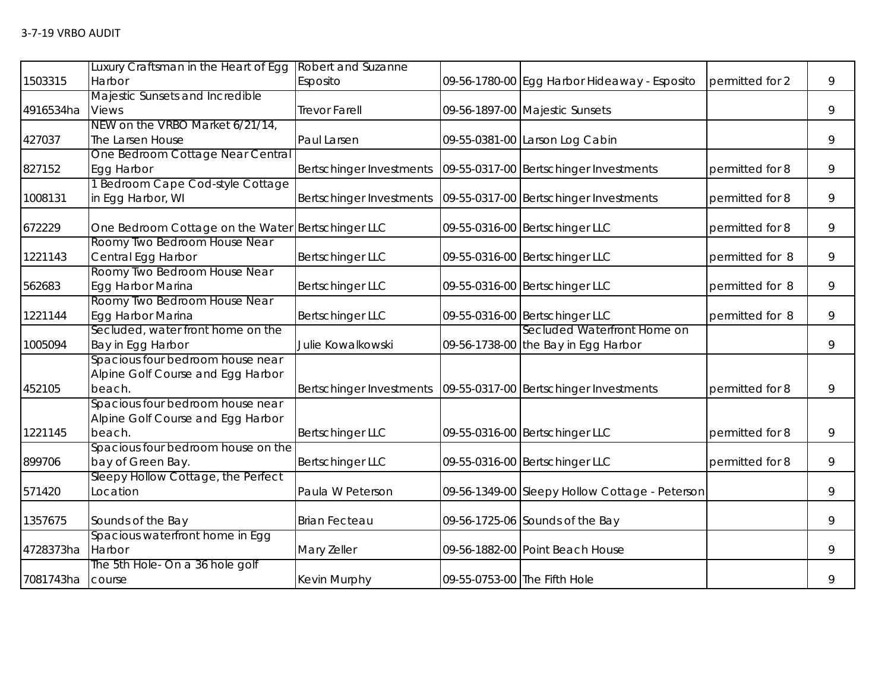|           | Luxury Craftsman in the Heart of Egg              | Robert and Suzanne       |                              |                                                |                 |   |
|-----------|---------------------------------------------------|--------------------------|------------------------------|------------------------------------------------|-----------------|---|
| 1503315   | Harbor                                            | Esposito                 |                              | 09-56-1780-00 Egg Harbor Hideaway - Esposito   | permitted for 2 | 9 |
|           | Majestic Sunsets and Incredible                   |                          |                              |                                                |                 |   |
| 4916534ha | <b>Views</b>                                      | Trevor Farell            |                              | 09-56-1897-00 Majestic Sunsets                 |                 | 9 |
|           | NEW on the VRBO Market 6/21/14,                   |                          |                              |                                                |                 |   |
| 427037    | The Larsen House                                  | Paul Larsen              |                              | 09-55-0381-00 Larson Log Cabin                 |                 | 9 |
|           | One Bedroom Cottage Near Central                  |                          |                              |                                                |                 |   |
| 827152    | Egg Harbor                                        | Bertschinger Investments |                              | 09-55-0317-00 Bertschinger Investments         | permitted for 8 | 9 |
|           | 1 Bedroom Cape Cod-style Cottage                  |                          |                              |                                                |                 |   |
| 1008131   | in Egg Harbor, WI                                 | Bertschinger Investments |                              | 09-55-0317-00 Bertschinger Investments         | permitted for 8 | 9 |
| 672229    | One Bedroom Cottage on the Water Bertschinger LLC |                          |                              | 09-55-0316-00 Bertschinger LLC                 | permitted for 8 | 9 |
|           | Roomy Two Bedroom House Near                      |                          |                              |                                                |                 |   |
| 1221143   | Central Egg Harbor                                | <b>Bertschinger LLC</b>  |                              | 09-55-0316-00 Bertschinger LLC                 | permitted for 8 | 9 |
|           | Roomy Two Bedroom House Near                      |                          |                              |                                                |                 |   |
| 562683    | Egg Harbor Marina                                 | <b>Bertschinger LLC</b>  |                              | 09-55-0316-00 Bertschinger LLC                 | permitted for 8 | 9 |
|           | Roomy Two Bedroom House Near                      |                          |                              |                                                |                 |   |
| 1221144   | Egg Harbor Marina                                 | <b>Bertschinger LLC</b>  |                              | 09-55-0316-00 Bertschinger LLC                 | permitted for 8 | 9 |
|           | Secluded, water front home on the                 |                          |                              | Secluded Waterfront Home on                    |                 |   |
| 1005094   | Bay in Egg Harbor                                 | Julie Kowalkowski        |                              | 09-56-1738-00 the Bay in Egg Harbor            |                 | 9 |
|           | Spacious four bedroom house near                  |                          |                              |                                                |                 |   |
|           | Alpine Golf Course and Egg Harbor                 |                          |                              |                                                |                 |   |
| 452105    | beach.                                            | Bertschinger Investments |                              | 09-55-0317-00 Bertschinger Investments         | permitted for 8 | 9 |
|           | Spacious four bedroom house near                  |                          |                              |                                                |                 |   |
|           | Alpine Golf Course and Egg Harbor                 |                          |                              |                                                |                 |   |
| 1221145   | beach.                                            | <b>Bertschinger LLC</b>  |                              | 09-55-0316-00 Bertschinger LLC                 | permitted for 8 | 9 |
|           | Spacious four bedroom house on the                |                          |                              |                                                |                 |   |
| 899706    | bay of Green Bay.                                 | <b>Bertschinger LLC</b>  |                              | 09-55-0316-00 Bertschinger LLC                 | permitted for 8 | 9 |
|           | Sleepy Hollow Cottage, the Perfect                |                          |                              |                                                |                 |   |
| 571420    | Location                                          | Paula W Peterson         |                              | 09-56-1349-00 Sleepy Hollow Cottage - Peterson |                 | 9 |
| 1357675   | Sounds of the Bay                                 | <b>Brian Fecteau</b>     |                              | 09-56-1725-06 Sounds of the Bay                |                 | 9 |
|           | Spacious waterfront home in Egg                   |                          |                              |                                                |                 |   |
| 4728373ha | Harbor                                            | Mary Zeller              |                              | 09-56-1882-00 Point Beach House                |                 | 9 |
|           | The 5th Hole- On a 36 hole golf                   |                          |                              |                                                |                 |   |
| 7081743ha | course                                            | Kevin Murphy             | 09-55-0753-00 The Fifth Hole |                                                |                 | 9 |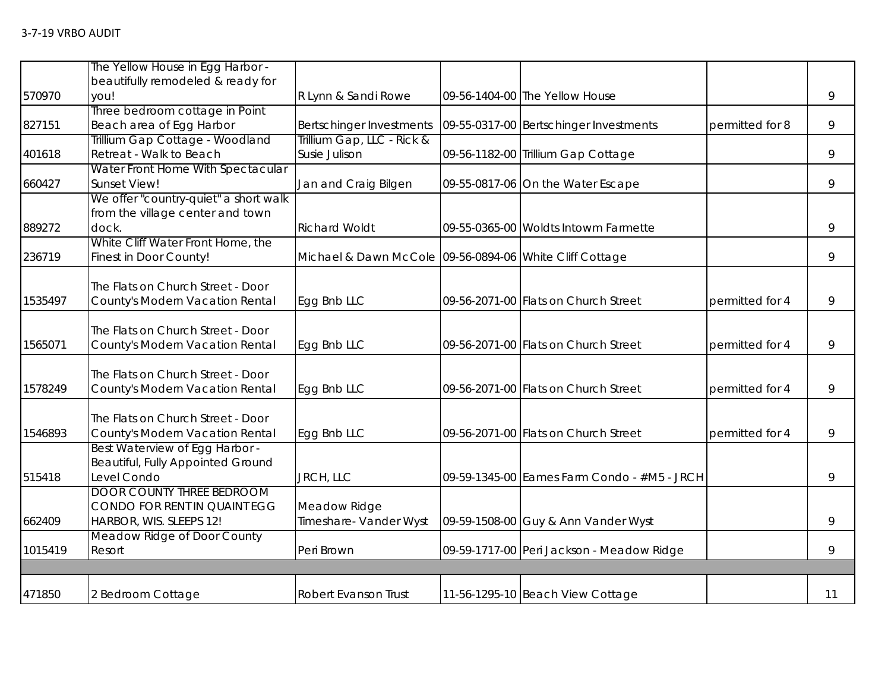|         | The Yellow House in Egg Harbor -                                                            |                                                         |                                             |                 |    |
|---------|---------------------------------------------------------------------------------------------|---------------------------------------------------------|---------------------------------------------|-----------------|----|
| 570970  | beautifully remodeled & ready for<br>you!                                                   | R Lynn & Sandi Rowe                                     | 09-56-1404-00 The Yellow House              |                 | 9  |
| 827151  | Three bedroom cottage in Point<br>Beach area of Egg Harbor                                  | Bertschinger Investments                                | 09-55-0317-00 Bertschinger Investments      | permitted for 8 | 9  |
| 401618  | Trillium Gap Cottage - Woodland<br>Retreat - Walk to Beach                                  | Trillium Gap, LLC - Rick &<br>Susie Julison             | 09-56-1182-00 Trillium Gap Cottage          |                 | 9  |
| 660427  | Water Front Home With Spectacular<br><b>Sunset View!</b>                                    | Jan and Craig Bilgen                                    | 09-55-0817-06 On the Water Escape           |                 | 9  |
| 889272  | We offer "country-quiet" a short walk<br>from the village center and town<br>dock.          | <b>Richard Woldt</b>                                    | 09-55-0365-00 Woldts Intowm Farmette        |                 | 9  |
| 236719  | White Cliff Water Front Home, the<br>Finest in Door County!                                 | Michael & Dawn McCole 09-56-0894-06 White Cliff Cottage |                                             |                 | 9  |
| 1535497 | The Flats on Church Street - Door<br>County's Modern Vacation Rental                        | Egg Bnb LLC                                             | 09-56-2071-00 Flats on Church Street        | permitted for 4 | 9  |
| 1565071 | The Flats on Church Street - Door<br>County's Modern Vacation Rental                        | Egg Bnb LLC                                             | 09-56-2071-00 Flats on Church Street        | permitted for 4 | 9  |
| 1578249 | The Flats on Church Street - Door<br>County's Modern Vacation Rental                        | Egg Bnb LLC                                             | 09-56-2071-00 Flats on Church Street        | permitted for 4 | 9  |
| 1546893 | The Flats on Church Street - Door<br>County's Modern Vacation Rental                        | Egg Bnb LLC                                             | 09-56-2071-00 Flats on Church Street        | permitted for 4 | 9  |
| 515418  | Best Waterview of Egg Harbor -<br>Beautiful, Fully Appointed Ground<br>Level Condo          | JRCH, LLC                                               | 09-59-1345-00 Eames Farm Condo - #M5 - JRCH |                 | 9  |
| 662409  | <b>DOOR COUNTY THREE BEDROOM</b><br>CONDO FOR RENT IN QUAINT EGG<br>HARBOR, WIS. SLEEPS 12! | Meadow Ridge<br>Timeshare- Vander Wyst                  | 09-59-1508-00 Guy & Ann Vander Wyst         |                 | 9  |
| 1015419 | Meadow Ridge of Door County<br>Resort                                                       | Peri Brown                                              | 09-59-1717-00 Peri Jackson - Meadow Ridge   |                 | 9  |
|         |                                                                                             |                                                         |                                             |                 |    |
| 471850  | 2 Bedroom Cottage                                                                           | <b>Robert Evanson Trust</b>                             | 11-56-1295-10 Beach View Cottage            |                 | 11 |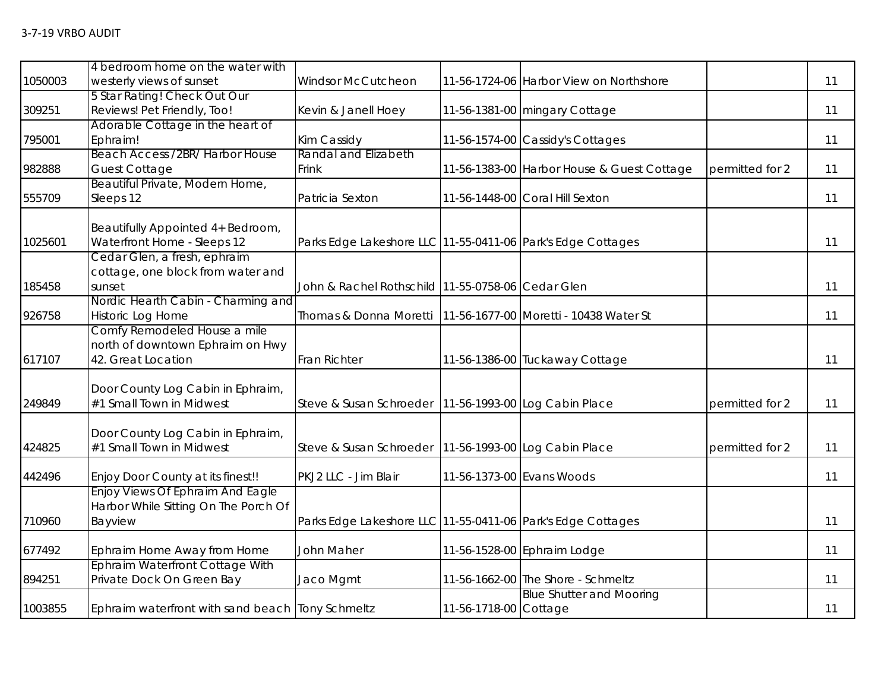|         | 4 bedroom home on the water with                  |                                                                   |                           |                                            |                 |    |
|---------|---------------------------------------------------|-------------------------------------------------------------------|---------------------------|--------------------------------------------|-----------------|----|
| 1050003 | westerly views of sunset                          | Windsor McCutcheon                                                |                           | 11-56-1724-06 Harbor View on Northshore    |                 | 11 |
|         | 5 Star Rating! Check Out Our                      |                                                                   |                           |                                            |                 |    |
| 309251  | Reviews! Pet Friendly, Too!                       | Kevin & Janell Hoey                                               |                           | 11-56-1381-00 mingary Cottage              |                 | 11 |
|         | Adorable Cottage in the heart of                  |                                                                   |                           |                                            |                 |    |
| 795001  | Ephraim!                                          | Kim Cassidy                                                       |                           | 11-56-1574-00 Cassidy's Cottages           |                 | 11 |
|         | Beach Access /2BR/ Harbor House                   | Randal and Elizabeth                                              |                           |                                            |                 |    |
| 982888  | <b>Guest Cottage</b>                              | Frink                                                             |                           | 11-56-1383-00 Harbor House & Guest Cottage | permitted for 2 | 11 |
|         | Beautiful Private, Modern Home,                   |                                                                   |                           |                                            |                 |    |
| 555709  | Sleeps 12                                         | Patricia Sexton                                                   |                           | 11-56-1448-00 Coral Hill Sexton            |                 | 11 |
|         |                                                   |                                                                   |                           |                                            |                 |    |
|         | Beautifully Appointed 4+ Bedroom,                 |                                                                   |                           |                                            |                 |    |
| 1025601 | Waterfront Home - Sleeps 12                       | Parks Edge Lakeshore LLC 11-55-0411-06 Park's Edge Cottages       |                           |                                            |                 | 11 |
|         | Cedar Glen, a fresh, ephraim                      |                                                                   |                           |                                            |                 |    |
|         | cottage, one block from water and                 |                                                                   |                           |                                            |                 |    |
| 185458  | sunset                                            | John & Rachel Rothschild 11-55-0758-06 Cedar Glen                 |                           |                                            |                 | 11 |
|         | Nordic Hearth Cabin - Charming and                |                                                                   |                           |                                            |                 | 11 |
| 926758  | Historic Log Home<br>Comfy Remodeled House a mile | Thomas & Donna Moretti   11-56-1677-00   Moretti - 10438 Water St |                           |                                            |                 |    |
|         | north of downtown Ephraim on Hwy                  |                                                                   |                           |                                            |                 |    |
| 617107  | 42. Great Location                                | <b>Fran Richter</b>                                               |                           | 11-56-1386-00 Tuckaway Cottage             |                 | 11 |
|         |                                                   |                                                                   |                           |                                            |                 |    |
|         | Door County Log Cabin in Ephraim,                 |                                                                   |                           |                                            |                 |    |
| 249849  | #1 Small Town in Midwest                          | Steve & Susan Schroeder   11-56-1993-00 Log Cabin Place           |                           |                                            | permitted for 2 | 11 |
|         |                                                   |                                                                   |                           |                                            |                 |    |
|         | Door County Log Cabin in Ephraim,                 |                                                                   |                           |                                            |                 |    |
| 424825  | #1 Small Town in Midwest                          | Steve & Susan Schroeder   11-56-1993-00 Log Cabin Place           |                           |                                            | permitted for 2 | 11 |
|         |                                                   |                                                                   |                           |                                            |                 |    |
| 442496  | Enjoy Door County at its finest!!                 | PKJ2 LLC - Jim Blair                                              | 11-56-1373-00 Evans Woods |                                            |                 | 11 |
|         | Enjoy Views Of Ephraim And Eagle                  |                                                                   |                           |                                            |                 |    |
|         | Harbor While Sitting On The Porch Of              |                                                                   |                           |                                            |                 |    |
| 710960  | Bayview                                           | Parks Edge Lakeshore LLC 11-55-0411-06 Park's Edge Cottages       |                           |                                            |                 | 11 |
|         |                                                   |                                                                   |                           |                                            |                 |    |
| 677492  | Ephraim Home Away from Home                       | <b>John Maher</b>                                                 |                           | 11-56-1528-00 Ephraim Lodge                |                 | 11 |
|         | Ephraim Waterfront Cottage With                   |                                                                   |                           |                                            |                 |    |
| 894251  | Private Dock On Green Bay                         | Jaco Mgmt                                                         |                           | 11-56-1662-00 The Shore - Schmeltz         |                 | 11 |
|         |                                                   |                                                                   |                           | <b>Blue Shutter and Mooring</b>            |                 |    |
| 1003855 | Ephraim waterfront with sand beach Tony Schmeltz  |                                                                   | 11-56-1718-00 Cottage     |                                            |                 | 11 |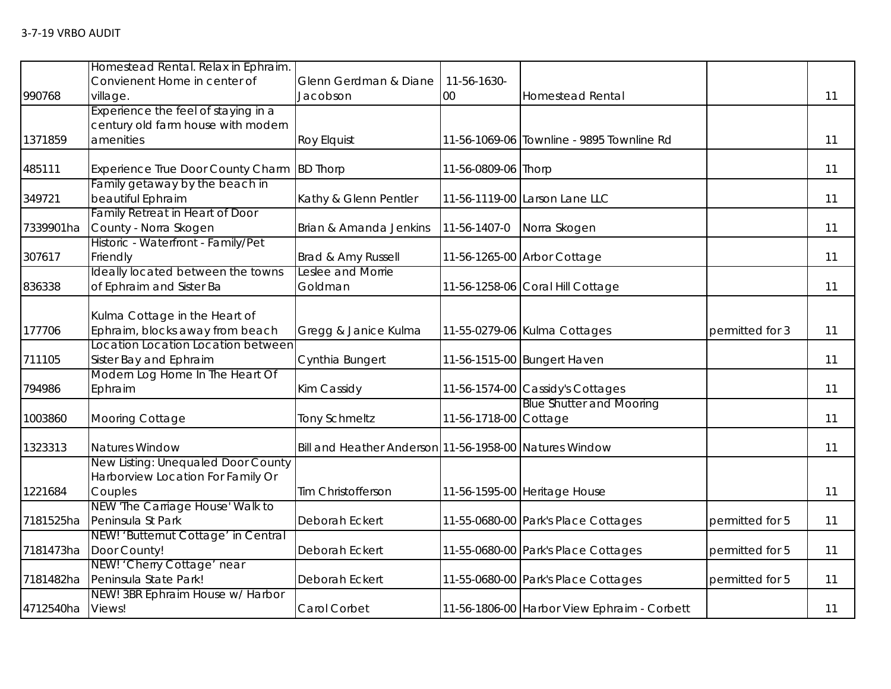|                  | Homestead Rental. Relax in Ephraim.      |                                                        |                       |                                             |                 |    |
|------------------|------------------------------------------|--------------------------------------------------------|-----------------------|---------------------------------------------|-----------------|----|
|                  | Convienent Home in center of             | Glenn Gerdman & Diane                                  | 11-56-1630-           |                                             |                 |    |
| 990768           | village.                                 | Jacobson                                               | 00                    | <b>Homestead Rental</b>                     |                 | 11 |
|                  | Experience the feel of staying in a      |                                                        |                       |                                             |                 |    |
|                  | century old farm house with modern       |                                                        |                       |                                             |                 |    |
| 1371859          | amenities                                | <b>Roy Elquist</b>                                     |                       | 11-56-1069-06 Townline - 9895 Townline Rd   |                 | 11 |
| 485111           | <b>Experience True Door County Charm</b> | <b>BD Thorp</b>                                        | 11-56-0809-06 Thorp   |                                             |                 | 11 |
|                  | Family getaway by the beach in           |                                                        |                       |                                             |                 |    |
| 349721           | beautiful Ephraim                        | Kathy & Glenn Pentler                                  |                       | 11-56-1119-00 Larson Lane LLC               |                 | 11 |
|                  | Family Retreat in Heart of Door          |                                                        |                       |                                             |                 |    |
| 7339901ha        | County - Norra Skogen                    | Brian & Amanda Jenkins                                 | 11-56-1407-0          | Norra Skogen                                |                 | 11 |
|                  | Historic - Waterfront - Family/Pet       |                                                        |                       |                                             |                 |    |
| 307617           | Friendly                                 | Brad & Amy Russell                                     |                       | 11-56-1265-00 Arbor Cottage                 |                 | 11 |
|                  | Ideally located between the towns        | Leslee and Morrie                                      |                       |                                             |                 |    |
| 836338           | of Ephraim and Sister Ba                 | Goldman                                                |                       | 11-56-1258-06 Coral Hill Cottage            |                 | 11 |
|                  |                                          |                                                        |                       |                                             |                 |    |
|                  | Kulma Cottage in the Heart of            |                                                        |                       |                                             |                 |    |
| 177706           | Ephraim, blocks away from beach          | Gregg & Janice Kulma                                   |                       | 11-55-0279-06 Kulma Cottages                | permitted for 3 | 11 |
|                  | Location Location Location between       |                                                        |                       |                                             |                 |    |
| 711105           | Sister Bay and Ephraim                   | Cynthia Bungert                                        |                       | 11-56-1515-00 Bungert Haven                 |                 | 11 |
|                  | Modern Log Home In The Heart Of          |                                                        |                       |                                             |                 |    |
| 794986           | Ephraim                                  | Kim Cassidy                                            |                       | 11-56-1574-00 Cassidy's Cottages            |                 | 11 |
|                  |                                          |                                                        |                       | <b>Blue Shutter and Mooring</b>             |                 |    |
| 1003860          | Mooring Cottage                          | <b>Tony Schmeltz</b>                                   | 11-56-1718-00 Cottage |                                             |                 | 11 |
| 1323313          | Natures Window                           | Bill and Heather Anderson 11-56-1958-00 Natures Window |                       |                                             |                 | 11 |
|                  | New Listing: Unequaled Door County       |                                                        |                       |                                             |                 |    |
|                  | Harborview Location For Family Or        |                                                        |                       |                                             |                 |    |
| 1221684          | Couples                                  | Tim Christofferson                                     |                       | 11-56-1595-00 Heritage House                |                 | 11 |
|                  | NEW 'The Carriage House' Walk to         |                                                        |                       |                                             |                 |    |
| 7181525ha        | Peninsula St Park                        | Deborah Eckert                                         |                       | 11-55-0680-00 Park's Place Cottages         | permitted for 5 | 11 |
|                  | NEW! 'Butternut Cottage' in Central      |                                                        |                       |                                             |                 |    |
| 7181473ha        | Door County!                             | Deborah Eckert                                         |                       | 11-55-0680-00 Park's Place Cottages         | permitted for 5 | 11 |
|                  | NEW! 'Cherry Cottage' near               |                                                        |                       |                                             |                 |    |
| 7181482ha        | Peninsula State Park!                    | Deborah Eckert                                         |                       | 11-55-0680-00 Park's Place Cottages         | permitted for 5 | 11 |
|                  | NEW! 3BR Ephraim House w/ Harbor         |                                                        |                       |                                             |                 |    |
| 4712540ha Views! |                                          | Carol Corbet                                           |                       | 11-56-1806-00 Harbor View Ephraim - Corbett |                 | 11 |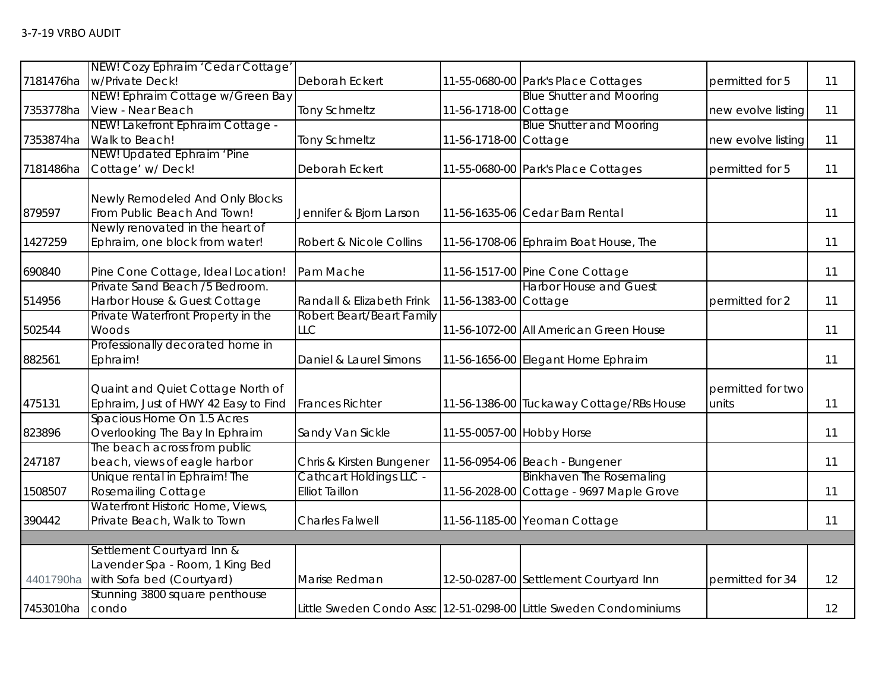|           | NEW! Cozy Ephraim 'Cedar Cottage'    |                                |                           |                                                                   |                    |    |
|-----------|--------------------------------------|--------------------------------|---------------------------|-------------------------------------------------------------------|--------------------|----|
| 7181476ha | w/Private Deck!                      | Deborah Eckert                 |                           | 11-55-0680-00 Park's Place Cottages                               | permitted for 5    | 11 |
|           | NEW! Ephraim Cottage w/Green Bay     |                                |                           | <b>Blue Shutter and Mooring</b>                                   |                    |    |
| 7353778ha | View - Near Beach                    | <b>Tony Schmeltz</b>           | 11-56-1718-00 Cottage     |                                                                   | new evolve listing | 11 |
|           | NEW! Lakefront Ephraim Cottage -     |                                |                           | <b>Blue Shutter and Mooring</b>                                   |                    |    |
| 7353874ha | Walk to Beach!                       | <b>Tony Schmeltz</b>           | 11-56-1718-00             | Cottage                                                           | new evolve listing | 11 |
|           | NEW! Updated Ephraim 'Pine           |                                |                           |                                                                   |                    |    |
| 7181486ha | Cottage' w/Deck!                     | Deborah Eckert                 |                           | 11-55-0680-00 Park's Place Cottages                               | permitted for 5    | 11 |
|           |                                      |                                |                           |                                                                   |                    |    |
|           | Newly Remodeled And Only Blocks      |                                |                           |                                                                   |                    |    |
| 879597    | From Public Beach And Town!          | Jennifer & Bjorn Larson        |                           | 11-56-1635-06 Cedar Barn Rental                                   |                    | 11 |
|           | Newly renovated in the heart of      |                                |                           |                                                                   |                    |    |
| 1427259   | Ephraim, one block from water!       | Robert & Nicole Collins        |                           | 11-56-1708-06 Ephraim Boat House, The                             |                    | 11 |
| 690840    | Pine Cone Cottage, Ideal Location!   | Pam Mache                      |                           | 11-56-1517-00 Pine Cone Cottage                                   |                    | 11 |
|           | Private Sand Beach /5 Bedroom.       |                                |                           | <b>Harbor House and Guest</b>                                     |                    |    |
| 514956    | Harbor House & Guest Cottage         | Randall & Elizabeth Frink      | 11-56-1383-00 Cottage     |                                                                   | permitted for 2    | 11 |
|           | Private Waterfront Property in the   | Robert Beart/Beart Family      |                           |                                                                   |                    |    |
| 502544    | Woods                                | LLC                            |                           | 11-56-1072-00 All American Green House                            |                    | 11 |
|           | Professionally decorated home in     |                                |                           |                                                                   |                    |    |
| 882561    | Ephraim!                             | Daniel & Laurel Simons         |                           | 11-56-1656-00 Elegant Home Ephraim                                |                    | 11 |
|           |                                      |                                |                           |                                                                   |                    |    |
|           | Quaint and Quiet Cottage North of    |                                |                           |                                                                   | permitted for two  |    |
| 475131    | Ephraim, Just of HWY 42 Easy to Find | <b>Frances Richter</b>         |                           | 11-56-1386-00 Tuckaway Cottage/RBs House                          | units              | 11 |
|           | Spacious Home On 1.5 Acres           |                                |                           |                                                                   |                    |    |
| 823896    | Overlooking The Bay In Ephraim       | Sandy Van Sickle               | 11-55-0057-00 Hobby Horse |                                                                   |                    | 11 |
|           | The beach across from public         |                                |                           |                                                                   |                    |    |
| 247187    | beach, views of eagle harbor         | Chris & Kirsten Bungener       |                           | 11-56-0954-06 Beach - Bungener                                    |                    | 11 |
|           | Unique rental in Ephraim! The        | <b>Cathcart Holdings LLC -</b> |                           | <b>Binkhaven The Rosemaling</b>                                   |                    |    |
| 1508507   | <b>Rosemailing Cottage</b>           | <b>Elliot Taillon</b>          |                           | 11-56-2028-00 Cottage - 9697 Maple Grove                          |                    | 11 |
|           | Waterfront Historic Home, Views,     |                                |                           |                                                                   |                    |    |
| 390442    | Private Beach, Walk to Town          | <b>Charles Falwell</b>         |                           | 11-56-1185-00 Yeoman Cottage                                      |                    | 11 |
|           |                                      |                                |                           |                                                                   |                    |    |
|           | Settlement Courtyard Inn &           |                                |                           |                                                                   |                    |    |
|           | Lavender Spa - Room, 1 King Bed      |                                |                           |                                                                   |                    |    |
| 4401790ha | with Sofa bed (Courtyard)            | Marise Redman                  |                           | 12-50-0287-00 Settlement Courtyard Inn                            | permitted for 34   | 12 |
|           | Stunning 3800 square penthouse       |                                |                           |                                                                   |                    |    |
| 7453010ha | condo                                |                                |                           | Little Sweden Condo Assc 12-51-0298-00 Little Sweden Condominiums |                    | 12 |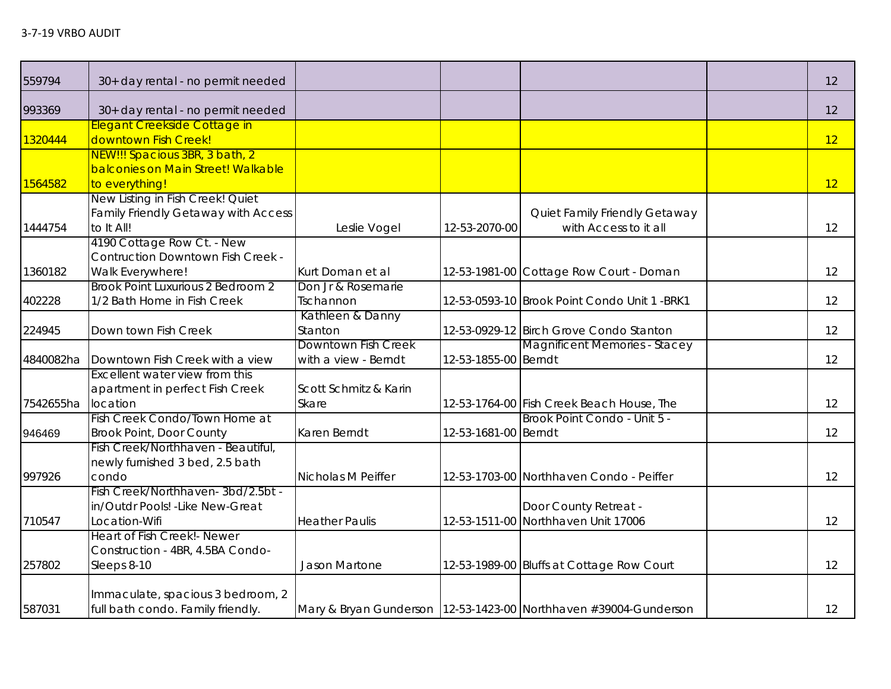| 559794    | 30+ day rental - no permit needed                                                      |                                             |                      |                                                                    | 12 |
|-----------|----------------------------------------------------------------------------------------|---------------------------------------------|----------------------|--------------------------------------------------------------------|----|
| 993369    | 30+ day rental - no permit needed                                                      |                                             |                      |                                                                    | 12 |
| 1320444   | Elegant Creekside Cottage in<br>downtown Fish Creek!                                   |                                             |                      |                                                                    | 12 |
| 1564582   | NEW!!! Spacious 3BR, 3 bath, 2<br>balconies on Main Street! Walkable<br>to everything! |                                             |                      |                                                                    | 12 |
| 1444754   | New Listing in Fish Creek! Quiet<br>Family Friendly Getaway with Access<br>to It All!  | Leslie Vogel                                | 12-53-2070-00        | Quiet Family Friendly Getaway<br>with Access to it all             | 12 |
| 1360182   | 4190 Cottage Row Ct. - New<br>Contruction Downtown Fish Creek -<br>Walk Everywhere!    | Kurt Doman et al                            |                      | 12-53-1981-00 Cottage Row Court - Doman                            | 12 |
| 402228    | Brook Point Luxurious 2 Bedroom 2<br>1/2 Bath Home in Fish Creek                       | Don Jr & Rosemarie<br>Tschannon             |                      | 12-53-0593-10 Brook Point Condo Unit 1 -BRK1                       | 12 |
| 224945    | Down town Fish Creek                                                                   | Kathleen & Danny<br>Stanton                 |                      | 12-53-0929-12 Birch Grove Condo Stanton                            | 12 |
| 4840082ha | Downtown Fish Creek with a view                                                        | Downtown Fish Creek<br>with a view - Berndt | 12-53-1855-00 Berndt | <b>Magnificent Memories - Stacey</b>                               | 12 |
| 7542655ha | Excellent water view from this<br>apartment in perfect Fish Creek<br>location          | Scott Schmitz & Karin<br>Skare              |                      | 12-53-1764-00 Fish Creek Beach House, The                          | 12 |
| 946469    | Fish Creek Condo/Town Home at<br><b>Brook Point, Door County</b>                       | Karen Berndt                                | 12-53-1681-00 Berndt | Brook Point Condo - Unit 5 -                                       | 12 |
| 997926    | Fish Creek/Northhaven - Beautiful,<br>newly furnished 3 bed, 2.5 bath<br>condo         | Nicholas M Peiffer                          |                      | 12-53-1703-00 Northhaven Condo - Peiffer                           | 12 |
| 710547    | Fish Creek/Northhaven-3bd/2.5bt -<br>in/Outdr Pools! - Like New-Great<br>Location-Wifi | <b>Heather Paulis</b>                       |                      | Door County Retreat -<br>12-53-1511-00 Northhaven Unit 17006       | 12 |
| 257802    | Heart of Fish Creek!- Newer<br>Construction - 4BR, 4.5BA Condo-<br>Sleeps 8-10         | Jason Martone                               |                      | 12-53-1989-00 Bluffs at Cottage Row Court                          | 12 |
| 587031    | Immaculate, spacious 3 bedroom, 2<br>full bath condo. Family friendly.                 |                                             |                      | Mary & Bryan Gunderson   12-53-1423-00 Northhaven #39004-Gunderson | 12 |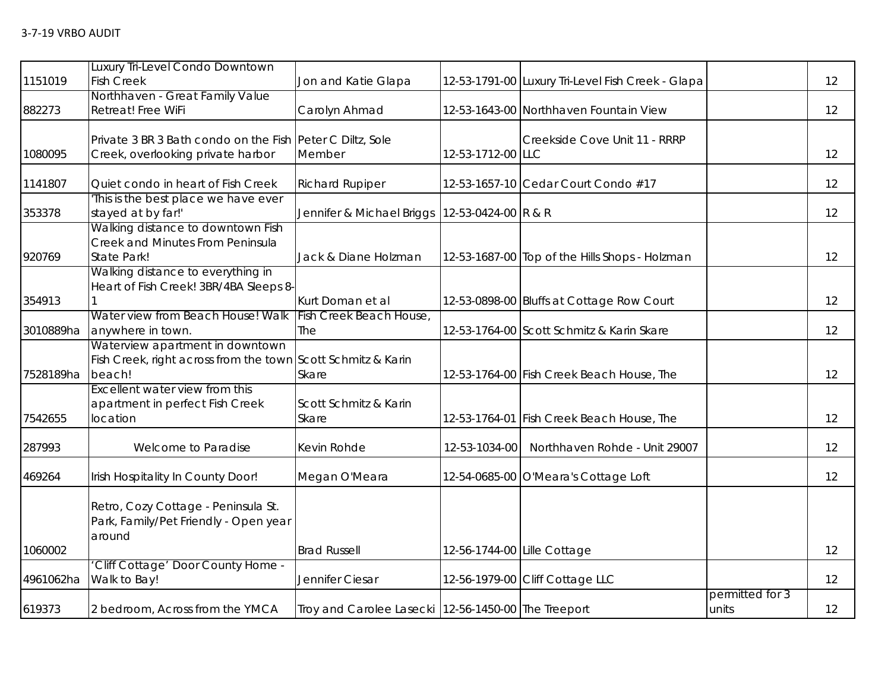| 1151019   | Luxury Tri-Level Condo Downtown<br><b>Fish Creek</b>                                                      | Jon and Katie Glapa                                 |                             | 12-53-1791-00 Luxury Tri-Level Fish Creek - Glapa |                          | 12 |
|-----------|-----------------------------------------------------------------------------------------------------------|-----------------------------------------------------|-----------------------------|---------------------------------------------------|--------------------------|----|
| 882273    | Northhaven - Great Family Value<br>Retreat! Free WiFi                                                     | Carolyn Ahmad                                       |                             | 12-53-1643-00 Northhaven Fountain View            |                          | 12 |
| 1080095   | Private 3 BR 3 Bath condo on the Fish Peter C Diltz, Sole<br>Creek, overlooking private harbor            | Member                                              | 12-53-1712-00 LLC           | Creekside Cove Unit 11 - RRRP                     |                          | 12 |
| 1141807   | Quiet condo in heart of Fish Creek                                                                        | <b>Richard Rupiper</b>                              |                             | 12-53-1657-10 Cedar Court Condo #17               |                          | 12 |
| 353378    | This is the best place we have ever<br>stayed at by far!'                                                 | Jennifer & Michael Briggs   12-53-0424-00   R & R   |                             |                                                   |                          | 12 |
| 920769    | Walking distance to downtown Fish<br>Creek and Minutes From Peninsula<br>State Park!                      | Jack & Diane Holzman                                |                             | 12-53-1687-00 Top of the Hills Shops - Holzman    |                          | 12 |
| 354913    | Walking distance to everything in<br>Heart of Fish Creek! 3BR/4BA Sleeps 8-                               | Kurt Doman et al                                    |                             | 12-53-0898-00 Bluffs at Cottage Row Court         |                          | 12 |
| 3010889ha | Water view from Beach House! Walk<br>anywhere in town.                                                    | Fish Creek Beach House,<br>The                      |                             | 12-53-1764-00 Scott Schmitz & Karin Skare         |                          | 12 |
| 7528189ha | Waterview apartment in downtown<br>Fish Creek, right across from the town Scott Schmitz & Karin<br>beach! | Skare                                               |                             | 12-53-1764-00 Fish Creek Beach House, The         |                          | 12 |
| 7542655   | Excellent water view from this<br>apartment in perfect Fish Creek<br>location                             | Scott Schmitz & Karin<br>Skare                      |                             | 12-53-1764-01 Fish Creek Beach House, The         |                          | 12 |
| 287993    | Welcome to Paradise                                                                                       | Kevin Rohde                                         | 12-53-1034-00               | Northhaven Rohde - Unit 29007                     |                          | 12 |
| 469264    | Irish Hospitality In County Door!                                                                         | Megan O'Meara                                       |                             | 12-54-0685-00 O'Meara's Cottage Loft              |                          | 12 |
| 1060002   | Retro, Cozy Cottage - Peninsula St.<br>Park, Family/Pet Friendly - Open year<br>around                    | <b>Brad Russell</b>                                 | 12-56-1744-00 Lille Cottage |                                                   |                          | 12 |
| 4961062ha | 'Cliff Cottage' Door County Home -<br>Walk to Bay!                                                        | Jennifer Ciesar                                     |                             | 12-56-1979-00 Cliff Cottage LLC                   |                          | 12 |
| 619373    | 2 bedroom, Across from the YMCA                                                                           | Troy and Carolee Lasecki 12-56-1450-00 The Treeport |                             |                                                   | permitted for 3<br>units | 12 |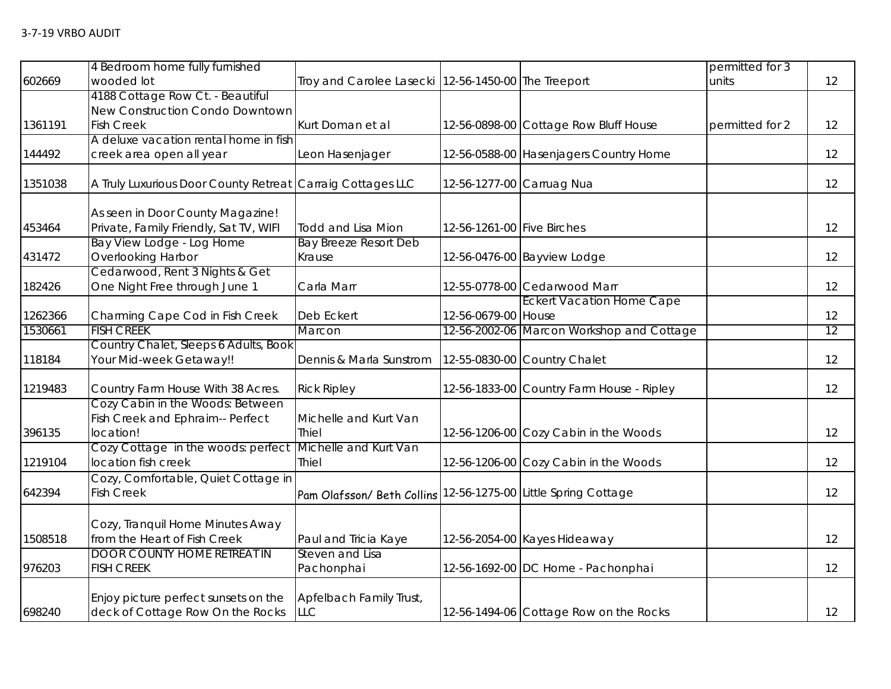| 602669  | 4 Bedroom home fully furnished<br>wooded lot               | Troy and Carolee Lasecki 12-56-1450-00 The Treeport            |                            |                                           | permitted for 3<br>units | 12 |
|---------|------------------------------------------------------------|----------------------------------------------------------------|----------------------------|-------------------------------------------|--------------------------|----|
|         | 4188 Cottage Row Ct. - Beautiful                           |                                                                |                            |                                           |                          |    |
|         | New Construction Condo Downtown                            |                                                                |                            |                                           |                          |    |
| 1361191 | <b>Fish Creek</b>                                          | Kurt Doman et al                                               |                            | 12-56-0898-00 Cottage Row Bluff House     | permitted for 2          | 12 |
|         | A deluxe vacation rental home in fish                      |                                                                |                            |                                           |                          |    |
| 144492  | creek area open all year                                   | Leon Hasenjager                                                |                            | 12-56-0588-00 Hasenjagers Country Home    |                          | 12 |
| 1351038 | A Truly Luxurious Door County Retreat Carraig Cottages LLC |                                                                | 12-56-1277-00 Carruag Nua  |                                           |                          | 12 |
|         | As seen in Door County Magazine!                           |                                                                |                            |                                           |                          |    |
| 453464  | Private, Family Friendly, Sat TV, WIFI                     | <b>Todd and Lisa Mion</b>                                      | 12-56-1261-00 Five Birches |                                           |                          | 12 |
|         | Bay View Lodge - Log Home                                  | <b>Bay Breeze Resort Deb</b>                                   |                            |                                           |                          |    |
| 431472  | <b>Overlooking Harbor</b>                                  | Krause                                                         |                            | 12-56-0476-00 Bayview Lodge               |                          | 12 |
|         | Cedarwood, Rent 3 Nights & Get                             |                                                                |                            |                                           |                          |    |
| 182426  | One Night Free through June 1                              | Carla Marr                                                     |                            | 12-55-0778-00 Cedarwood Marr              |                          | 12 |
|         |                                                            |                                                                |                            | <b>Eckert Vacation Home Cape</b>          |                          |    |
| 1262366 | Charming Cape Cod in Fish Creek                            | Deb Eckert                                                     | 12-56-0679-00 House        |                                           |                          | 12 |
| 1530661 | <b>FISH CREEK</b>                                          | Marcon                                                         |                            | 12-56-2002-06 Marcon Workshop and Cottage |                          | 12 |
|         | Country Chalet, Sleeps 6 Adults, Book                      |                                                                |                            |                                           |                          |    |
| 118184  | Your Mid-week Getaway!!                                    | Dennis & Marla Sunstrom                                        |                            | 12-55-0830-00 Country Chalet              |                          | 12 |
| 1219483 | Country Farm House With 38 Acres.                          | <b>Rick Ripley</b>                                             |                            | 12-56-1833-00 Country Farm House - Ripley |                          | 12 |
|         | Cozy Cabin in the Woods: Between                           |                                                                |                            |                                           |                          |    |
|         | Fish Creek and Ephraim-- Perfect                           | Michelle and Kurt Van                                          |                            |                                           |                          |    |
| 396135  | location!                                                  | <b>Thiel</b>                                                   |                            | 12-56-1206-00 Cozy Cabin in the Woods     |                          | 12 |
|         | Cozy Cottage in the woods: perfect                         | Michelle and Kurt Van                                          |                            |                                           |                          |    |
| 1219104 | location fish creek                                        | <b>Thiel</b>                                                   |                            | 12-56-1206-00 Cozy Cabin in the Woods     |                          | 12 |
|         | Cozy, Comfortable, Quiet Cottage in                        |                                                                |                            |                                           |                          |    |
| 642394  | <b>Fish Creek</b>                                          | Pam Olafsson/ Beth Collins 12-56-1275-00 Little Spring Cottage |                            |                                           |                          | 12 |
|         |                                                            |                                                                |                            |                                           |                          |    |
|         | Cozy, Tranquil Home Minutes Away                           |                                                                |                            |                                           |                          |    |
| 1508518 | from the Heart of Fish Creek                               | Paul and Tricia Kaye                                           |                            | 12-56-2054-00 Kayes Hideaway              |                          | 12 |
| 976203  | <b>DOOR COUNTY HOME RETREAT IN</b><br><b>FISH CREEK</b>    | Steven and Lisa                                                |                            | 12-56-1692-00 DC Home - Pachonphai        |                          | 12 |
|         |                                                            | Pachonphai                                                     |                            |                                           |                          |    |
|         | Enjoy picture perfect sunsets on the                       | Apfelbach Family Trust,                                        |                            |                                           |                          |    |
| 698240  | deck of Cottage Row On the Rocks                           | <b>LLC</b>                                                     |                            | 12-56-1494-06 Cottage Row on the Rocks    |                          | 12 |
|         |                                                            |                                                                |                            |                                           |                          |    |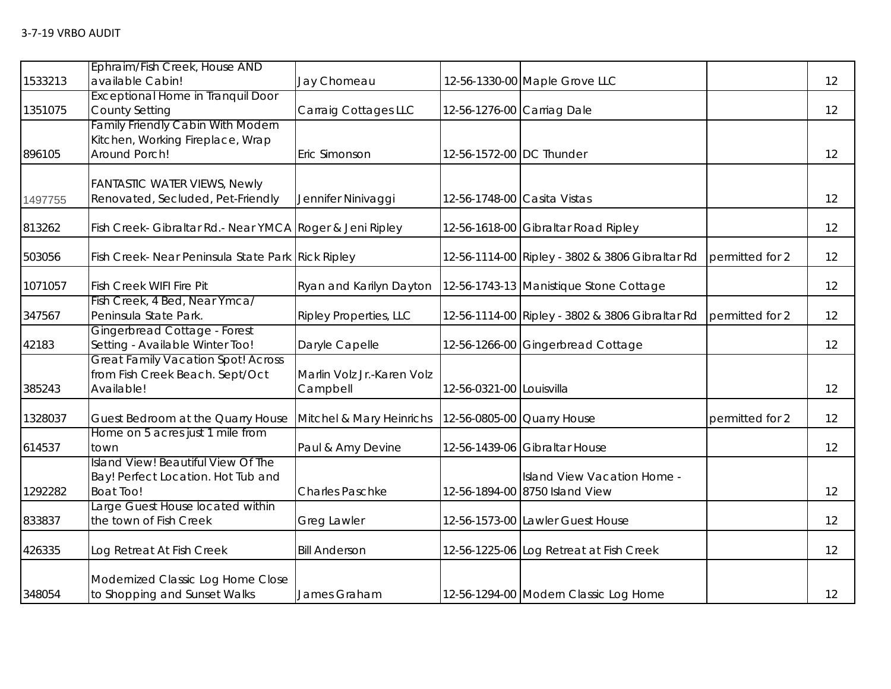| 1533213 | Ephraim/Fish Creek, House AND<br>available Cabin!                                             | Jay Chomeau                            |                             | 12-56-1330-00 Maple Grove LLC                                 |                 | 12 |
|---------|-----------------------------------------------------------------------------------------------|----------------------------------------|-----------------------------|---------------------------------------------------------------|-----------------|----|
| 1351075 | <b>Exceptional Home in Tranquil Door</b><br><b>County Setting</b>                             | Carraig Cottages LLC                   | 12-56-1276-00 Carriag Dale  |                                                               |                 | 12 |
| 896105  | <b>Family Friendly Cabin With Modern</b><br>Kitchen, Working Fireplace, Wrap<br>Around Porch! | Eric Simonson                          | 12-56-1572-00 DC Thunder    |                                                               |                 | 12 |
| 1497755 | <b>FANTASTIC WATER VIEWS, Newly</b><br>Renovated, Secluded, Pet-Friendly                      | Jennifer Ninivaggi                     | 12-56-1748-00 Casita Vistas |                                                               |                 | 12 |
| 813262  | Fish Creek- Gibraltar Rd.- Near YMCA Roger & Jeni Ripley                                      |                                        |                             | 12-56-1618-00 Gibraltar Road Ripley                           |                 | 12 |
| 503056  | Fish Creek- Near Peninsula State Park Rick Ripley                                             |                                        |                             | 12-56-1114-00 Ripley - 3802 & 3806 Gibraltar Rd               | permitted for 2 | 12 |
| 1071057 | <b>Fish Creek WIFI Fire Pit</b>                                                               | Ryan and Karilyn Dayton                |                             | 12-56-1743-13 Manistique Stone Cottage                        |                 | 12 |
| 347567  | Fish Creek, 4 Bed, Near Ymca/<br>Peninsula State Park.                                        | Ripley Properties, LLC                 |                             | 12-56-1114-00 Ripley - 3802 & 3806 Gibraltar Rd               | permitted for 2 | 12 |
| 42183   | Gingerbread Cottage - Forest<br>Setting - Available Winter Too!                               | Daryle Capelle                         |                             | 12-56-1266-00 Gingerbread Cottage                             |                 | 12 |
| 385243  | <b>Great Family Vacation Spot! Across</b><br>from Fish Creek Beach. Sept/Oct<br>Available!    | Marlin Volz Jr.-Karen Volz<br>Campbell | 12-56-0321-00 Louisvilla    |                                                               |                 | 12 |
| 1328037 | Guest Bedroom at the Quarry House                                                             | Mitchel & Mary Heinrichs               |                             | 12-56-0805-00 Quarry House                                    | permitted for 2 | 12 |
| 614537  | Home on 5 acres just 1 mile from<br>town                                                      | Paul & Amy Devine                      |                             | 12-56-1439-06 Gibraltar House                                 |                 | 12 |
| 1292282 | Island View! Beautiful View Of The<br>Bay! Perfect Location. Hot Tub and<br><b>Boat Too!</b>  | <b>Charles Paschke</b>                 |                             | Island View Vacation Home -<br>12-56-1894-00 8750 Island View |                 | 12 |
| 833837  | Large Guest House located within<br>the town of Fish Creek                                    | Greg Lawler                            |                             | 12-56-1573-00 Lawler Guest House                              |                 | 12 |
| 426335  | Log Retreat At Fish Creek                                                                     | <b>Bill Anderson</b>                   |                             | 12-56-1225-06 Log Retreat at Fish Creek                       |                 | 12 |
| 348054  | Modernized Classic Log Home Close<br>to Shopping and Sunset Walks                             | James Graham                           |                             | 12-56-1294-00 Modern Classic Log Home                         |                 | 12 |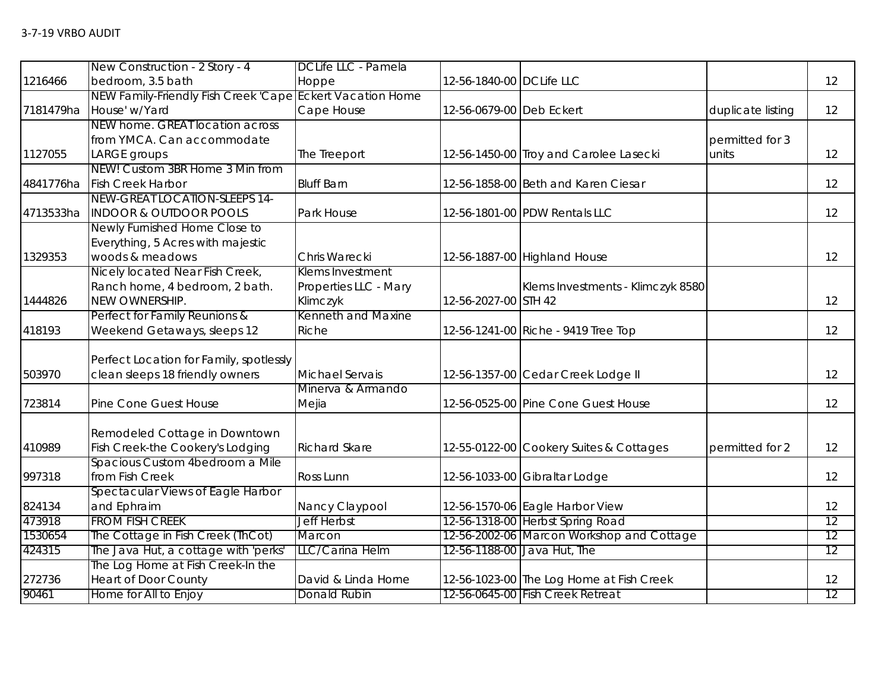|           | New Construction - 2 Story - 4                            | DCLife LLC - Pamela   |                          |                                           |                   |    |
|-----------|-----------------------------------------------------------|-----------------------|--------------------------|-------------------------------------------|-------------------|----|
| 1216466   | bedroom, 3.5 bath                                         | Hoppe                 | 12-56-1840-00 DCLife LLC |                                           |                   | 12 |
|           | NEW Family-Friendly Fish Creek 'Cape Eckert Vacation Home |                       |                          |                                           |                   |    |
| 7181479ha | House' w/Yard                                             | Cape House            | 12-56-0679-00 Deb Eckert |                                           | duplicate listing | 12 |
|           | NEW home. GREAT location across                           |                       |                          |                                           |                   |    |
|           | from YMCA. Can accommodate                                |                       |                          |                                           | permitted for 3   |    |
| 1127055   | <b>LARGE</b> groups                                       | The Treeport          |                          | 12-56-1450-00 Troy and Carolee Lasecki    | units             | 12 |
|           | NEW! Custom 3BR Home 3 Min from                           |                       |                          |                                           |                   |    |
| 4841776ha | <b>Fish Creek Harbor</b>                                  | <b>Bluff Barn</b>     |                          | 12-56-1858-00 Beth and Karen Ciesar       |                   | 12 |
|           | NEW-GREAT LOCATION-SLEEPS 14-                             |                       |                          |                                           |                   |    |
| 4713533ha | <b>INDOOR &amp; OUTDOOR POOLS</b>                         | Park House            |                          | 12-56-1801-00 PDW Rentals LLC             |                   | 12 |
|           | Newly Furnished Home Close to                             |                       |                          |                                           |                   |    |
|           | Everything, 5 Acres with majestic                         |                       |                          |                                           |                   |    |
| 1329353   | woods & meadows                                           | Chris Warecki         |                          | 12-56-1887-00 Highland House              |                   | 12 |
|           | Nicely located Near Fish Creek,                           | Klems Investment      |                          |                                           |                   |    |
|           | Ranch home, 4 bedroom, 2 bath.                            | Properties LLC - Mary |                          | Klems Investments - Klimczyk 8580         |                   |    |
| 1444826   | NEW OWNERSHIP.                                            | Klimczyk              | 12-56-2027-00 STH 42     |                                           |                   | 12 |
|           | Perfect for Family Reunions &                             | Kenneth and Maxine    |                          |                                           |                   |    |
| 418193    | Weekend Getaways, sleeps 12                               | Riche                 |                          | 12-56-1241-00 Riche - 9419 Tree Top       |                   | 12 |
|           |                                                           |                       |                          |                                           |                   |    |
|           | Perfect Location for Family, spotlessly                   |                       |                          |                                           |                   |    |
| 503970    | clean sleeps 18 friendly owners                           | Michael Servais       |                          | 12-56-1357-00 Cedar Creek Lodge II        |                   | 12 |
|           |                                                           | Minerva & Armando     |                          |                                           |                   |    |
| 723814    | Pine Cone Guest House                                     | Mejia                 |                          | 12-56-0525-00 Pine Cone Guest House       |                   | 12 |
|           |                                                           |                       |                          |                                           |                   |    |
|           | Remodeled Cottage in Downtown                             |                       |                          |                                           |                   |    |
| 410989    | Fish Creek-the Cookery's Lodging                          | <b>Richard Skare</b>  |                          | 12-55-0122-00 Cookery Suites & Cottages   | permitted for 2   | 12 |
|           | Spacious Custom 4bedroom a Mile                           |                       |                          |                                           |                   |    |
| 997318    | from Fish Creek                                           | Ross Lunn             |                          | 12-56-1033-00 Gibraltar Lodge             |                   | 12 |
|           | Spectacular Views of Eagle Harbor                         |                       |                          |                                           |                   |    |
| 824134    | and Ephraim                                               | Nancy Claypool        |                          | 12-56-1570-06 Eagle Harbor View           |                   | 12 |
| 473918    | <b>FROM FISH CREEK</b>                                    | <b>Jeff Herbst</b>    |                          | 12-56-1318-00 Herbst Spring Road          |                   | 12 |
| 1530654   | The Cottage in Fish Creek (ThCot)                         | Marcon                |                          | 12-56-2002-06 Marcon Workshop and Cottage |                   | 12 |
| 424315    | The Java Hut, a cottage with 'perks'                      | LLC/Carina Helm       |                          | 12-56-1188-00 Java Hut, The               |                   | 12 |
|           | The Log Home at Fish Creek-In the                         |                       |                          |                                           |                   |    |
| 272736    | <b>Heart of Door County</b>                               | David & Linda Horne   |                          | 12-56-1023-00 The Log Home at Fish Creek  |                   | 12 |
| 90461     | Home for All to Enjoy                                     | Donald Rubin          |                          | 12-56-0645-00 Fish Creek Retreat          |                   | 12 |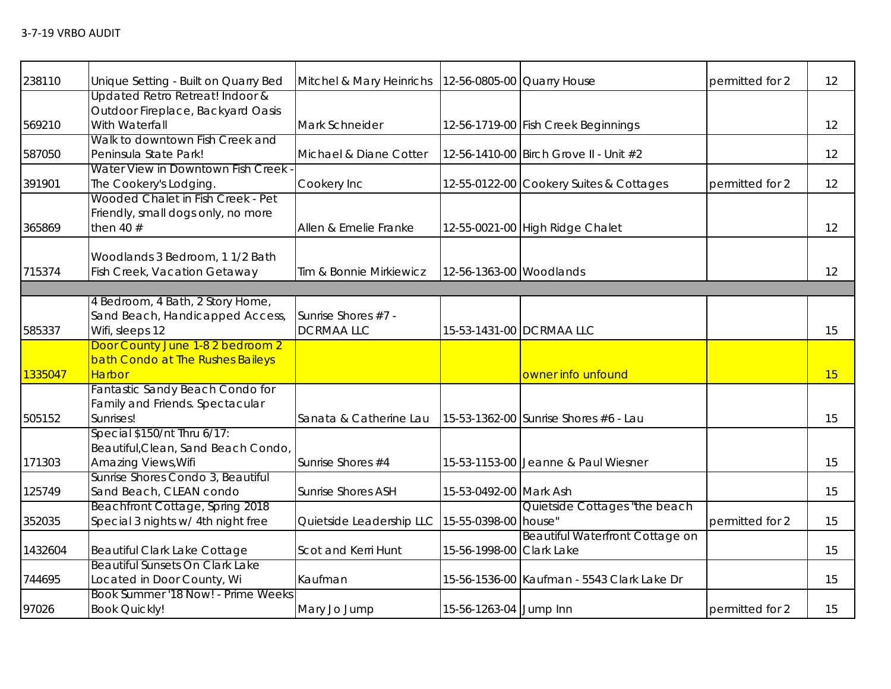| 238110  | Unique Setting - Built on Quarry Bed                                                      | Mitchel & Mary Heinrichs                |                          | 12-56-0805-00 Quarry House                 | permitted for 2 | 12 |
|---------|-------------------------------------------------------------------------------------------|-----------------------------------------|--------------------------|--------------------------------------------|-----------------|----|
| 569210  | Updated Retro Retreat! Indoor &<br>Outdoor Fireplace, Backyard Oasis<br>With Waterfall    | Mark Schneider                          |                          | 12-56-1719-00 Fish Creek Beginnings        |                 | 12 |
| 587050  | Walk to downtown Fish Creek and<br>Peninsula State Park!                                  | Michael & Diane Cotter                  |                          | 12-56-1410-00 Birch Grove II - Unit #2     |                 | 12 |
| 391901  | Water View in Downtown Fish Creek<br>The Cookery's Lodging.                               | Cookery Inc                             |                          | 12-55-0122-00 Cookery Suites & Cottages    | permitted for 2 | 12 |
| 365869  | Wooded Chalet in Fish Creek - Pet<br>Friendly, small dogs only, no more<br>then 40 $#$    | Allen & Emelie Franke                   |                          | 12-55-0021-00 High Ridge Chalet            |                 | 12 |
| 715374  | Woodlands 3 Bedroom, 1 1/2 Bath<br>Fish Creek, Vacation Getaway                           | Tim & Bonnie Mirkiewicz                 | 12-56-1363-00 Woodlands  |                                            |                 | 12 |
|         |                                                                                           |                                         |                          |                                            |                 |    |
| 585337  | 4 Bedroom, 4 Bath, 2 Story Home,<br>Sand Beach, Handicapped Access,<br>Wifi, sleeps 12    | Sunrise Shores #7 -<br><b>DCRMAALLC</b> |                          | 15-53-1431-00 DCRMAA LLC                   |                 | 15 |
| 1335047 | Door County June 1-8 2 bedroom 2<br>bath Condo at The Rushes Baileys<br>Harbor            |                                         |                          | owner info unfound                         |                 | 15 |
| 505152  | Fantastic Sandy Beach Condo for<br>Family and Friends. Spectacular<br>Sunrises!           | Sanata & Catherine Lau                  |                          | 15-53-1362-00 Sunrise Shores #6 - Lau      |                 | 15 |
| 171303  | Special \$150/nt Thru 6/17:<br>Beautiful, Clean, Sand Beach Condo,<br>Amazing Views, Wifi | Sunrise Shores #4                       |                          | 15-53-1153-00 Jeanne & Paul Wiesner        |                 | 15 |
| 125749  | Sunrise Shores Condo 3, Beautiful<br>Sand Beach, CLEAN condo                              | <b>Sunrise Shores ASH</b>               | 15-53-0492-00 Mark Ash   |                                            |                 | 15 |
| 352035  | Beachfront Cottage, Spring 2018<br>Special 3 nights w/ 4th night free                     | Quietside Leadership LLC                | 15-55-0398-00 house"     | Quietside Cottages "the beach              | permitted for 2 | 15 |
| 1432604 | Beautiful Clark Lake Cottage                                                              | Scot and Kerri Hunt                     | 15-56-1998-00 Clark Lake | Beautiful Waterfront Cottage on            |                 | 15 |
| 744695  | Beautiful Sunsets On Clark Lake<br>Located in Door County, Wi                             | Kaufman                                 |                          | 15-56-1536-00 Kaufman - 5543 Clark Lake Dr |                 | 15 |
| 97026   | Book Summer '18 Now! - Prime Weeks<br><b>Book Quickly!</b>                                | Mary Jo Jump                            | 15-56-1263-04 Jump Inn   |                                            | permitted for 2 | 15 |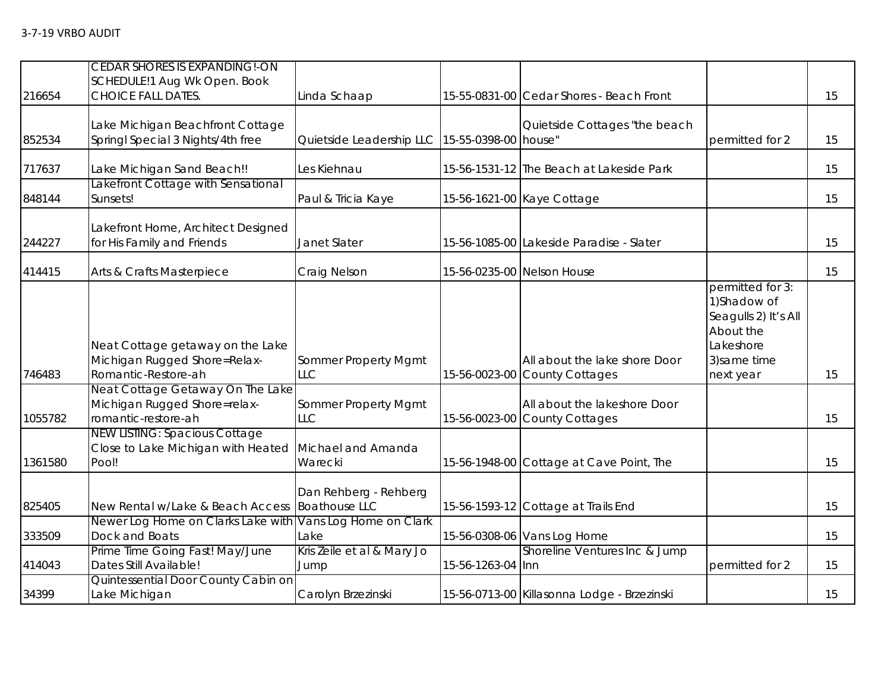| 216654  | <b>CEDAR SHORES IS EXPANDING!-ON</b><br>SCHEDULE!1 Aug Wk Open. Book<br>CHOICE FALL DATES. | Linda Schaap                                  |                      | 15-55-0831-00 Cedar Shores - Beach Front                       |                                                                                                                 | 15 |
|---------|--------------------------------------------------------------------------------------------|-----------------------------------------------|----------------------|----------------------------------------------------------------|-----------------------------------------------------------------------------------------------------------------|----|
| 852534  | Lake Michigan Beachfront Cottage<br>Springl Special 3 Nights/4th free                      | Quietside Leadership LLC                      | 15-55-0398-00 house" | Quietside Cottages "the beach                                  | permitted for 2                                                                                                 | 15 |
| 717637  | Lake Michigan Sand Beach!!                                                                 | Les Kiehnau                                   |                      | 15-56-1531-12 The Beach at Lakeside Park                       |                                                                                                                 | 15 |
| 848144  | Lakefront Cottage with Sensational<br>Sunsets!                                             | Paul & Tricia Kaye                            |                      | 15-56-1621-00 Kaye Cottage                                     |                                                                                                                 | 15 |
| 244227  | Lakefront Home, Architect Designed<br>for His Family and Friends                           | Janet Slater                                  |                      | 15-56-1085-00 Lakeside Paradise - Slater                       |                                                                                                                 | 15 |
| 414415  | Arts & Crafts Masterpiece                                                                  | Craig Nelson                                  |                      | 15-56-0235-00 Nelson House                                     |                                                                                                                 | 15 |
| 746483  | Neat Cottage getaway on the Lake<br>Michigan Rugged Shore=Relax-<br>Romantic-Restore-ah    | Sommer Property Mgmt<br><b>LLC</b>            |                      | All about the lake shore Door<br>15-56-0023-00 County Cottages | permitted for 3:<br>1) Shadow of<br>Seagulls 2) It's All<br>About the<br>Lakeshore<br>3) same time<br>next year | 15 |
| 1055782 | Neat Cottage Getaway On The Lake<br>Michigan Rugged Shore=relax-<br>romantic-restore-ah    | Sommer Property Mgmt<br><b>LLC</b>            |                      | All about the lakeshore Door<br>15-56-0023-00 County Cottages  |                                                                                                                 | 15 |
| 1361580 | <b>NEW LISTING: Spacious Cottage</b><br>Close to Lake Michigan with Heated<br>Pool!        | Michael and Amanda<br>Warecki                 |                      | 15-56-1948-00 Cottage at Cave Point, The                       |                                                                                                                 | 15 |
| 825405  | New Rental w/Lake & Beach Access                                                           | Dan Rehberg - Rehberg<br><b>Boathouse LLC</b> |                      | 15-56-1593-12 Cottage at Trails End                            |                                                                                                                 | 15 |
| 333509  | Newer Log Home on Clarks Lake with<br>Dock and Boats                                       | Vans Log Home on Clark<br>Lake                |                      | 15-56-0308-06 Vans Log Home                                    |                                                                                                                 | 15 |
| 414043  | Prime Time Going Fast! May/June<br>Dates Still Available!                                  | Kris Zeile et al & Mary Jo<br>Jump            | 15-56-1263-04 Inn    | Shoreline Ventures Inc & Jump                                  | permitted for 2                                                                                                 | 15 |
| 34399   | Quintessential Door County Cabin on<br>Lake Michigan                                       | Carolyn Brzezinski                            |                      | 15-56-0713-00 Killasonna Lodge - Brzezinski                    |                                                                                                                 | 15 |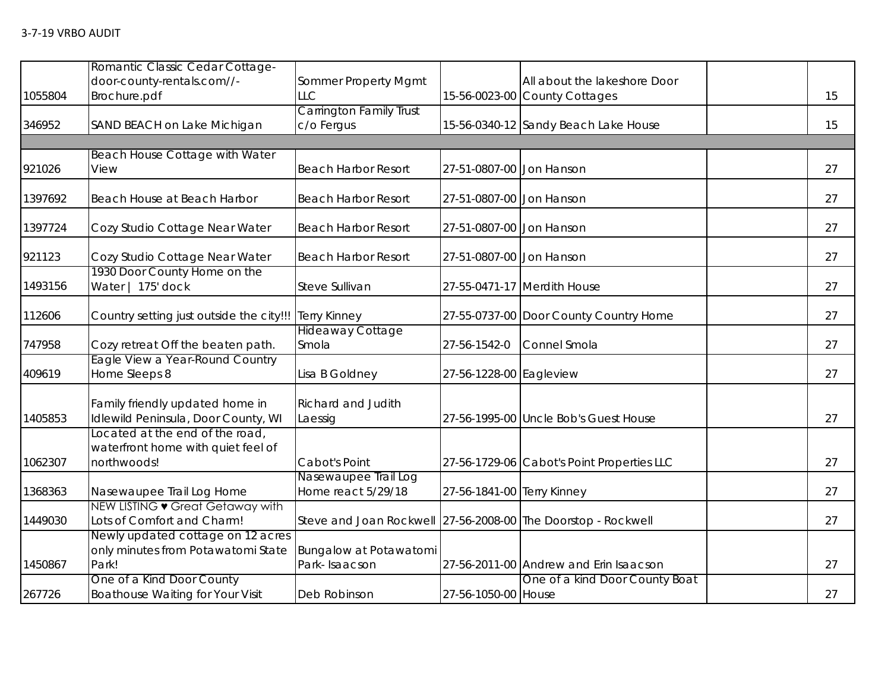|         | Romantic Classic Cedar Cottage-                                                      |                                              |                            |                                            |    |
|---------|--------------------------------------------------------------------------------------|----------------------------------------------|----------------------------|--------------------------------------------|----|
|         | door-county-rentals.com//-                                                           | Sommer Property Mgmt                         |                            | All about the lakeshore Door               |    |
| 1055804 | Brochure.pdf                                                                         | LLC                                          |                            | 15-56-0023-00 County Cottages              | 15 |
| 346952  | SAND BEACH on Lake Michigan                                                          | <b>Carrington Family Trust</b><br>c/o Fergus |                            | 15-56-0340-12 Sandy Beach Lake House       | 15 |
|         |                                                                                      |                                              |                            |                                            |    |
|         | Beach House Cottage with Water                                                       |                                              |                            |                                            |    |
| 921026  | View                                                                                 | <b>Beach Harbor Resort</b>                   | 27-51-0807-00 Jon Hanson   |                                            | 27 |
| 1397692 | Beach House at Beach Harbor                                                          | <b>Beach Harbor Resort</b>                   | 27-51-0807-00 Jon Hanson   |                                            | 27 |
| 1397724 | Cozy Studio Cottage Near Water                                                       | <b>Beach Harbor Resort</b>                   | 27-51-0807-00 Jon Hanson   |                                            | 27 |
| 921123  | Cozy Studio Cottage Near Water                                                       | <b>Beach Harbor Resort</b>                   | 27-51-0807-00 Jon Hanson   |                                            | 27 |
| 1493156 | 1930 Door County Home on the<br>Water   175' dock                                    | Steve Sullivan                               |                            | 27-55-0471-17 Merdith House                | 27 |
| 112606  | Country setting just outside the city!!!                                             | <b>Terry Kinney</b>                          |                            | 27-55-0737-00 Door County Country Home     | 27 |
| 747958  | Cozy retreat Off the beaten path.                                                    | <b>Hideaway Cottage</b><br>Smola             | 27-56-1542-0               | Connel Smola                               | 27 |
| 409619  | Eagle View a Year-Round Country<br>Home Sleeps 8                                     | Lisa B Goldney                               | 27-56-1228-00 Eagleview    |                                            | 27 |
| 1405853 | Family friendly updated home in<br>Idlewild Peninsula, Door County, WI               | Richard and Judith<br>Laessig                |                            | 27-56-1995-00 Uncle Bob's Guest House      | 27 |
| 1062307 | Located at the end of the road,<br>waterfront home with quiet feel of<br>northwoods! | Cabot's Point                                |                            | 27-56-1729-06 Cabot's Point Properties LLC | 27 |
| 1368363 | Nasewaupee Trail Log Home                                                            | Nasewaupee Trail Log<br>Home react 5/29/18   | 27-56-1841-00 Terry Kinney |                                            | 27 |
|         | NEW LISTING • Great Getaway with                                                     |                                              |                            |                                            |    |
| 1449030 | Lots of Comfort and Charm!                                                           | Steve and Joan Rockwell                      |                            | 27-56-2008-00 The Doorstop - Rockwell      | 27 |
|         | Newly updated cottage on 12 acres<br>only minutes from Potawatomi State              | Bungalow at Potawatomi                       |                            |                                            |    |
| 1450867 | Park!                                                                                | Park-Isaacson                                |                            | 27-56-2011-00 Andrew and Erin Isaacson     | 27 |
|         | One of a Kind Door County                                                            |                                              |                            | One of a kind Door County Boat             |    |
| 267726  | Boathouse Waiting for Your Visit                                                     | Deb Robinson                                 | 27-56-1050-00 House        |                                            | 27 |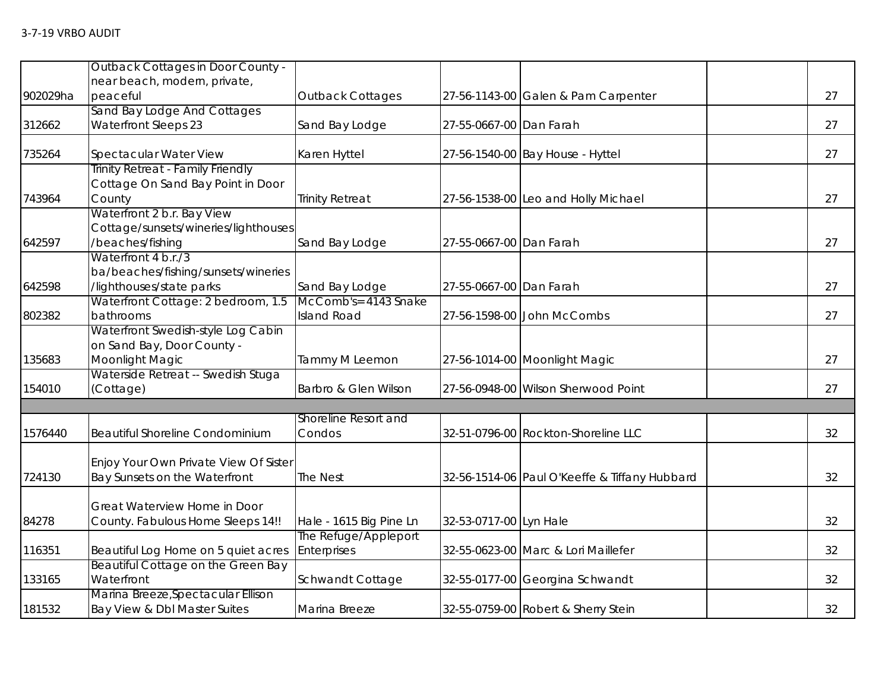|          | <b>Outback Cottages in Door County -</b>        |                         |                         |                                               |    |
|----------|-------------------------------------------------|-------------------------|-------------------------|-----------------------------------------------|----|
|          | near beach, modern, private,                    |                         |                         |                                               | 27 |
| 902029ha | peaceful<br>Sand Bay Lodge And Cottages         | Outback Cottages        |                         | 27-56-1143-00 Galen & Pam Carpenter           |    |
| 312662   | <b>Waterfront Sleeps 23</b>                     | Sand Bay Lodge          | 27-55-0667-00 Dan Farah |                                               | 27 |
|          |                                                 |                         |                         |                                               |    |
| 735264   | Spectacular Water View                          | Karen Hyttel            |                         | 27-56-1540-00 Bay House - Hyttel              | 27 |
|          | Trinity Retreat - Family Friendly               |                         |                         |                                               |    |
|          | Cottage On Sand Bay Point in Door               |                         |                         |                                               |    |
| 743964   | County                                          | <b>Trinity Retreat</b>  |                         | 27-56-1538-00 Leo and Holly Michael           | 27 |
|          | Waterfront 2 b.r. Bay View                      |                         |                         |                                               |    |
|          | Cottage/sunsets/wineries/lighthouses            |                         |                         |                                               |    |
| 642597   | /beaches/fishing                                | Sand Bay Lodge          | 27-55-0667-00 Dan Farah |                                               | 27 |
|          | Waterfront 4 b.r./3                             |                         |                         |                                               |    |
|          | ba/beaches/fishing/sunsets/wineries             |                         |                         |                                               |    |
| 642598   | /lighthouses/state parks                        | Sand Bay Lodge          | 27-55-0667-00 Dan Farah |                                               | 27 |
|          | Waterfront Cottage: 2 bedroom, 1.5              | McComb's= 4143 Snake    |                         |                                               |    |
| 802382   | bathrooms<br>Waterfront Swedish-style Log Cabin | <b>Island Road</b>      |                         | 27-56-1598-00 John McCombs                    | 27 |
|          | on Sand Bay, Door County -                      |                         |                         |                                               |    |
| 135683   | Moonlight Magic                                 |                         |                         |                                               | 27 |
|          | Waterside Retreat -- Swedish Stuga              | Tammy M Leemon          |                         | 27-56-1014-00 Moonlight Magic                 |    |
| 154010   | (Cottage)                                       | Barbro & Glen Wilson    |                         | 27-56-0948-00 Wilson Sherwood Point           | 27 |
|          |                                                 |                         |                         |                                               |    |
|          |                                                 | Shoreline Resort and    |                         |                                               |    |
| 1576440  | Beautiful Shoreline Condominium                 | Condos                  |                         | 32-51-0796-00 Rockton-Shoreline LLC           | 32 |
|          |                                                 |                         |                         |                                               |    |
|          | Enjoy Your Own Private View Of Sister           |                         |                         |                                               |    |
| 724130   | Bay Sunsets on the Waterfront                   | The Nest                |                         | 32-56-1514-06 Paul O'Keeffe & Tiffany Hubbard | 32 |
|          |                                                 |                         |                         |                                               |    |
|          | Great Waterview Home in Door                    |                         |                         |                                               |    |
| 84278    | County. Fabulous Home Sleeps 14!!               | Hale - 1615 Big Pine Ln | 32-53-0717-00 Lyn Hale  |                                               | 32 |
|          |                                                 | The Refuge/Appleport    |                         |                                               |    |
| 116351   | Beautiful Log Home on 5 quiet acres             | Enterprises             |                         | 32-55-0623-00 Marc & Lori Maillefer           | 32 |
|          | Beautiful Cottage on the Green Bay              |                         |                         |                                               |    |
| 133165   | Waterfront                                      | Schwandt Cottage        |                         | 32-55-0177-00 Georgina Schwandt               | 32 |
|          | Marina Breeze, Spectacular Ellison              |                         |                         |                                               |    |
| 181532   | Bay View & Dbl Master Suites                    | Marina Breeze           |                         | 32-55-0759-00 Robert & Sherry Stein           | 32 |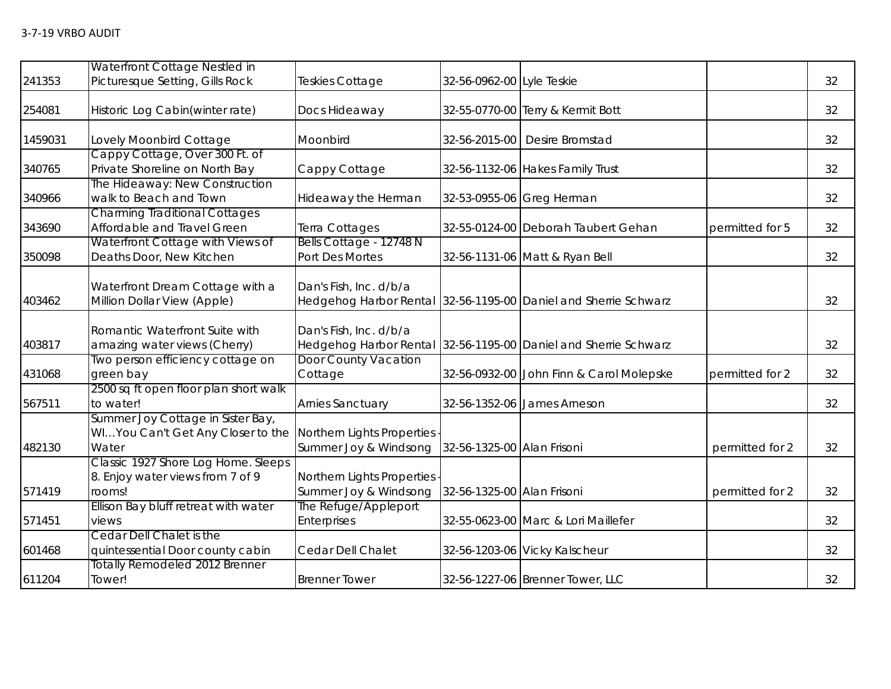|         | Waterfront Cottage Nestled in                                                     |                                                     |                            |                                                                 |                 |    |
|---------|-----------------------------------------------------------------------------------|-----------------------------------------------------|----------------------------|-----------------------------------------------------------------|-----------------|----|
| 241353  | Picturesque Setting, Gills Rock                                                   | Teskies Cottage                                     | 32-56-0962-00 Lyle Teskie  |                                                                 |                 | 32 |
| 254081  | Historic Log Cabin(winter rate)                                                   | Docs Hideaway                                       |                            | 32-55-0770-00 Terry & Kermit Bott                               |                 | 32 |
| 1459031 | Lovely Moonbird Cottage                                                           | Moonbird                                            |                            | 32-56-2015-00 Desire Bromstad                                   |                 | 32 |
| 340765  | Cappy Cottage, Over 300 Ft. of<br>Private Shoreline on North Bay                  | Cappy Cottage                                       |                            | 32-56-1132-06 Hakes Family Trust                                |                 | 32 |
| 340966  | The Hideaway: New Construction<br>walk to Beach and Town                          | Hideaway the Herman                                 |                            | 32-53-0955-06 Greg Herman                                       |                 | 32 |
| 343690  | <b>Charming Traditional Cottages</b><br>Affordable and Travel Green               | Terra Cottages                                      |                            | 32-55-0124-00 Deborah Taubert Gehan                             | permitted for 5 | 32 |
| 350098  | Waterfront Cottage with Views of<br>Deaths Door, New Kitchen                      | Bells Cottage - 12748 N<br>Port Des Mortes          |                            | 32-56-1131-06 Matt & Ryan Bell                                  |                 | 32 |
| 403462  | Waterfront Dream Cottage with a<br>Million Dollar View (Apple)                    | Dan's Fish, Inc. d/b/a                              |                            | Hedgehog Harbor Rental 32-56-1195-00 Daniel and Sherrie Schwarz |                 | 32 |
| 403817  | Romantic Waterfront Suite with<br>amazing water views (Cherry)                    | Dan's Fish, Inc. d/b/a<br>Hedgehog Harbor Rental    |                            | 32-56-1195-00 Daniel and Sherrie Schwarz                        |                 | 32 |
| 431068  | Two person efficiency cottage on<br>green bay                                     | <b>Door County Vacation</b><br>Cottage              |                            | 32-56-0932-00 John Finn & Carol Molepske                        | permitted for 2 | 32 |
| 567511  | 2500 sq ft open floor plan short walk<br>to water!                                | <b>Arnies Sanctuary</b>                             | 32-56-1352-06              | James Arneson                                                   |                 | 32 |
| 482130  | Summer Joy Cottage in Sister Bay,<br>WIYou Can't Get Any Closer to the<br>Water   | Northern Lights Properties<br>Summer Joy & Windsong | 32-56-1325-00 Alan Frisoni |                                                                 | permitted for 2 | 32 |
| 571419  | Classic 1927 Shore Log Home. Sleeps<br>8. Enjoy water views from 7 of 9<br>rooms! | Northern Lights Properties<br>Summer Joy & Windsong | 32-56-1325-00 Alan Frisoni |                                                                 | permitted for 2 | 32 |
| 571451  | Ellison Bay bluff retreat with water<br>views                                     | The Refuge/Appleport<br>Enterprises                 |                            | 32-55-0623-00 Marc & Lori Maillefer                             |                 | 32 |
| 601468  | Cedar Dell Chalet is the<br>quintessential Door county cabin                      | Cedar Dell Chalet                                   |                            | 32-56-1203-06 Vicky Kalscheur                                   |                 | 32 |
| 611204  | <b>Totally Remodeled 2012 Brenner</b><br>Tower!                                   | <b>Brenner Tower</b>                                |                            | 32-56-1227-06 Brenner Tower, LLC                                |                 | 32 |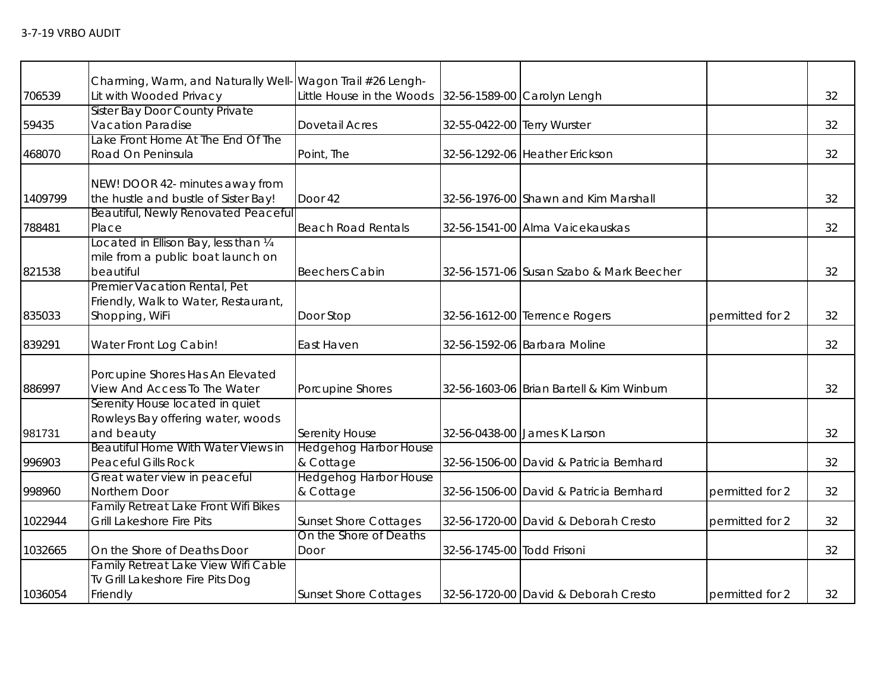|         | Charming, Warm, and Naturally Well- Wagon Trail #26 Lengh- |                                                       |                             |                                           |                 |    |
|---------|------------------------------------------------------------|-------------------------------------------------------|-----------------------------|-------------------------------------------|-----------------|----|
| 706539  | Lit with Wooded Privacy                                    | Little House in the Woods 32-56-1589-00 Carolyn Lengh |                             |                                           |                 | 32 |
|         | <b>Sister Bay Door County Private</b>                      |                                                       |                             |                                           |                 |    |
| 59435   | <b>Vacation Paradise</b>                                   | <b>Dovetail Acres</b>                                 | 32-55-0422-00 Terry Wurster |                                           |                 | 32 |
|         | Lake Front Home At The End Of The                          |                                                       |                             |                                           |                 |    |
| 468070  | Road On Peninsula                                          | Point, The                                            |                             | 32-56-1292-06 Heather Erickson            |                 | 32 |
|         |                                                            |                                                       |                             |                                           |                 |    |
|         | NEW! DOOR 42- minutes away from                            |                                                       |                             |                                           |                 |    |
| 1409799 | the hustle and bustle of Sister Bay!                       | Door 42                                               |                             | 32-56-1976-00 Shawn and Kim Marshall      |                 | 32 |
|         | Beautiful, Newly Renovated Peaceful                        |                                                       |                             |                                           |                 |    |
| 788481  | Place                                                      | <b>Beach Road Rentals</b>                             |                             | 32-56-1541-00 Alma Vaicekauskas           |                 | 32 |
|         | Located in Ellison Bay, less than 1/4                      |                                                       |                             |                                           |                 |    |
|         | mile from a public boat launch on                          |                                                       |                             |                                           |                 |    |
| 821538  | beautiful                                                  | <b>Beechers Cabin</b>                                 |                             | 32-56-1571-06 Susan Szabo & Mark Beecher  |                 | 32 |
|         | Premier Vacation Rental, Pet                               |                                                       |                             |                                           |                 |    |
|         | Friendly, Walk to Water, Restaurant,                       |                                                       |                             |                                           |                 |    |
| 835033  | Shopping, WiFi                                             | Door Stop                                             |                             | 32-56-1612-00 Terrence Rogers             | permitted for 2 | 32 |
|         |                                                            |                                                       |                             |                                           |                 |    |
| 839291  | Water Front Log Cabin!                                     | East Haven                                            |                             | 32-56-1592-06 Barbara Moline              |                 | 32 |
|         |                                                            |                                                       |                             |                                           |                 |    |
|         | Porcupine Shores Has An Elevated                           |                                                       |                             |                                           |                 |    |
| 886997  | View And Access To The Water                               | Porcupine Shores                                      |                             | 32-56-1603-06 Brian Bartell & Kim Winburn |                 | 32 |
|         | Serenity House located in quiet                            |                                                       |                             |                                           |                 |    |
|         | Rowleys Bay offering water, woods                          |                                                       |                             |                                           |                 |    |
| 981731  | and beauty                                                 | Serenity House                                        |                             | 32-56-0438-00 James K Larson              |                 | 32 |
|         | Beautiful Home With Water Views in                         | <b>Hedgehog Harbor House</b>                          |                             |                                           |                 |    |
| 996903  | <b>Peaceful Gills Rock</b>                                 | & Cottage                                             |                             | 32-56-1506-00 David & Patricia Bernhard   |                 | 32 |
|         | Great water view in peaceful                               | <b>Hedgehog Harbor House</b>                          |                             |                                           |                 |    |
| 998960  | Northern Door                                              | & Cottage                                             |                             | 32-56-1506-00 David & Patricia Bernhard   | permitted for 2 | 32 |
|         | <b>Family Retreat Lake Front Wifi Bikes</b>                |                                                       |                             |                                           |                 |    |
| 1022944 | Grill Lakeshore Fire Pits                                  | <b>Sunset Shore Cottages</b>                          |                             | 32-56-1720-00 David & Deborah Cresto      | permitted for 2 | 32 |
|         |                                                            | On the Shore of Deaths                                |                             |                                           |                 |    |
| 1032665 | On the Shore of Deaths Door                                | Door                                                  | 32-56-1745-00 Todd Frisoni  |                                           |                 | 32 |
|         | Family Retreat Lake View Wifi Cable                        |                                                       |                             |                                           |                 |    |
|         | Tv Grill Lakeshore Fire Pits Dog                           |                                                       |                             |                                           |                 |    |
| 1036054 | Friendly                                                   | <b>Sunset Shore Cottages</b>                          |                             | 32-56-1720-00 David & Deborah Cresto      | permitted for 2 | 32 |
|         |                                                            |                                                       |                             |                                           |                 |    |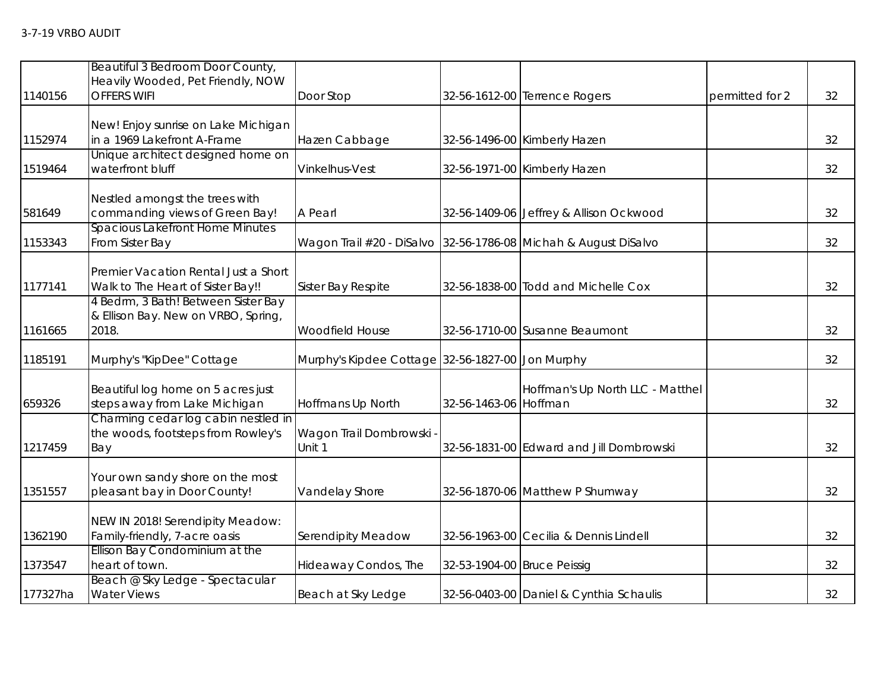| 1140156  | Beautiful 3 Bedroom Door County,<br>Heavily Wooded, Pet Friendly, NOW<br><b>OFFERS WIFI</b> | Door Stop                                        |                             | 32-56-1612-00 Terrence Rogers                                   | permitted for 2 | 32 |
|----------|---------------------------------------------------------------------------------------------|--------------------------------------------------|-----------------------------|-----------------------------------------------------------------|-----------------|----|
| 1152974  | New! Enjoy sunrise on Lake Michigan<br>in a 1969 Lakefront A-Frame                          | Hazen Cabbage                                    |                             | 32-56-1496-00 Kimberly Hazen                                    |                 | 32 |
| 1519464  | Unique architect designed home on<br>waterfront bluff                                       | Vinkelhus-Vest                                   |                             | 32-56-1971-00 Kimberly Hazen                                    |                 | 32 |
| 581649   | Nestled amongst the trees with<br>commanding views of Green Bay!                            | A Pearl                                          |                             | 32-56-1409-06 Jeffrey & Allison Ockwood                         |                 | 32 |
| 1153343  | Spacious Lakefront Home Minutes<br>From Sister Bay                                          |                                                  |                             | Wagon Trail #20 - DiSalvo 32-56-1786-08 Michah & August DiSalvo |                 | 32 |
| 1177141  | Premier Vacation Rental Just a Short<br>Walk to The Heart of Sister Bay!!                   | Sister Bay Respite                               |                             | 32-56-1838-00 Todd and Michelle Cox                             |                 | 32 |
| 1161665  | 4 Bedrm, 3 Bath! Between Sister Bay<br>& Ellison Bay. New on VRBO, Spring,<br>2018.         | <b>Woodfield House</b>                           |                             | 32-56-1710-00 Susanne Beaumont                                  |                 | 32 |
| 1185191  | Murphy's "KipDee" Cottage                                                                   | Murphy's Kipdee Cottage 32-56-1827-00 Jon Murphy |                             |                                                                 |                 | 32 |
| 659326   | Beautiful log home on 5 acres just<br>steps away from Lake Michigan                         | Hoffmans Up North                                | 32-56-1463-06 Hoffman       | Hoffman's Up North LLC - Matthel                                |                 | 32 |
| 1217459  | Charming cedar log cabin nestled in<br>the woods, footsteps from Rowley's<br>Bay            | Wagon Trail Dombrowski<br>Unit 1                 |                             | 32-56-1831-00 Edward and Jill Dombrowski                        |                 | 32 |
| 1351557  | Your own sandy shore on the most<br>pleasant bay in Door County!                            | Vandelay Shore                                   |                             | 32-56-1870-06 Matthew P Shumway                                 |                 | 32 |
| 1362190  | NEW IN 2018! Serendipity Meadow:<br>Family-friendly, 7-acre oasis                           | Serendipity Meadow                               |                             | 32-56-1963-00 Cecilia & Dennis Lindell                          |                 | 32 |
| 1373547  | Ellison Bay Condominium at the<br>heart of town.                                            | Hideaway Condos, The                             | 32-53-1904-00 Bruce Peissig |                                                                 |                 | 32 |
| 177327ha | Beach @ Sky Ledge - Spectacular<br><b>Water Views</b>                                       | Beach at Sky Ledge                               |                             | 32-56-0403-00 Daniel & Cynthia Schaulis                         |                 | 32 |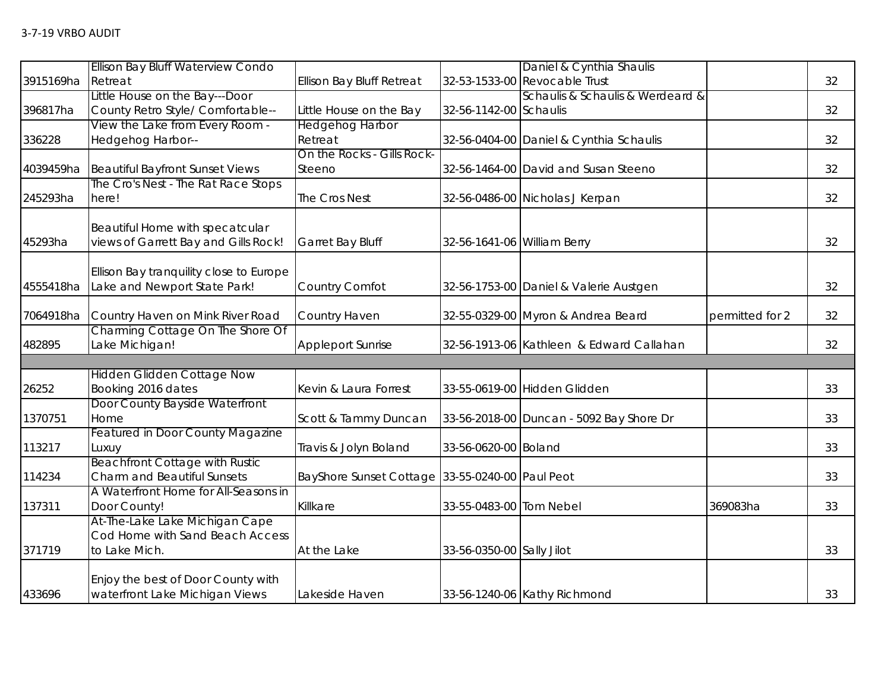|                   | <b>Ellison Bay Bluff Waterview Condo</b>   |                                                 |                             | Daniel & Cynthia Shaulis                 |                 |    |
|-------------------|--------------------------------------------|-------------------------------------------------|-----------------------------|------------------------------------------|-----------------|----|
| 3915169ha Retreat |                                            | Ellison Bay Bluff Retreat                       |                             | 32-53-1533-00 Revocable Trust            |                 | 32 |
|                   | Little House on the Bay---Door             |                                                 |                             | Schaulis & Schaulis & Werdeard &         |                 |    |
| 396817ha          | County Retro Style/ Comfortable--          | Little House on the Bay                         | 32-56-1142-00 Schaulis      |                                          |                 | 32 |
|                   | View the Lake from Every Room -            | Hedgehog Harbor                                 |                             |                                          |                 |    |
| 336228            | Hedgehog Harbor--                          | Retreat                                         |                             | 32-56-0404-00 Daniel & Cynthia Schaulis  |                 | 32 |
|                   |                                            | On the Rocks - Gills Rock-                      |                             |                                          |                 |    |
| 4039459ha         | <b>Beautiful Bayfront Sunset Views</b>     | Steeno                                          |                             | 32-56-1464-00 David and Susan Steeno     |                 | 32 |
|                   | The Cro's Nest - The Rat Race Stops        |                                                 |                             |                                          |                 |    |
| 245293ha          | here!                                      | The Cros Nest                                   |                             | 32-56-0486-00 Nicholas J Kerpan          |                 | 32 |
|                   |                                            |                                                 |                             |                                          |                 |    |
|                   | Beautiful Home with specatcular            |                                                 |                             |                                          |                 |    |
| 45293ha           | views of Garrett Bay and Gills Rock!       | Garret Bay Bluff                                | 32-56-1641-06 William Berry |                                          |                 | 32 |
|                   |                                            |                                                 |                             |                                          |                 |    |
|                   | Ellison Bay tranquility close to Europe    |                                                 |                             |                                          |                 |    |
| 4555418ha         | Lake and Newport State Park!               | Country Comfot                                  |                             | 32-56-1753-00 Daniel & Valerie Austgen   |                 | 32 |
|                   | 7064918ha Country Haven on Mink River Road | Country Haven                                   |                             | 32-55-0329-00 Myron & Andrea Beard       | permitted for 2 | 32 |
|                   | Charming Cottage On The Shore Of           |                                                 |                             |                                          |                 |    |
| 482895            | Lake Michigan!                             | <b>Appleport Sunrise</b>                        |                             | 32-56-1913-06 Kathleen & Edward Callahan |                 | 32 |
|                   |                                            |                                                 |                             |                                          |                 |    |
|                   | <b>Hidden Glidden Cottage Now</b>          |                                                 |                             |                                          |                 |    |
| 26252             | Booking 2016 dates                         | Kevin & Laura Forrest                           |                             | 33-55-0619-00 Hidden Glidden             |                 | 33 |
|                   | Door County Bayside Waterfront             |                                                 |                             |                                          |                 |    |
| 1370751           | Home                                       | Scott & Tammy Duncan                            |                             | 33-56-2018-00 Duncan - 5092 Bay Shore Dr |                 | 33 |
|                   | <b>Featured in Door County Magazine</b>    |                                                 |                             |                                          |                 |    |
| 113217            | Luxuy                                      | Travis & Jolyn Boland                           | 33-56-0620-00 Boland        |                                          |                 | 33 |
|                   | <b>Beachfront Cottage with Rustic</b>      |                                                 |                             |                                          |                 |    |
| 114234            | Charm and Beautiful Sunsets                | BayShore Sunset Cottage 33-55-0240-00 Paul Peot |                             |                                          |                 | 33 |
|                   | A Waterfront Home for All-Seasons in       |                                                 |                             |                                          |                 |    |
| 137311            | Door County!                               | Killkare                                        | 33-55-0483-00 Tom Nebel     |                                          | 369083ha        | 33 |
|                   | At-The-Lake Lake Michigan Cape             |                                                 |                             |                                          |                 |    |
|                   | Cod Home with Sand Beach Access            |                                                 |                             |                                          |                 |    |
| 371719            | to Lake Mich.                              | At the Lake                                     | 33-56-0350-00 Sally Jilot   |                                          |                 | 33 |
|                   |                                            |                                                 |                             |                                          |                 |    |
|                   | Enjoy the best of Door County with         |                                                 |                             |                                          |                 |    |
| 433696            | waterfront Lake Michigan Views             | Lakeside Haven                                  |                             | 33-56-1240-06 Kathy Richmond             |                 | 33 |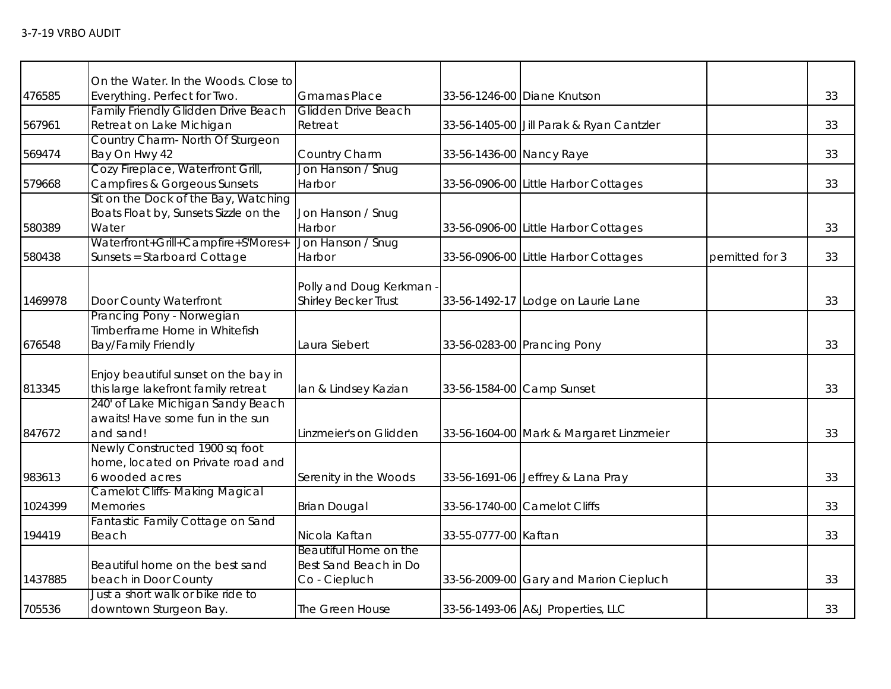|         | On the Water. In the Woods. Close to       |                                                       |                          |                                          |                |    |
|---------|--------------------------------------------|-------------------------------------------------------|--------------------------|------------------------------------------|----------------|----|
| 476585  | Everything. Perfect for Two.               | <b>Gmamas Place</b>                                   |                          | 33-56-1246-00 Diane Knutson              |                | 33 |
|         | <b>Family Friendly Glidden Drive Beach</b> | <b>Glidden Drive Beach</b>                            |                          |                                          |                |    |
| 567961  | Retreat on Lake Michigan                   | Retreat                                               |                          | 33-56-1405-00 Jill Parak & Ryan Cantzler |                | 33 |
|         | Country Charm- North Of Sturgeon           |                                                       |                          |                                          |                |    |
| 569474  | Bay On Hwy 42                              | Country Charm                                         | 33-56-1436-00 Nancy Raye |                                          |                | 33 |
|         | Cozy Fireplace, Waterfront Grill,          | Jon Hanson / Snug                                     |                          |                                          |                |    |
| 579668  | Campfires & Gorgeous Sunsets               | Harbor                                                |                          | 33-56-0906-00 Little Harbor Cottages     |                | 33 |
|         | Sit on the Dock of the Bay, Watching       |                                                       |                          |                                          |                |    |
|         | Boats Float by, Sunsets Sizzle on the      | Jon Hanson / Snug                                     |                          |                                          |                |    |
| 580389  | Water                                      | Harbor                                                |                          | 33-56-0906-00 Little Harbor Cottages     |                | 33 |
|         | Waterfront+Grill+Campfire+S'Mores+         | Jon Hanson / Snug                                     |                          |                                          |                |    |
| 580438  | Sunsets = Starboard Cottage                | Harbor                                                |                          | 33-56-0906-00 Little Harbor Cottages     | pemitted for 3 | 33 |
|         |                                            |                                                       |                          |                                          |                |    |
| 1469978 | Door County Waterfront                     | Polly and Doug Kerkman<br><b>Shirley Becker Trust</b> |                          | 33-56-1492-17 Lodge on Laurie Lane       |                | 33 |
|         | Prancing Pony - Norwegian                  |                                                       |                          |                                          |                |    |
|         | Timberframe Home in Whitefish              |                                                       |                          |                                          |                |    |
| 676548  | <b>Bay/Family Friendly</b>                 | Laura Siebert                                         |                          | 33-56-0283-00 Prancing Pony              |                | 33 |
|         |                                            |                                                       |                          |                                          |                |    |
|         | Enjoy beautiful sunset on the bay in       |                                                       |                          |                                          |                |    |
| 813345  | this large lakefront family retreat        | lan & Lindsey Kazian                                  |                          | 33-56-1584-00 Camp Sunset                |                | 33 |
|         | 240' of Lake Michigan Sandy Beach          |                                                       |                          |                                          |                |    |
|         | awaits! Have some fun in the sun           |                                                       |                          |                                          |                |    |
| 847672  | and sand!                                  | Linzmeier's on Glidden                                |                          | 33-56-1604-00 Mark & Margaret Linzmeier  |                | 33 |
|         | Newly Constructed 1900 sq foot             |                                                       |                          |                                          |                |    |
|         | home, located on Private road and          |                                                       |                          |                                          |                |    |
| 983613  | 6 wooded acres                             | Serenity in the Woods                                 |                          | 33-56-1691-06 Jeffrey & Lana Pray        |                | 33 |
|         | <b>Camelot Cliffs- Making Magical</b>      |                                                       |                          |                                          |                |    |
| 1024399 | <b>Memories</b>                            | <b>Brian Dougal</b>                                   |                          | 33-56-1740-00 Camelot Cliffs             |                | 33 |
|         | Fantastic Family Cottage on Sand           |                                                       |                          |                                          |                |    |
| 194419  | Beach                                      | Nicola Kaftan                                         | 33-55-0777-00 Kaftan     |                                          |                | 33 |
|         |                                            | Beautiful Home on the                                 |                          |                                          |                |    |
|         | Beautiful home on the best sand            | Best Sand Beach in Do                                 |                          |                                          |                |    |
| 1437885 | beach in Door County                       | Co - Ciepluch                                         |                          | 33-56-2009-00 Gary and Marion Ciepluch   |                | 33 |
|         | Just a short walk or bike ride to          |                                                       |                          |                                          |                |    |
| 705536  | downtown Sturgeon Bay.                     | The Green House                                       |                          | 33-56-1493-06 A&J Properties, LLC        |                | 33 |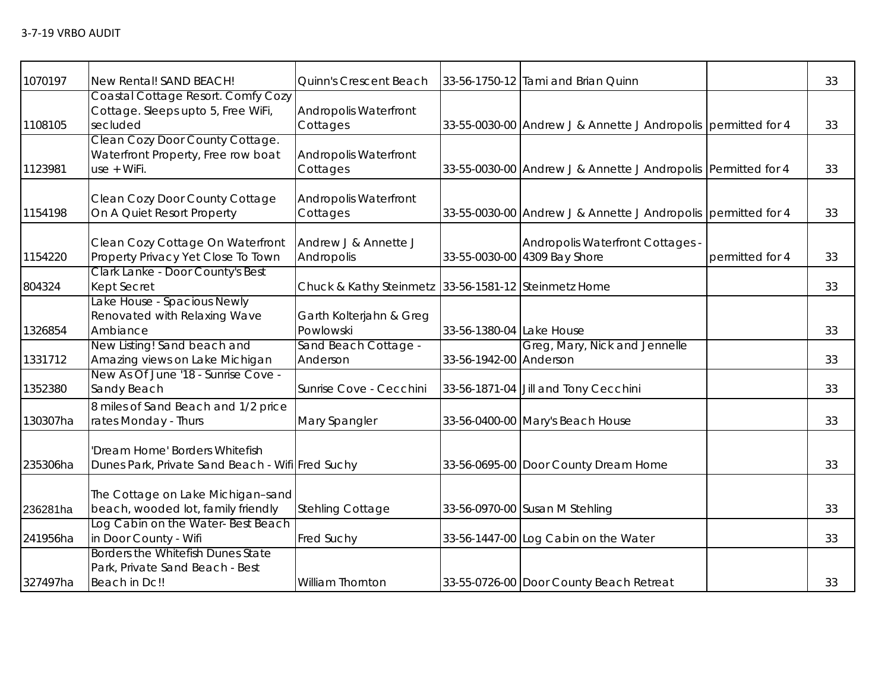| 1070197  | New Rental! SAND BEACH!                                                               | Quinn's Crescent Beach                               |                          | 33-56-1750-12 Tami and Brian Quinn                               |                 | 33 |
|----------|---------------------------------------------------------------------------------------|------------------------------------------------------|--------------------------|------------------------------------------------------------------|-----------------|----|
| 1108105  | Coastal Cottage Resort. Comfy Cozy<br>Cottage. Sleeps upto 5, Free WiFi,<br>secluded  | Andropolis Waterfront<br>Cottages                    |                          | 33-55-0030-00 Andrew J & Annette J Andropolis permitted for 4    |                 | 33 |
| 1123981  | Clean Cozy Door County Cottage.<br>Waterfront Property, Free row boat<br>use + WiFi.  | <b>Andropolis Waterfront</b><br>Cottages             |                          | 33-55-0030-00 Andrew J & Annette J Andropolis Permitted for 4    |                 | 33 |
| 1154198  | Clean Cozy Door County Cottage<br>On A Quiet Resort Property                          | <b>Andropolis Waterfront</b><br>Cottages             |                          | 33-55-0030-00 Andrew J & Annette J Andropolis permitted for 4    |                 | 33 |
| 1154220  | Clean Cozy Cottage On Waterfront<br>Property Privacy Yet Close To Town                | Andrew J & Annette J<br>Andropolis                   |                          | Andropolis Waterfront Cottages -<br>33-55-0030-00 4309 Bay Shore | permitted for 4 | 33 |
| 804324   | Clark Lanke - Door County's Best<br>Kept Secret                                       | Chuck & Kathy Steinmetz 33-56-1581-12 Steinmetz Home |                          |                                                                  |                 | 33 |
| 1326854  | Lake House - Spacious Newly<br>Renovated with Relaxing Wave<br>Ambiance               | Garth Kolterjahn & Greg<br>Powlowski                 | 33-56-1380-04 Lake House |                                                                  |                 | 33 |
| 1331712  | New Listing! Sand beach and<br>Amazing views on Lake Michigan                         | Sand Beach Cottage -<br>Anderson                     | 33-56-1942-00 Anderson   | Greg, Mary, Nick and Jennelle                                    |                 | 33 |
| 1352380  | New As Of June '18 - Sunrise Cove -<br>Sandy Beach                                    | Sunrise Cove - Cecchini                              |                          | 33-56-1871-04 Jill and Tony Cecchini                             |                 | 33 |
| 130307ha | 8 miles of Sand Beach and 1/2 price<br>rates Monday - Thurs                           | Mary Spangler                                        |                          | 33-56-0400-00 Mary's Beach House                                 |                 | 33 |
| 235306ha | 'Dream Home' Borders Whitefish<br>Dunes Park, Private Sand Beach - Wifi Fred Suchy    |                                                      |                          | 33-56-0695-00 Door County Dream Home                             |                 | 33 |
| 236281ha | The Cottage on Lake Michigan-sand<br>beach, wooded lot, family friendly               | <b>Stehling Cottage</b>                              |                          | 33-56-0970-00 Susan M Stehling                                   |                 | 33 |
| 241956ha | Log Cabin on the Water-Best Beach<br>in Door County - Wifi                            | <b>Fred Suchy</b>                                    |                          | 33-56-1447-00 Log Cabin on the Water                             |                 | 33 |
| 327497ha | Borders the Whitefish Dunes State<br>Park, Private Sand Beach - Best<br>Beach in Dc!! | William Thornton                                     |                          | 33-55-0726-00 Door County Beach Retreat                          |                 | 33 |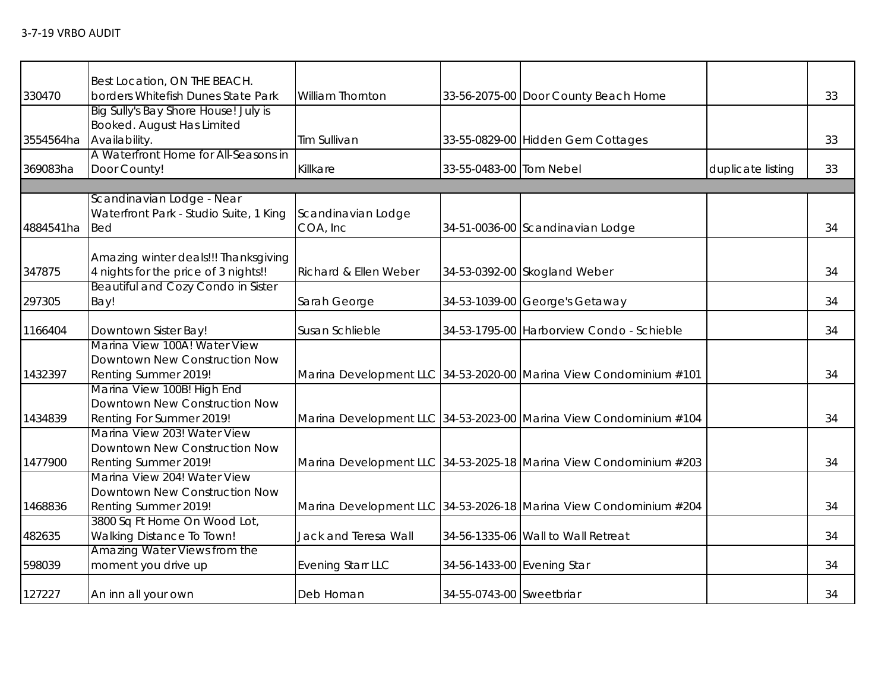|                     |                                                                                                                                                                                                                                                                                                                                                                                                                                                                                                                                                                                                                                                                                                                                                                                                                                                                                                                                                             |                                                                                                                                                                                                |                                                                                                                                                                                                                                                                                                                                                                                                                                                                                                                                                                                                                                             | 33                |
|---------------------|-------------------------------------------------------------------------------------------------------------------------------------------------------------------------------------------------------------------------------------------------------------------------------------------------------------------------------------------------------------------------------------------------------------------------------------------------------------------------------------------------------------------------------------------------------------------------------------------------------------------------------------------------------------------------------------------------------------------------------------------------------------------------------------------------------------------------------------------------------------------------------------------------------------------------------------------------------------|------------------------------------------------------------------------------------------------------------------------------------------------------------------------------------------------|---------------------------------------------------------------------------------------------------------------------------------------------------------------------------------------------------------------------------------------------------------------------------------------------------------------------------------------------------------------------------------------------------------------------------------------------------------------------------------------------------------------------------------------------------------------------------------------------------------------------------------------------|-------------------|
|                     |                                                                                                                                                                                                                                                                                                                                                                                                                                                                                                                                                                                                                                                                                                                                                                                                                                                                                                                                                             |                                                                                                                                                                                                |                                                                                                                                                                                                                                                                                                                                                                                                                                                                                                                                                                                                                                             |                   |
|                     |                                                                                                                                                                                                                                                                                                                                                                                                                                                                                                                                                                                                                                                                                                                                                                                                                                                                                                                                                             |                                                                                                                                                                                                |                                                                                                                                                                                                                                                                                                                                                                                                                                                                                                                                                                                                                                             |                   |
|                     |                                                                                                                                                                                                                                                                                                                                                                                                                                                                                                                                                                                                                                                                                                                                                                                                                                                                                                                                                             |                                                                                                                                                                                                |                                                                                                                                                                                                                                                                                                                                                                                                                                                                                                                                                                                                                                             |                   |
|                     |                                                                                                                                                                                                                                                                                                                                                                                                                                                                                                                                                                                                                                                                                                                                                                                                                                                                                                                                                             |                                                                                                                                                                                                |                                                                                                                                                                                                                                                                                                                                                                                                                                                                                                                                                                                                                                             | 33                |
|                     |                                                                                                                                                                                                                                                                                                                                                                                                                                                                                                                                                                                                                                                                                                                                                                                                                                                                                                                                                             |                                                                                                                                                                                                |                                                                                                                                                                                                                                                                                                                                                                                                                                                                                                                                                                                                                                             |                   |
|                     |                                                                                                                                                                                                                                                                                                                                                                                                                                                                                                                                                                                                                                                                                                                                                                                                                                                                                                                                                             |                                                                                                                                                                                                |                                                                                                                                                                                                                                                                                                                                                                                                                                                                                                                                                                                                                                             | 33                |
|                     |                                                                                                                                                                                                                                                                                                                                                                                                                                                                                                                                                                                                                                                                                                                                                                                                                                                                                                                                                             |                                                                                                                                                                                                |                                                                                                                                                                                                                                                                                                                                                                                                                                                                                                                                                                                                                                             |                   |
|                     |                                                                                                                                                                                                                                                                                                                                                                                                                                                                                                                                                                                                                                                                                                                                                                                                                                                                                                                                                             |                                                                                                                                                                                                |                                                                                                                                                                                                                                                                                                                                                                                                                                                                                                                                                                                                                                             |                   |
|                     |                                                                                                                                                                                                                                                                                                                                                                                                                                                                                                                                                                                                                                                                                                                                                                                                                                                                                                                                                             |                                                                                                                                                                                                |                                                                                                                                                                                                                                                                                                                                                                                                                                                                                                                                                                                                                                             |                   |
|                     |                                                                                                                                                                                                                                                                                                                                                                                                                                                                                                                                                                                                                                                                                                                                                                                                                                                                                                                                                             |                                                                                                                                                                                                |                                                                                                                                                                                                                                                                                                                                                                                                                                                                                                                                                                                                                                             | 34                |
|                     |                                                                                                                                                                                                                                                                                                                                                                                                                                                                                                                                                                                                                                                                                                                                                                                                                                                                                                                                                             |                                                                                                                                                                                                |                                                                                                                                                                                                                                                                                                                                                                                                                                                                                                                                                                                                                                             |                   |
|                     |                                                                                                                                                                                                                                                                                                                                                                                                                                                                                                                                                                                                                                                                                                                                                                                                                                                                                                                                                             |                                                                                                                                                                                                |                                                                                                                                                                                                                                                                                                                                                                                                                                                                                                                                                                                                                                             |                   |
|                     |                                                                                                                                                                                                                                                                                                                                                                                                                                                                                                                                                                                                                                                                                                                                                                                                                                                                                                                                                             |                                                                                                                                                                                                |                                                                                                                                                                                                                                                                                                                                                                                                                                                                                                                                                                                                                                             | 34                |
|                     |                                                                                                                                                                                                                                                                                                                                                                                                                                                                                                                                                                                                                                                                                                                                                                                                                                                                                                                                                             |                                                                                                                                                                                                |                                                                                                                                                                                                                                                                                                                                                                                                                                                                                                                                                                                                                                             |                   |
|                     |                                                                                                                                                                                                                                                                                                                                                                                                                                                                                                                                                                                                                                                                                                                                                                                                                                                                                                                                                             |                                                                                                                                                                                                |                                                                                                                                                                                                                                                                                                                                                                                                                                                                                                                                                                                                                                             | 34                |
|                     |                                                                                                                                                                                                                                                                                                                                                                                                                                                                                                                                                                                                                                                                                                                                                                                                                                                                                                                                                             |                                                                                                                                                                                                |                                                                                                                                                                                                                                                                                                                                                                                                                                                                                                                                                                                                                                             | 34                |
|                     |                                                                                                                                                                                                                                                                                                                                                                                                                                                                                                                                                                                                                                                                                                                                                                                                                                                                                                                                                             |                                                                                                                                                                                                |                                                                                                                                                                                                                                                                                                                                                                                                                                                                                                                                                                                                                                             |                   |
|                     |                                                                                                                                                                                                                                                                                                                                                                                                                                                                                                                                                                                                                                                                                                                                                                                                                                                                                                                                                             |                                                                                                                                                                                                |                                                                                                                                                                                                                                                                                                                                                                                                                                                                                                                                                                                                                                             |                   |
|                     |                                                                                                                                                                                                                                                                                                                                                                                                                                                                                                                                                                                                                                                                                                                                                                                                                                                                                                                                                             |                                                                                                                                                                                                |                                                                                                                                                                                                                                                                                                                                                                                                                                                                                                                                                                                                                                             | 34                |
|                     |                                                                                                                                                                                                                                                                                                                                                                                                                                                                                                                                                                                                                                                                                                                                                                                                                                                                                                                                                             |                                                                                                                                                                                                |                                                                                                                                                                                                                                                                                                                                                                                                                                                                                                                                                                                                                                             |                   |
|                     |                                                                                                                                                                                                                                                                                                                                                                                                                                                                                                                                                                                                                                                                                                                                                                                                                                                                                                                                                             |                                                                                                                                                                                                |                                                                                                                                                                                                                                                                                                                                                                                                                                                                                                                                                                                                                                             |                   |
|                     |                                                                                                                                                                                                                                                                                                                                                                                                                                                                                                                                                                                                                                                                                                                                                                                                                                                                                                                                                             |                                                                                                                                                                                                |                                                                                                                                                                                                                                                                                                                                                                                                                                                                                                                                                                                                                                             |                   |
|                     |                                                                                                                                                                                                                                                                                                                                                                                                                                                                                                                                                                                                                                                                                                                                                                                                                                                                                                                                                             |                                                                                                                                                                                                |                                                                                                                                                                                                                                                                                                                                                                                                                                                                                                                                                                                                                                             | 34                |
|                     |                                                                                                                                                                                                                                                                                                                                                                                                                                                                                                                                                                                                                                                                                                                                                                                                                                                                                                                                                             |                                                                                                                                                                                                |                                                                                                                                                                                                                                                                                                                                                                                                                                                                                                                                                                                                                                             |                   |
|                     |                                                                                                                                                                                                                                                                                                                                                                                                                                                                                                                                                                                                                                                                                                                                                                                                                                                                                                                                                             |                                                                                                                                                                                                |                                                                                                                                                                                                                                                                                                                                                                                                                                                                                                                                                                                                                                             |                   |
|                     |                                                                                                                                                                                                                                                                                                                                                                                                                                                                                                                                                                                                                                                                                                                                                                                                                                                                                                                                                             |                                                                                                                                                                                                |                                                                                                                                                                                                                                                                                                                                                                                                                                                                                                                                                                                                                                             | 34                |
|                     |                                                                                                                                                                                                                                                                                                                                                                                                                                                                                                                                                                                                                                                                                                                                                                                                                                                                                                                                                             |                                                                                                                                                                                                |                                                                                                                                                                                                                                                                                                                                                                                                                                                                                                                                                                                                                                             |                   |
|                     |                                                                                                                                                                                                                                                                                                                                                                                                                                                                                                                                                                                                                                                                                                                                                                                                                                                                                                                                                             |                                                                                                                                                                                                |                                                                                                                                                                                                                                                                                                                                                                                                                                                                                                                                                                                                                                             |                   |
|                     |                                                                                                                                                                                                                                                                                                                                                                                                                                                                                                                                                                                                                                                                                                                                                                                                                                                                                                                                                             |                                                                                                                                                                                                |                                                                                                                                                                                                                                                                                                                                                                                                                                                                                                                                                                                                                                             | 34                |
|                     |                                                                                                                                                                                                                                                                                                                                                                                                                                                                                                                                                                                                                                                                                                                                                                                                                                                                                                                                                             |                                                                                                                                                                                                |                                                                                                                                                                                                                                                                                                                                                                                                                                                                                                                                                                                                                                             |                   |
|                     |                                                                                                                                                                                                                                                                                                                                                                                                                                                                                                                                                                                                                                                                                                                                                                                                                                                                                                                                                             |                                                                                                                                                                                                |                                                                                                                                                                                                                                                                                                                                                                                                                                                                                                                                                                                                                                             | 34                |
|                     |                                                                                                                                                                                                                                                                                                                                                                                                                                                                                                                                                                                                                                                                                                                                                                                                                                                                                                                                                             |                                                                                                                                                                                                |                                                                                                                                                                                                                                                                                                                                                                                                                                                                                                                                                                                                                                             |                   |
|                     |                                                                                                                                                                                                                                                                                                                                                                                                                                                                                                                                                                                                                                                                                                                                                                                                                                                                                                                                                             |                                                                                                                                                                                                |                                                                                                                                                                                                                                                                                                                                                                                                                                                                                                                                                                                                                                             | 34                |
| An inn all your own | Deb Homan                                                                                                                                                                                                                                                                                                                                                                                                                                                                                                                                                                                                                                                                                                                                                                                                                                                                                                                                                   |                                                                                                                                                                                                |                                                                                                                                                                                                                                                                                                                                                                                                                                                                                                                                                                                                                                             | 34                |
|                     | Best Location, ON THE BEACH.<br>borders Whitefish Dunes State Park<br>Big Sully's Bay Shore House! July is<br>Booked. August Has Limited<br>Availability.<br>A Waterfront Home for All-Seasons in<br>Door County!<br>Scandinavian Lodge - Near<br>Waterfront Park - Studio Suite, 1 King<br><b>Bed</b><br>Amazing winter deals!!! Thanksgiving<br>4 nights for the price of 3 nights!!<br><b>Beautiful and Cozy Condo in Sister</b><br>Bay!<br>Downtown Sister Bay!<br>Marina View 100A! Water View<br>Downtown New Construction Now<br>Renting Summer 2019!<br>Marina View 100B! High End<br>Downtown New Construction Now<br>Renting For Summer 2019!<br>Marina View 203! Water View<br>Downtown New Construction Now<br>Renting Summer 2019!<br>Marina View 204! Water View<br>Downtown New Construction Now<br>Renting Summer 2019!<br>3800 Sq Ft Home On Wood Lot,<br>Walking Distance To Town!<br>Amazing Water Views from the<br>moment you drive up | William Thornton<br>Tim Sullivan<br>Killkare<br>Scandinavian Lodge<br>COA, Inc<br>Richard & Ellen Weber<br>Sarah George<br>Susan Schlieble<br>Jack and Teresa Wall<br><b>Evening Starr LLC</b> | 33-56-2075-00 Door County Beach Home<br>33-55-0829-00 Hidden Gem Cottages<br>33-55-0483-00 Tom Nebel<br>34-51-0036-00 Scandinavian Lodge<br>34-53-0392-00 Skogland Weber<br>34-53-1039-00 George's Getaway<br>34-53-1795-00 Harborview Condo - Schieble<br>Marina Development LLC 34-53-2020-00 Marina View Condominium #101<br>Marina Development LLC 34-53-2023-00 Marina View Condominium #104<br>Marina Development LLC 34-53-2025-18 Marina View Condominium #203<br>Marina Development LLC 34-53-2026-18 Marina View Condominium #204<br>34-56-1335-06 Wall to Wall Retreat<br>34-56-1433-00 Evening Star<br>34-55-0743-00 Sweetbriar | duplicate listing |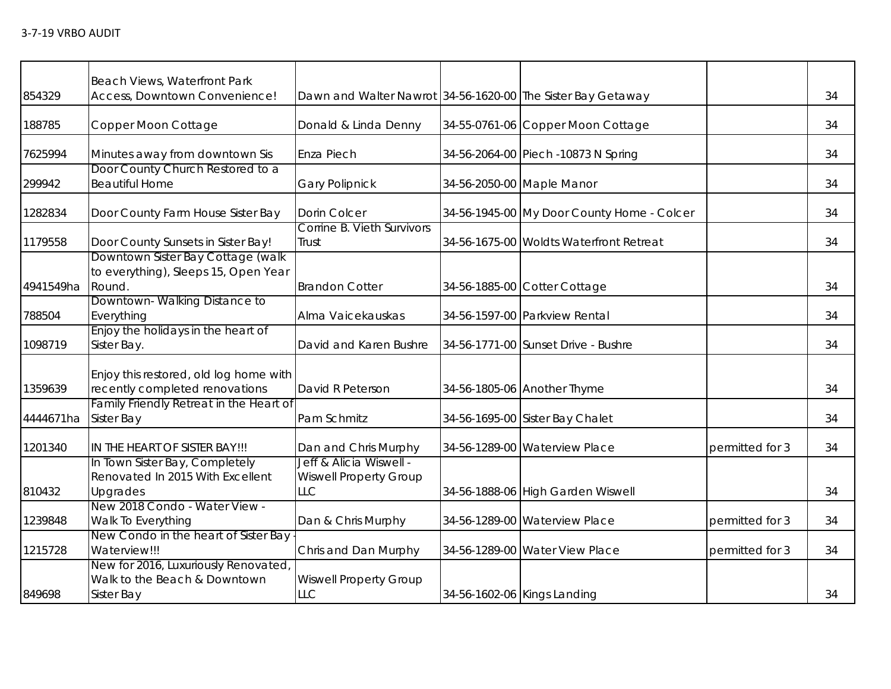|           | Beach Views, Waterfront Park            |                                                             |                                            |                 |    |
|-----------|-----------------------------------------|-------------------------------------------------------------|--------------------------------------------|-----------------|----|
| 854329    | Access, Downtown Convenience!           | Dawn and Walter Nawrot 34-56-1620-00 The Sister Bay Getaway |                                            |                 | 34 |
| 188785    | Copper Moon Cottage                     | Donald & Linda Denny                                        | 34-55-0761-06 Copper Moon Cottage          |                 | 34 |
|           |                                         |                                                             |                                            |                 |    |
| 7625994   | Minutes away from downtown Sis          | Enza Piech                                                  | 34-56-2064-00 Piech -10873 N Spring        |                 | 34 |
|           | Door County Church Restored to a        |                                                             |                                            |                 |    |
| 299942    | <b>Beautiful Home</b>                   | <b>Gary Polipnick</b>                                       | 34-56-2050-00 Maple Manor                  |                 | 34 |
| 1282834   | Door County Farm House Sister Bay       | Dorin Colcer                                                | 34-56-1945-00 My Door County Home - Colcer |                 | 34 |
|           |                                         | Corrine B. Vieth Survivors                                  |                                            |                 |    |
| 1179558   | Door County Sunsets in Sister Bay!      | Trust                                                       | 34-56-1675-00 Woldts Waterfront Retreat    |                 | 34 |
|           | Downtown Sister Bay Cottage (walk       |                                                             |                                            |                 |    |
|           | to everything), Sleeps 15, Open Year    |                                                             |                                            |                 |    |
| 4941549ha | Round.                                  | <b>Brandon Cotter</b>                                       | 34-56-1885-00 Cotter Cottage               |                 | 34 |
|           | Downtown-Walking Distance to            |                                                             |                                            |                 |    |
| 788504    | Everything                              | Alma Vaicekauskas                                           | 34-56-1597-00 Parkview Rental              |                 | 34 |
|           | Enjoy the holidays in the heart of      |                                                             |                                            |                 |    |
| 1098719   | Sister Bay.                             | David and Karen Bushre                                      | 34-56-1771-00 Sunset Drive - Bushre        |                 | 34 |
|           | Enjoy this restored, old log home with  |                                                             |                                            |                 |    |
| 1359639   | recently completed renovations          | David R Peterson                                            | 34-56-1805-06 Another Thyme                |                 | 34 |
|           | Family Friendly Retreat in the Heart of |                                                             |                                            |                 |    |
| 4444671ha | <b>Sister Bay</b>                       | Pam Schmitz                                                 | 34-56-1695-00 Sister Bay Chalet            |                 | 34 |
|           |                                         |                                                             |                                            |                 |    |
| 1201340   | IN THE HEART OF SISTER BAY!!!           | Dan and Chris Murphy                                        | 34-56-1289-00 Waterview Place              | permitted for 3 | 34 |
|           | In Town Sister Bay, Completely          | Jeff & Alicia Wiswell -                                     |                                            |                 |    |
|           | Renovated In 2015 With Excellent        | <b>Wiswell Property Group</b>                               |                                            |                 |    |
| 810432    | Upgrades                                | LLC                                                         | 34-56-1888-06 High Garden Wiswell          |                 | 34 |
|           | New 2018 Condo - Water View -           |                                                             |                                            |                 |    |
| 1239848   | Walk To Everything                      | Dan & Chris Murphy                                          | 34-56-1289-00 Waterview Place              | permitted for 3 | 34 |
|           | New Condo in the heart of Sister Bay    |                                                             |                                            |                 |    |
| 1215728   | Waterview!!!                            | Chris and Dan Murphy                                        | 34-56-1289-00 Water View Place             | permitted for 3 | 34 |
|           | New for 2016, Luxuriously Renovated,    |                                                             |                                            |                 |    |
| 849698    | Walk to the Beach & Downtown            | <b>Wiswell Property Group</b><br>LLC                        |                                            |                 |    |
|           | <b>Sister Bay</b>                       |                                                             | 34-56-1602-06 Kings Landing                |                 | 34 |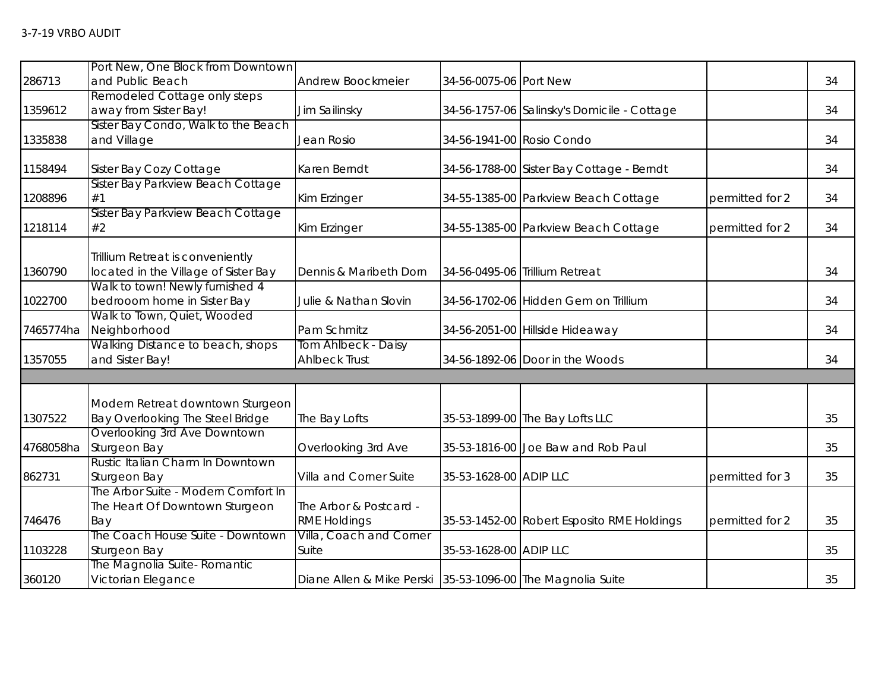|           | Port New, One Block from Downtown       |                                                            |                           |                                             |                 |    |
|-----------|-----------------------------------------|------------------------------------------------------------|---------------------------|---------------------------------------------|-----------------|----|
| 286713    | and Public Beach                        | Andrew Boockmeier                                          | 34-56-0075-06 Port New    |                                             |                 | 34 |
|           | Remodeled Cottage only steps            |                                                            |                           |                                             |                 |    |
| 1359612   | away from Sister Bay!                   | Jim Sailinsky                                              |                           | 34-56-1757-06 Salinsky's Domicile - Cottage |                 | 34 |
|           | Sister Bay Condo, Walk to the Beach     |                                                            |                           |                                             |                 |    |
| 1335838   | and Village                             | Jean Rosio                                                 | 34-56-1941-00 Rosio Condo |                                             |                 | 34 |
| 1158494   | Sister Bay Cozy Cottage                 | Karen Berndt                                               |                           | 34-56-1788-00 Sister Bay Cottage - Berndt   |                 | 34 |
|           | Sister Bay Parkview Beach Cottage       |                                                            |                           |                                             |                 |    |
| 1208896   | #1                                      | Kim Erzinger                                               |                           | 34-55-1385-00 Parkview Beach Cottage        | permitted for 2 | 34 |
| 1218114   | Sister Bay Parkview Beach Cottage<br>#2 | Kim Erzinger                                               |                           | 34-55-1385-00 Parkview Beach Cottage        | permitted for 2 | 34 |
|           | Trillium Retreat is conveniently        |                                                            |                           |                                             |                 |    |
| 1360790   | located in the Village of Sister Bay    | Dennis & Maribeth Dorn                                     |                           | 34-56-0495-06 Trillium Retreat              |                 | 34 |
|           | Walk to town! Newly furnished 4         |                                                            |                           |                                             |                 |    |
| 1022700   | bedrooom home in Sister Bay             | Julie & Nathan Slovin                                      |                           | 34-56-1702-06 Hidden Gem on Trillium        |                 | 34 |
|           | Walk to Town, Quiet, Wooded             |                                                            |                           |                                             |                 |    |
| 7465774ha | Neighborhood                            | Pam Schmitz                                                |                           | 34-56-2051-00 Hillside Hideaway             |                 | 34 |
|           | Walking Distance to beach, shops        | Tom Ahlbeck - Daisy                                        |                           |                                             |                 |    |
| 1357055   | and Sister Bay!                         | <b>Ahlbeck Trust</b>                                       |                           | 34-56-1892-06 Door in the Woods             |                 | 34 |
|           |                                         |                                                            |                           |                                             |                 |    |
|           | Modern Retreat downtown Sturgeon        |                                                            |                           |                                             |                 |    |
| 1307522   | Bay Overlooking The Steel Bridge        | The Bay Lofts                                              |                           | 35-53-1899-00 The Bay Lofts LLC             |                 | 35 |
|           | Overlooking 3rd Ave Downtown            |                                                            |                           |                                             |                 |    |
| 4768058ha | Sturgeon Bay                            | Overlooking 3rd Ave                                        |                           | 35-53-1816-00 Joe Baw and Rob Paul          |                 | 35 |
|           | Rustic Italian Charm In Downtown        |                                                            |                           |                                             |                 |    |
| 862731    | Sturgeon Bay                            | Villa and Corner Suite                                     | 35-53-1628-00 ADIP LLC    |                                             | permitted for 3 | 35 |
|           | The Arbor Suite - Modern Comfort In     |                                                            |                           |                                             |                 |    |
|           | The Heart Of Downtown Sturgeon          | The Arbor & Postcard -                                     |                           |                                             |                 |    |
| 746476    | Bay                                     | <b>RME Holdings</b>                                        |                           | 35-53-1452-00 Robert Esposito RME Holdings  | permitted for 2 | 35 |
|           | The Coach House Suite - Downtown        | Villa, Coach and Corner                                    |                           |                                             |                 |    |
| 1103228   | Sturgeon Bay                            | Suite                                                      | 35-53-1628-00 ADIP LLC    |                                             |                 | 35 |
|           | The Magnolia Suite- Romantic            |                                                            |                           |                                             |                 |    |
| 360120    | Victorian Elegance                      | Diane Allen & Mike Perski 35-53-1096-00 The Magnolia Suite |                           |                                             |                 | 35 |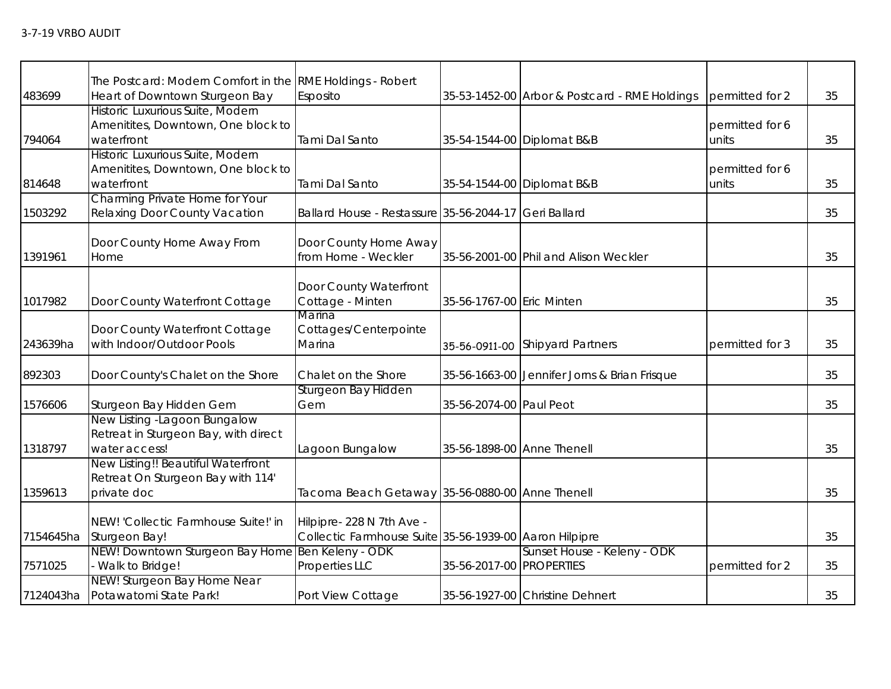|           | The Postcard: Modern Comfort in the RME Holdings - Robert |                                                        |                            |                                               |                          |    |
|-----------|-----------------------------------------------------------|--------------------------------------------------------|----------------------------|-----------------------------------------------|--------------------------|----|
| 483699    | Heart of Downtown Sturgeon Bay                            | Esposito                                               |                            | 35-53-1452-00 Arbor & Postcard - RME Holdings | permitted for 2          | 35 |
|           | Historic Luxurious Suite, Modern                          |                                                        |                            |                                               |                          |    |
|           | Amenitites, Downtown, One block to                        |                                                        |                            |                                               | permitted for 6          |    |
| 794064    | waterfront                                                | Tami Dal Santo                                         |                            | 35-54-1544-00 Diplomat B&B                    | units                    | 35 |
|           | Historic Luxurious Suite, Modern                          |                                                        |                            |                                               |                          |    |
| 814648    | Amenitites, Downtown, One block to<br>waterfront          | Tami Dal Santo                                         |                            | 35-54-1544-00 Diplomat B&B                    | permitted for 6<br>units | 35 |
|           | Charming Private Home for Your                            |                                                        |                            |                                               |                          |    |
| 1503292   | Relaxing Door County Vacation                             | Ballard House - Restassure 35-56-2044-17 Geri Ballard  |                            |                                               |                          | 35 |
|           |                                                           |                                                        |                            |                                               |                          |    |
|           | Door County Home Away From                                | Door County Home Away                                  |                            |                                               |                          |    |
| 1391961   | Home                                                      | from Home - Weckler                                    |                            | 35-56-2001-00 Phil and Alison Weckler         |                          | 35 |
|           |                                                           |                                                        |                            |                                               |                          |    |
|           |                                                           | Door County Waterfront                                 |                            |                                               |                          |    |
| 1017982   | Door County Waterfront Cottage                            | Cottage - Minten                                       | 35-56-1767-00 Eric Minten  |                                               |                          | 35 |
|           |                                                           | Marina                                                 |                            |                                               |                          |    |
|           | Door County Waterfront Cottage                            | Cottages/Centerpointe                                  |                            |                                               |                          |    |
| 243639ha  | with Indoor/Outdoor Pools                                 | Marina                                                 |                            | 35-56-0911-00 Shipyard Partners               | permitted for 3          | 35 |
| 892303    | Door County's Chalet on the Shore                         | Chalet on the Shore                                    |                            | 35-56-1663-00 Jennifer Jorns & Brian Frisque  |                          | 35 |
|           |                                                           | Sturgeon Bay Hidden                                    |                            |                                               |                          |    |
| 1576606   | Sturgeon Bay Hidden Gem                                   | Gem                                                    | 35-56-2074-00 Paul Peot    |                                               |                          | 35 |
|           | New Listing -Lagoon Bungalow                              |                                                        |                            |                                               |                          |    |
|           | Retreat in Sturgeon Bay, with direct                      |                                                        |                            |                                               |                          |    |
| 1318797   | water access!                                             | Lagoon Bungalow                                        | 35-56-1898-00 Anne Thenell |                                               |                          | 35 |
|           | New Listing!! Beautiful Waterfront                        |                                                        |                            |                                               |                          |    |
|           | Retreat On Sturgeon Bay with 114'                         |                                                        |                            |                                               |                          |    |
| 1359613   | private doc                                               | Tacoma Beach Getaway 35-56-0880-00 Anne Thenell        |                            |                                               |                          | 35 |
|           |                                                           |                                                        |                            |                                               |                          |    |
|           | NEW! 'Collectic Farmhouse Suite!' in                      | Hilpipre- 228 N 7th Ave -                              |                            |                                               |                          |    |
| 7154645ha | Sturgeon Bay!                                             | Collectic Farmhouse Suite 35-56-1939-00 Aaron Hilpipre |                            |                                               |                          | 35 |
|           | NEW! Downtown Sturgeon Bay Home                           | Ben Keleny - ODK                                       | 35-56-2017-00 PROPERTIES   | Sunset House - Keleny - ODK                   |                          |    |
| 7571025   | Walk to Bridge!<br>NEW! Sturgeon Bay Home Near            | Properties LLC                                         |                            |                                               | permitted for 2          | 35 |
| 7124043ha | Potawatomi State Park!                                    | Port View Cottage                                      |                            | 35-56-1927-00 Christine Dehnert               |                          | 35 |
|           |                                                           |                                                        |                            |                                               |                          |    |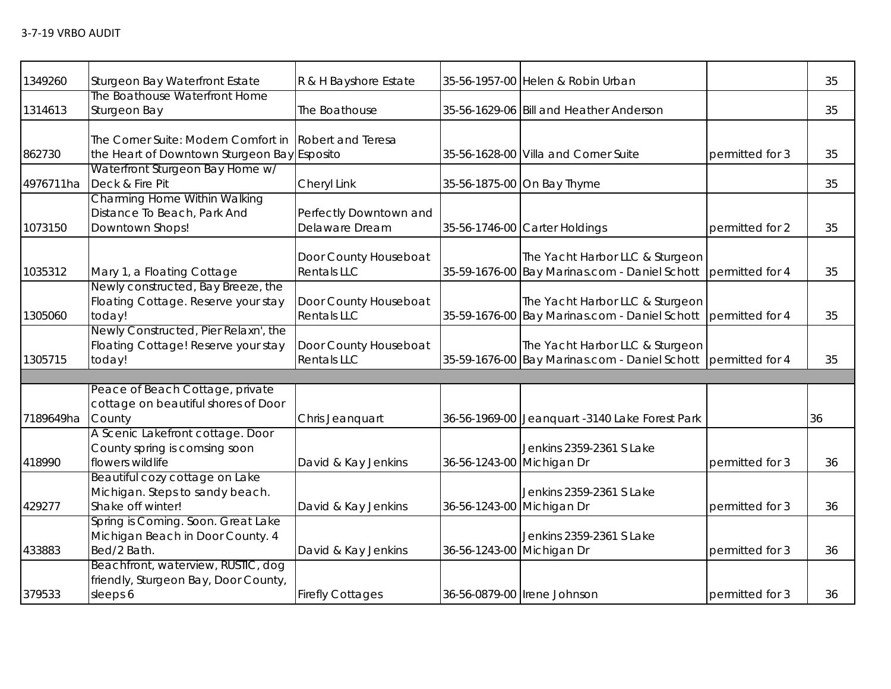| 1349260   | Sturgeon Bay Waterfront Estate                                                         | R & H Bayshore Estate                       |                           | 35-56-1957-00 Helen & Robin Urban                                                                |                 | 35 |
|-----------|----------------------------------------------------------------------------------------|---------------------------------------------|---------------------------|--------------------------------------------------------------------------------------------------|-----------------|----|
| 1314613   | The Boathouse Waterfront Home<br>Sturgeon Bay                                          | The Boathouse                               |                           | 35-56-1629-06 Bill and Heather Anderson                                                          |                 | 35 |
| 862730    | The Corner Suite: Modern Comfort in<br>the Heart of Downtown Sturgeon Bay Esposito     | <b>Robert and Teresa</b>                    |                           | 35-56-1628-00 Villa and Corner Suite                                                             | permitted for 3 | 35 |
| 4976711ha | Waterfront Sturgeon Bay Home w/<br>Deck & Fire Pit                                     | Cheryl Link                                 |                           | 35-56-1875-00 On Bay Thyme                                                                       |                 | 35 |
| 1073150   | Charming Home Within Walking<br>Distance To Beach, Park And<br>Downtown Shops!         | Perfectly Downtown and<br>Delaware Dream    |                           | 35-56-1746-00 Carter Holdings                                                                    | permitted for 2 | 35 |
| 1035312   | Mary 1, a Floating Cottage                                                             | Door County Houseboat<br><b>Rentals LLC</b> |                           | The Yacht Harbor LLC & Sturgeon<br>35-59-1676-00 Bay Marinas.com - Daniel Schott                 | permitted for 4 | 35 |
| 1305060   | Newly constructed, Bay Breeze, the<br>Floating Cottage. Reserve your stay<br>today!    | Door County Houseboat<br><b>Rentals LLC</b> |                           | The Yacht Harbor LLC & Sturgeon<br>35-59-1676-00 Bay Marinas.com - Daniel Schott                 | permitted for 4 | 35 |
| 1305715   | Newly Constructed, Pier Relaxn', the<br>Floating Cottage! Reserve your stay<br>today!  | Door County Houseboat<br><b>Rentals LLC</b> |                           | The Yacht Harbor LLC & Sturgeon<br>35-59-1676-00 Bay Marinas.com - Daniel Schott permitted for 4 |                 | 35 |
|           |                                                                                        |                                             |                           |                                                                                                  |                 |    |
| 7189649ha | Peace of Beach Cottage, private<br>cottage on beautiful shores of Door<br>County       | Chris Jeanquart                             |                           | 36-56-1969-00 Jeanquart -3140 Lake Forest Park                                                   |                 | 36 |
| 418990    | A Scenic Lakefront cottage. Door<br>County spring is comsing soon<br>flowers wildlife  | David & Kay Jenkins                         | 36-56-1243-00 Michigan Dr | Jenkins 2359-2361 S Lake                                                                         | permitted for 3 | 36 |
| 429277    | Beautiful cozy cottage on Lake<br>Michigan. Steps to sandy beach.<br>Shake off winter! | David & Kay Jenkins                         | 36-56-1243-00 Michigan Dr | Jenkins 2359-2361 S Lake                                                                         | permitted for 3 | 36 |
| 433883    | Spring is Coming. Soon. Great Lake<br>Michigan Beach in Door County. 4<br>Bed/2 Bath.  | David & Kay Jenkins                         | 36-56-1243-00 Michigan Dr | Jenkins 2359-2361 S Lake                                                                         | permitted for 3 | 36 |
| 379533    | Beachfront, waterview, RUSTIC, dog<br>friendly, Sturgeon Bay, Door County,<br>sleeps 6 | <b>Firefly Cottages</b>                     |                           | 36-56-0879-00 Irene Johnson                                                                      | permitted for 3 | 36 |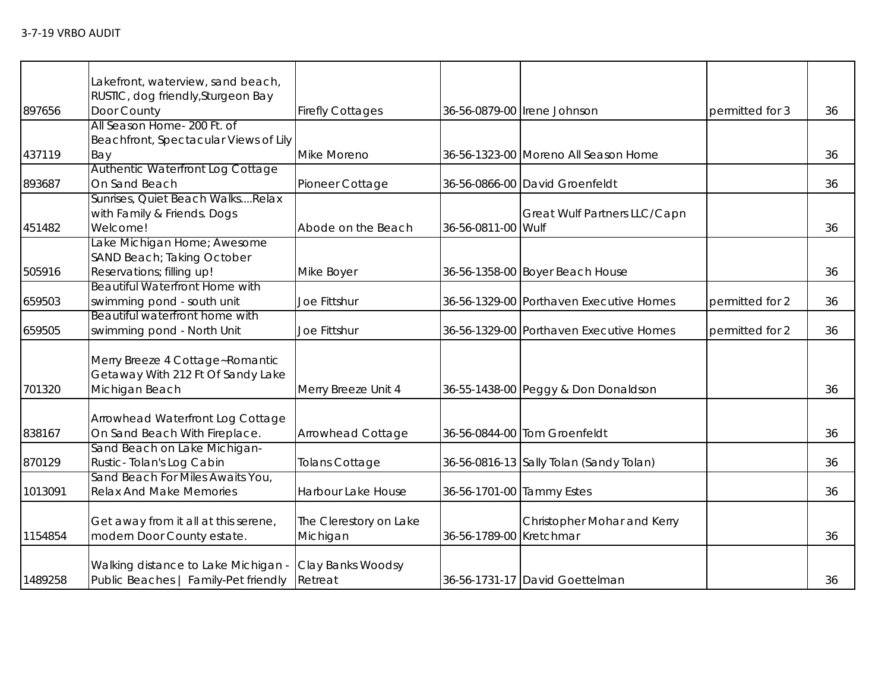|         | Lakefront, waterview, sand beach,                 |                         |                         |                                         |                 |    |
|---------|---------------------------------------------------|-------------------------|-------------------------|-----------------------------------------|-----------------|----|
| 897656  | RUSTIC, dog friendly, Sturgeon Bay<br>Door County | <b>Firefly Cottages</b> |                         | 36-56-0879-00   Irene Johnson           | permitted for 3 | 36 |
|         | All Season Home- 200 Ft. of                       |                         |                         |                                         |                 |    |
|         | Beachfront, Spectacular Views of Lily             |                         |                         |                                         |                 |    |
| 437119  | Bay                                               | Mike Moreno             |                         | 36-56-1323-00 Moreno All Season Home    |                 | 36 |
|         | Authentic Waterfront Log Cottage                  |                         |                         |                                         |                 |    |
| 893687  | On Sand Beach                                     | Pioneer Cottage         |                         | 36-56-0866-00 David Groenfeldt          |                 | 36 |
|         | Sunrises, Quiet Beach WalksRelax                  |                         |                         |                                         |                 |    |
|         | with Family & Friends. Dogs                       |                         |                         | Great Wulf Partners LLC/Capn            |                 |    |
| 451482  | Welcome!                                          | Abode on the Beach      | 36-56-0811-00 Wulf      |                                         |                 | 36 |
|         | Lake Michigan Home; Awesome                       |                         |                         |                                         |                 |    |
|         | SAND Beach; Taking October                        |                         |                         |                                         |                 |    |
| 505916  | Reservations; filling up!                         | Mike Boyer              |                         | 36-56-1358-00 Boyer Beach House         |                 | 36 |
|         | <b>Beautiful Waterfront Home with</b>             |                         |                         |                                         |                 |    |
| 659503  | swimming pond - south unit                        | Joe Fittshur            |                         | 36-56-1329-00 Porthaven Executive Homes | permitted for 2 | 36 |
|         | Beautiful waterfront home with                    |                         |                         |                                         |                 |    |
| 659505  | swimming pond - North Unit                        | Joe Fittshur            |                         | 36-56-1329-00 Porthaven Executive Homes | permitted for 2 | 36 |
|         | Merry Breeze 4 Cottage~Romantic                   |                         |                         |                                         |                 |    |
|         | Getaway With 212 Ft Of Sandy Lake                 |                         |                         |                                         |                 |    |
| 701320  | Michigan Beach                                    | Merry Breeze Unit 4     |                         | 36-55-1438-00 Peggy & Don Donaldson     |                 | 36 |
|         |                                                   |                         |                         |                                         |                 |    |
|         | Arrowhead Waterfront Log Cottage                  |                         |                         |                                         |                 |    |
| 838167  | On Sand Beach With Fireplace.                     | Arrowhead Cottage       |                         | 36-56-0844-00 Tom Groenfeldt            |                 | 36 |
|         | Sand Beach on Lake Michigan-                      |                         |                         |                                         |                 |    |
| 870129  | Rustic-Tolan's Log Cabin                          | Tolans Cottage          |                         | 36-56-0816-13 Sally Tolan (Sandy Tolan) |                 | 36 |
|         | Sand Beach For Miles Awaits You,                  |                         |                         |                                         |                 |    |
| 1013091 | <b>Relax And Make Memories</b>                    | Harbour Lake House      |                         | 36-56-1701-00 Tammy Estes               |                 | 36 |
|         |                                                   |                         |                         |                                         |                 |    |
|         | Get away from it all at this serene,              | The Clerestory on Lake  |                         | Christopher Mohar and Kerry             |                 |    |
| 1154854 | modern Door County estate.                        | Michigan                | 36-56-1789-00 Kretchmar |                                         |                 | 36 |
|         |                                                   |                         |                         |                                         |                 |    |
| 1489258 | Walking distance to Lake Michigan -               | Clay Banks Woodsy       |                         |                                         |                 | 36 |
|         | Public Beaches   Family-Pet friendly              | Retreat                 |                         | 36-56-1731-17 David Goettelman          |                 |    |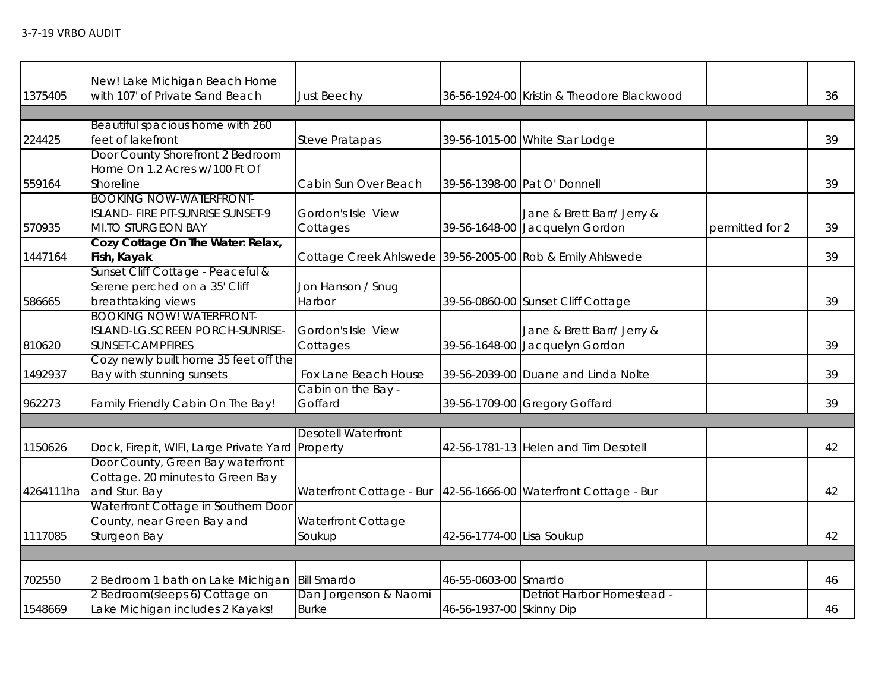|           | New! Lake Michigan Beach Home                    |                                                           |                           |                                            |                 |    |
|-----------|--------------------------------------------------|-----------------------------------------------------------|---------------------------|--------------------------------------------|-----------------|----|
| 1375405   | with 107' of Private Sand Beach                  | <b>Just Beechy</b>                                        |                           | 36-56-1924-00 Kristin & Theodore Blackwood |                 | 36 |
|           |                                                  |                                                           |                           |                                            |                 |    |
|           | Beautiful spacious home with 260                 |                                                           |                           |                                            |                 |    |
| 224425    | feet of lakefront                                | <b>Steve Pratapas</b>                                     |                           | 39-56-1015-00 White Star Lodge             |                 | 39 |
|           | Door County Shorefront 2 Bedroom                 |                                                           |                           |                                            |                 |    |
|           | Home On 1.2 Acres w/100 Ft Of                    |                                                           |                           |                                            |                 |    |
| 559164    | Shoreline                                        | Cabin Sun Over Beach                                      |                           | 39-56-1398-00 Pat O' Donnell               |                 | 39 |
|           | <b>BOOKING NOW-WATERFRONT-</b>                   |                                                           |                           |                                            |                 |    |
|           | ISLAND- FIRE PIT-SUNRISE SUNSET-9                | Gordon's Isle View                                        |                           | Jane & Brett Barr/ Jerry &                 |                 |    |
| 570935    | <b>MI.TO STURGEON BAY</b>                        | Cottages                                                  |                           | 39-56-1648-00 Jacquelyn Gordon             | permitted for 2 | 39 |
|           | Cozy Cottage On The Water: Relax,                |                                                           |                           |                                            |                 |    |
| 1447164   | Fish, Kayak                                      | Cottage Creek Ahlswede 39-56-2005-00 Rob & Emily Ahlswede |                           |                                            |                 | 39 |
|           | Sunset Cliff Cottage - Peaceful &                |                                                           |                           |                                            |                 |    |
|           | Serene perched on a 35' Cliff                    | Jon Hanson / Snug                                         |                           |                                            |                 |    |
| 586665    | breathtaking views                               | Harbor                                                    |                           | 39-56-0860-00 Sunset Cliff Cottage         |                 | 39 |
|           | <b>BOOKING NOW! WATERFRONT-</b>                  |                                                           |                           |                                            |                 |    |
|           | ISLAND-LG.SCREEN PORCH-SUNRISE-                  | Gordon's Isle View                                        |                           | Jane & Brett Barr/ Jerry &                 |                 |    |
| 810620    | SUNSET-CAMPFIRES                                 | Cottages                                                  |                           | 39-56-1648-00 Jacquelyn Gordon             |                 | 39 |
|           | Cozy newly built home 35 feet off the            |                                                           |                           |                                            |                 |    |
| 1492937   | Bay with stunning sunsets                        | Fox Lane Beach House<br>Cabin on the Bay -                |                           | 39-56-2039-00 Duane and Linda Nolte        |                 | 39 |
|           | Family Friendly Cabin On The Bay!                | Goffard                                                   |                           |                                            |                 | 39 |
| 962273    |                                                  |                                                           |                           | 39-56-1709-00 Gregory Goffard              |                 |    |
|           |                                                  | <b>Desotell Waterfront</b>                                |                           |                                            |                 |    |
| 1150626   | Dock, Firepit, WIFI, Large Private Yard Property |                                                           |                           | 42-56-1781-13 Helen and Tim Desotell       |                 | 42 |
|           | Door County, Green Bay waterfront                |                                                           |                           |                                            |                 |    |
|           | Cottage. 20 minutes to Green Bay                 |                                                           |                           |                                            |                 |    |
| 4264111ha | and Stur. Bay                                    | Waterfront Cottage - Bur                                  |                           | 42-56-1666-00 Waterfront Cottage - Bur     |                 | 42 |
|           | Waterfront Cottage in Southern Door              |                                                           |                           |                                            |                 |    |
|           | County, near Green Bay and                       | Waterfront Cottage                                        |                           |                                            |                 |    |
| 1117085   | Sturgeon Bay                                     | Soukup                                                    | 42-56-1774-00 Lisa Soukup |                                            |                 | 42 |
|           |                                                  |                                                           |                           |                                            |                 |    |
|           |                                                  |                                                           |                           |                                            |                 |    |
| 702550    | 2 Bedroom 1 bath on Lake Michigan                | <b>Bill Smardo</b>                                        | 46-55-0603-00 Smardo      |                                            |                 | 46 |
|           | 2 Bedroom(sleeps 6) Cottage on                   | Dan Jorgenson & Naomi                                     |                           | Detriot Harbor Homestead -                 |                 |    |
| 1548669   | Lake Michigan includes 2 Kayaks!                 | <b>Burke</b>                                              | 46-56-1937-00 Skinny Dip  |                                            |                 | 46 |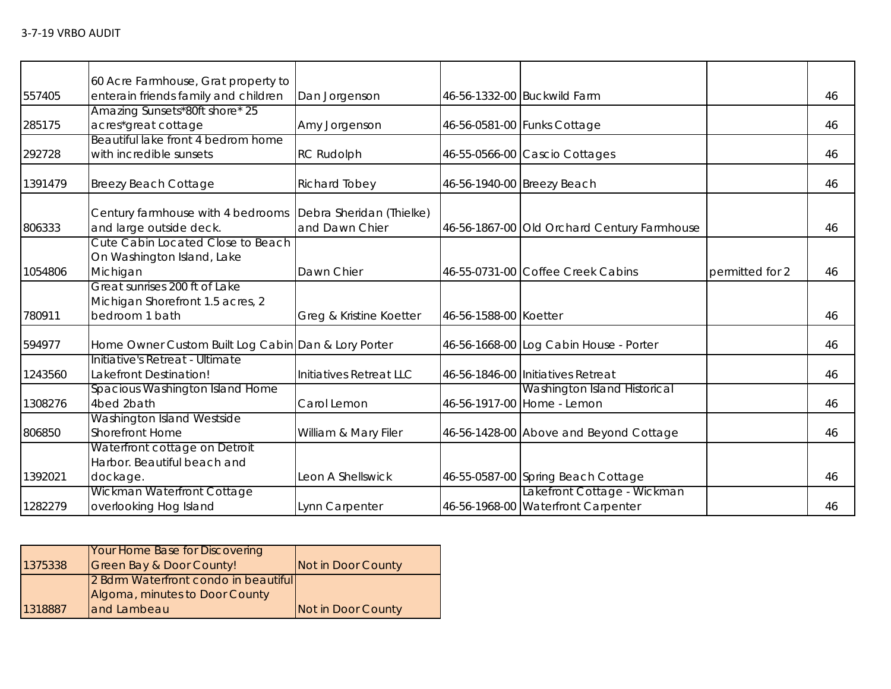|         | 60 Acre Farmhouse, Grat property to                 |                          |                       |                                             |                 |    |
|---------|-----------------------------------------------------|--------------------------|-----------------------|---------------------------------------------|-----------------|----|
| 557405  | enterain friends family and children                | Dan Jorgenson            |                       | 46-56-1332-00 Buckwild Farm                 |                 | 46 |
|         | Amazing Sunsets*80ft shore* 25                      |                          |                       |                                             |                 |    |
| 285175  | acres*great cottage                                 | Amy Jorgenson            |                       | 46-56-0581-00 Funks Cottage                 |                 | 46 |
|         | Beautiful lake front 4 bedrom home                  |                          |                       |                                             |                 |    |
| 292728  | with incredible sunsets                             | <b>RC Rudolph</b>        |                       | 46-55-0566-00 Cascio Cottages               |                 | 46 |
| 1391479 | <b>Breezy Beach Cottage</b>                         | Richard Tobey            |                       | 46-56-1940-00 Breezy Beach                  |                 | 46 |
|         | Century farmhouse with 4 bedrooms                   | Debra Sheridan (Thielke) |                       |                                             |                 |    |
| 806333  | and large outside deck.                             | and Dawn Chier           |                       | 46-56-1867-00 Old Orchard Century Farmhouse |                 | 46 |
|         | Cute Cabin Located Close to Beach                   |                          |                       |                                             |                 |    |
|         | On Washington Island, Lake                          |                          |                       |                                             |                 |    |
| 1054806 | Michigan                                            | Dawn Chier               |                       | 46-55-0731-00 Coffee Creek Cabins           | permitted for 2 | 46 |
|         | Great sunrises 200 ft of Lake                       |                          |                       |                                             |                 |    |
|         | Michigan Shorefront 1.5 acres, 2                    |                          |                       |                                             |                 |    |
| 780911  | bedroom 1 bath                                      | Greg & Kristine Koetter  | 46-56-1588-00 Koetter |                                             |                 | 46 |
| 594977  | Home Owner Custom Built Log Cabin Dan & Lory Porter |                          |                       | 46-56-1668-00 Log Cabin House - Porter      |                 | 46 |
|         | Initiative's Retreat - Ultimate                     |                          |                       |                                             |                 |    |
| 1243560 | Lakefront Destination!                              | Initiatives Retreat LLC  |                       | 46-56-1846-00 Initiatives Retreat           |                 | 46 |
|         | Spacious Washington Island Home                     |                          |                       | <b>Washington Island Historical</b>         |                 |    |
| 1308276 | 4bed 2bath                                          | Carol Lemon              |                       | 46-56-1917-00 Home - Lemon                  |                 | 46 |
|         | Washington Island Westside                          |                          |                       |                                             |                 |    |
| 806850  | <b>Shorefront Home</b>                              | William & Mary Filer     |                       | 46-56-1428-00 Above and Beyond Cottage      |                 | 46 |
|         | Waterfront cottage on Detroit                       |                          |                       |                                             |                 |    |
|         | Harbor. Beautiful beach and                         |                          |                       |                                             |                 |    |
| 1392021 | dockage.                                            | Leon A Shellswick        |                       | 46-55-0587-00 Spring Beach Cottage          |                 | 46 |
|         | Wickman Waterfront Cottage                          |                          |                       | Lakefront Cottage - Wickman                 |                 |    |
| 1282279 | overlooking Hog Island                              | Lynn Carpenter           |                       | 46-56-1968-00 Waterfront Carpenter          |                 | 46 |

|         | Your Home Base for Discovering       |                    |
|---------|--------------------------------------|--------------------|
| 1375338 | Green Bay & Door County!             | Not in Door County |
|         | 2 Bdrm Waterfront condo in beautiful |                    |
|         | Algoma, minutes to Door County       |                    |
| 1318887 | and Lambeau                          | Not in Door County |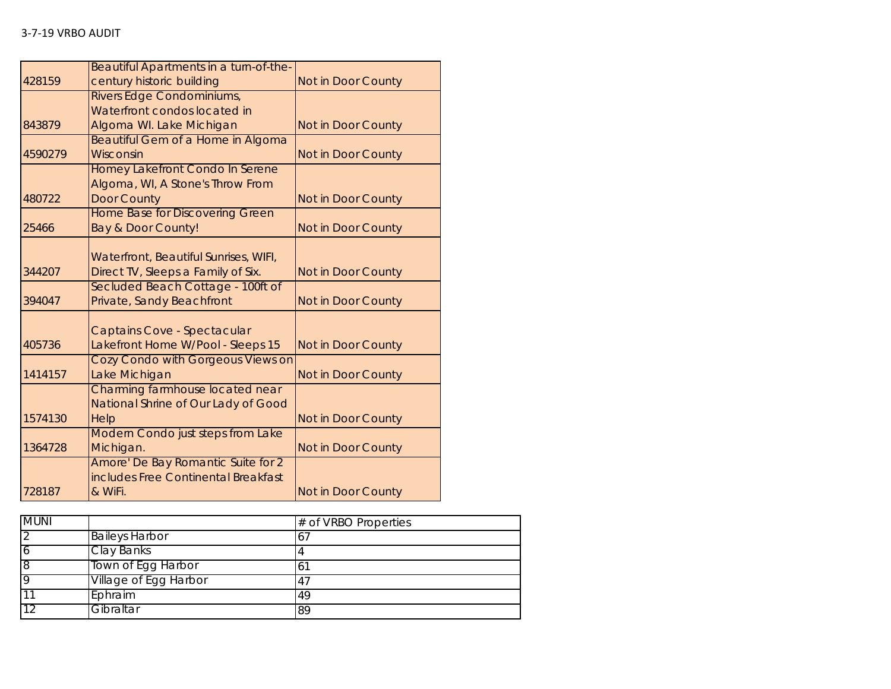|         | Beautiful Apartments in a turn-of-the- |                           |
|---------|----------------------------------------|---------------------------|
| 428159  | century historic building              | Not in Door County        |
|         | Rivers Edge Condominiums,              |                           |
|         | Waterfront condos located in           |                           |
| 843879  | Algoma WI. Lake Michigan               | Not in Door County        |
|         | Beautiful Gem of a Home in Algoma      |                           |
| 4590279 | Wisconsin                              | Not in Door County        |
|         | Homey Lakefront Condo In Serene        |                           |
|         | Algoma, WI, A Stone's Throw From       |                           |
| 480722  | <b>Door County</b>                     | <b>Not in Door County</b> |
|         | <b>Home Base for Discovering Green</b> |                           |
| 25466   | Bay & Door County!                     | Not in Door County        |
|         |                                        |                           |
|         | Waterfront, Beautiful Sunrises, WIFI,  |                           |
| 344207  | Direct TV, Sleeps a Family of Six.     | <b>Not in Door County</b> |
|         | Secluded Beach Cottage - 100ft of      |                           |
| 394047  | Private, Sandy Beachfront              | Not in Door County        |
|         | Captains Cove - Spectacular            |                           |
| 405736  | Lakefront Home W/Pool - Sleeps 15      | <b>Not in Door County</b> |
|         | Cozy Condo with Gorgeous Views on      |                           |
| 1414157 | Lake Michigan                          | Not in Door County        |
|         | Charming farmhouse located near        |                           |
|         | National Shrine of Our Lady of Good    |                           |
| 1574130 | Help                                   | <b>Not in Door County</b> |
|         | Modern Condo just steps from Lake      |                           |
| 1364728 | Michigan.                              | Not in Door County        |
|         | Amore' De Bay Romantic Suite for 2     |                           |
|         | includes Free Continental Breakfast    |                           |
| 728187  | & WiFi.                                | <b>Not in Door County</b> |

| <b>MUNI</b> |                       | # of VRBO Properties |
|-------------|-----------------------|----------------------|
| 2           | <b>Baileys Harbor</b> |                      |
| 6           | Clay Banks            |                      |
| 8           | Town of Egg Harbor    |                      |
| 9           | Village of Egg Harbor |                      |
| 11          | Ephraim               | 49                   |
| 12          | Gibraltar             | 89                   |